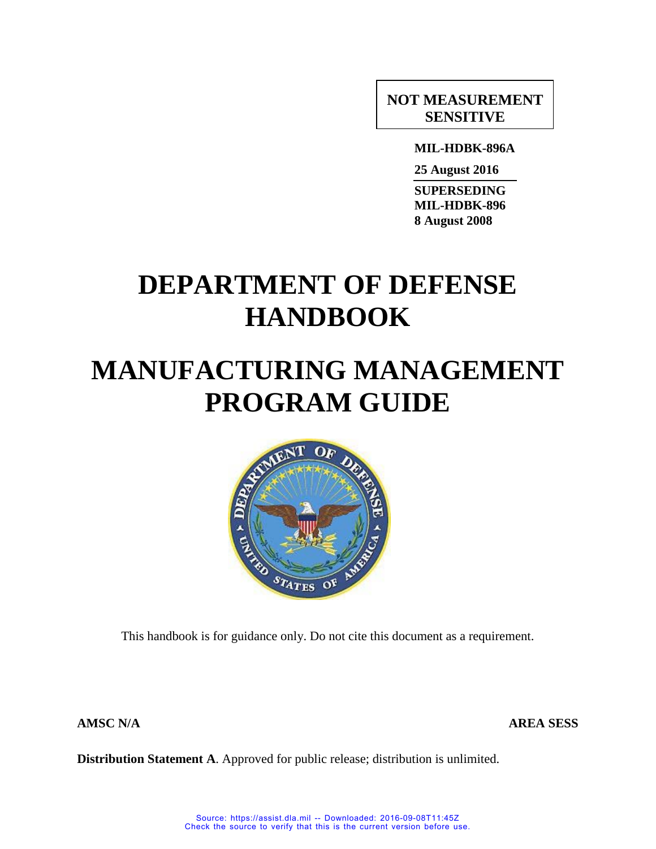# **NOT MEASUREMENT SENSITIVE**

**MIL-HDBK-896A**

**25 August 2016**

**SUPERSEDING MIL-HDBK-896 8 August 2008**

# **DEPARTMENT OF DEFENSE HANDBOOK**

# **MANUFACTURING MANAGEMENT PROGRAM GUIDE**



This handbook is for guidance only. Do not cite this document as a requirement.

**AMSC N/A AREA SESS**

**Distribution Statement A**. Approved for public release; distribution is unlimited.

Source: https://assist.dla.mil -- Downloaded: 2016-09-08T11:45Z Check the source to verify that this is the current version before use.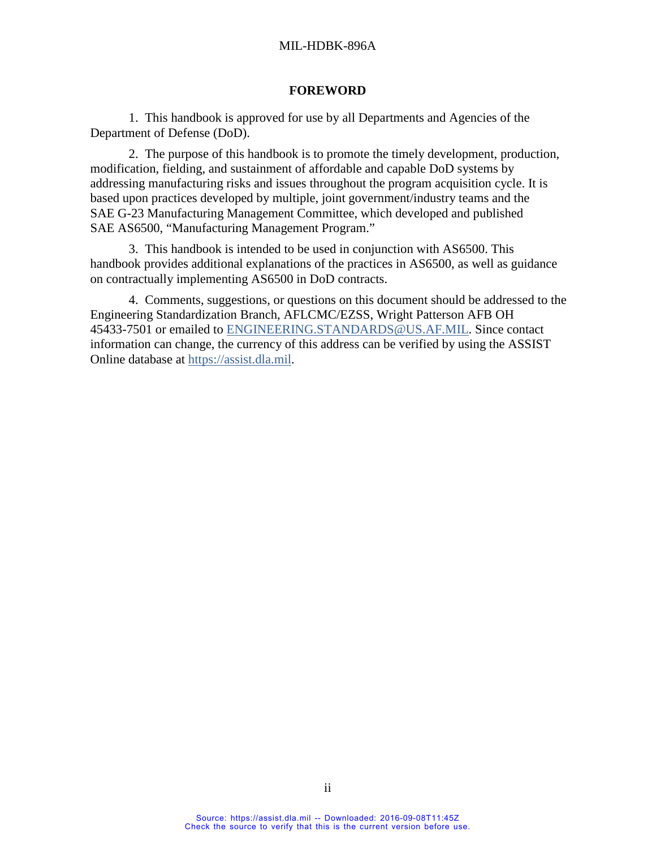#### **FOREWORD**

1. This handbook is approved for use by all Departments and Agencies of the Department of Defense (DoD).

2. The purpose of this handbook is to promote the timely development, production, modification, fielding, and sustainment of affordable and capable DoD systems by addressing manufacturing risks and issues throughout the program acquisition cycle. It is based upon practices developed by multiple, joint government/industry teams and the SAE G-23 Manufacturing Management Committee, which developed and published SAE AS6500, "Manufacturing Management Program."

3. This handbook is intended to be used in conjunction with AS6500. This handbook provides additional explanations of the practices in AS6500, as well as guidance on contractually implementing AS6500 in DoD contracts.

4. Comments, suggestions, or questions on this document should be addressed to the Engineering Standardization Branch, AFLCMC/EZSS, Wright Patterson AFB OH 45433-7501 or emailed to ENGINEERING.STANDARDS@US.AF.MIL. Since contact information can change, the currency of this address can be verified by using the ASSIST Online database at [https://assist.dla.mil.](https://assist.dla.mil/)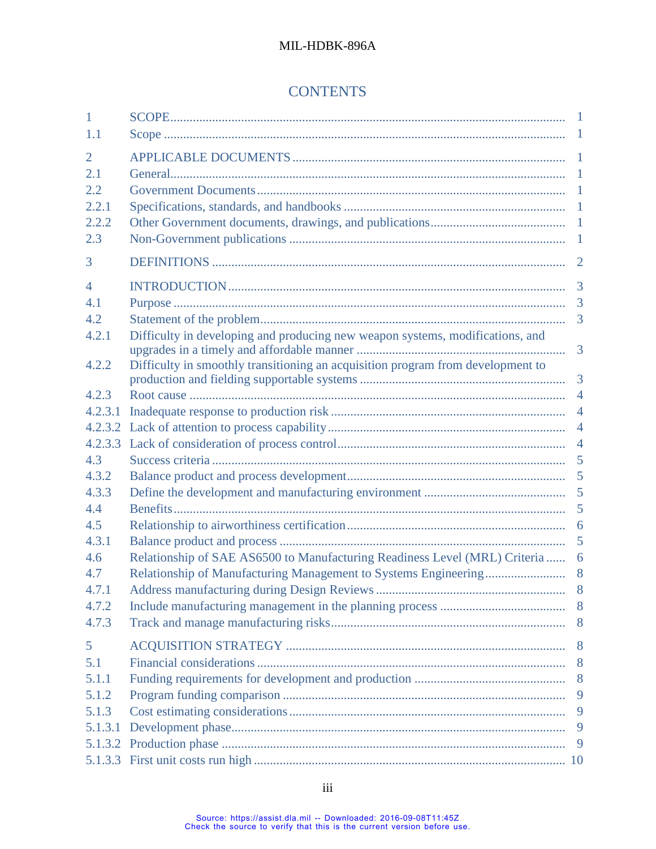# **CONTENTS**

| 1              |                                                                                 |                |
|----------------|---------------------------------------------------------------------------------|----------------|
| 1.1            |                                                                                 |                |
| $\overline{2}$ |                                                                                 |                |
| 2.1            |                                                                                 |                |
| 2.2            |                                                                                 |                |
| 2.2.1          |                                                                                 |                |
| 2.2.2          |                                                                                 |                |
| 2.3            |                                                                                 |                |
| 3              |                                                                                 | $\overline{2}$ |
| $\overline{4}$ |                                                                                 | $\overline{3}$ |
| 4.1            |                                                                                 | 3              |
| 4.2            |                                                                                 | 3              |
| 4.2.1          | Difficulty in developing and producing new weapon systems, modifications, and   | $\overline{3}$ |
| 4.2.2          | Difficulty in smoothly transitioning an acquisition program from development to |                |
|                |                                                                                 |                |
| 4.2.3          |                                                                                 | $\overline{4}$ |
| 4.2.3.1        |                                                                                 | $\overline{4}$ |
|                |                                                                                 |                |
| 4.2.3.3        |                                                                                 | $\overline{4}$ |
| 4.3            |                                                                                 | 5              |
| 4.3.2          |                                                                                 |                |
| 4.3.3          |                                                                                 |                |
| 4.4            |                                                                                 | 5              |
| 4.5            |                                                                                 |                |
| 4.3.1          |                                                                                 | 5              |
| 4.6            | Relationship of SAE AS6500 to Manufacturing Readiness Level (MRL) Criteria  6   |                |
| 4.7            |                                                                                 | 8 <sup>8</sup> |
| 4.7.1          |                                                                                 |                |
| 4.7.2          |                                                                                 |                |
| 4.7.3          |                                                                                 |                |
| 5              |                                                                                 |                |
| 5.1            |                                                                                 | 8              |
| 5.1.1          |                                                                                 |                |
| 5.1.2          |                                                                                 | 9              |
| 5.1.3          |                                                                                 |                |
| 5.1.3.1        |                                                                                 | 9              |
|                |                                                                                 | -9             |
|                |                                                                                 |                |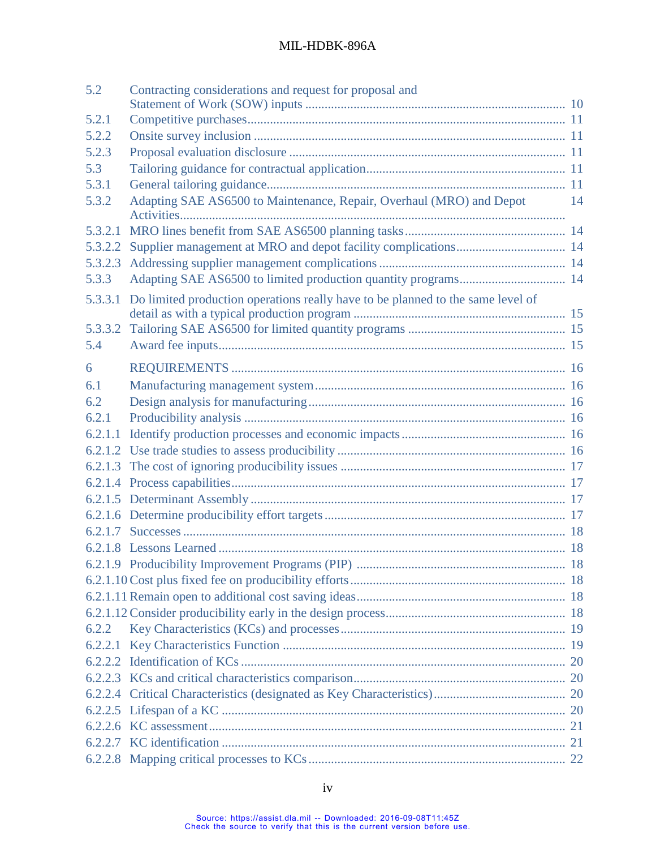| 5.2     | Contracting considerations and request for proposal and                         |     |
|---------|---------------------------------------------------------------------------------|-----|
| 5.2.1   |                                                                                 |     |
| 5.2.2   |                                                                                 |     |
| 5.2.3   |                                                                                 |     |
| 5.3     |                                                                                 |     |
| 5.3.1   |                                                                                 |     |
| 5.3.2   | Adapting SAE AS6500 to Maintenance, Repair, Overhaul (MRO) and Depot            | -14 |
|         |                                                                                 |     |
| 5.3.2.1 |                                                                                 |     |
| 5.3.2.2 |                                                                                 |     |
| 5.3.2.3 |                                                                                 |     |
| 5.3.3   |                                                                                 |     |
| 5.3.3.1 | Do limited production operations really have to be planned to the same level of |     |
|         |                                                                                 |     |
| 5.3.3.2 |                                                                                 |     |
| 5.4     |                                                                                 |     |
| 6       |                                                                                 |     |
| 6.1     |                                                                                 |     |
| 6.2     |                                                                                 |     |
| 6.2.1   |                                                                                 |     |
| 6.2.1.1 |                                                                                 |     |
|         |                                                                                 |     |
|         |                                                                                 |     |
|         |                                                                                 |     |
|         |                                                                                 |     |
|         |                                                                                 |     |
|         |                                                                                 |     |
|         |                                                                                 |     |
|         |                                                                                 |     |
|         |                                                                                 |     |
|         |                                                                                 |     |
|         |                                                                                 |     |
| 6.2.2   |                                                                                 |     |
|         |                                                                                 |     |
|         |                                                                                 |     |
|         |                                                                                 |     |
|         |                                                                                 |     |
|         |                                                                                 |     |
|         |                                                                                 |     |
|         |                                                                                 |     |
|         |                                                                                 |     |
|         |                                                                                 |     |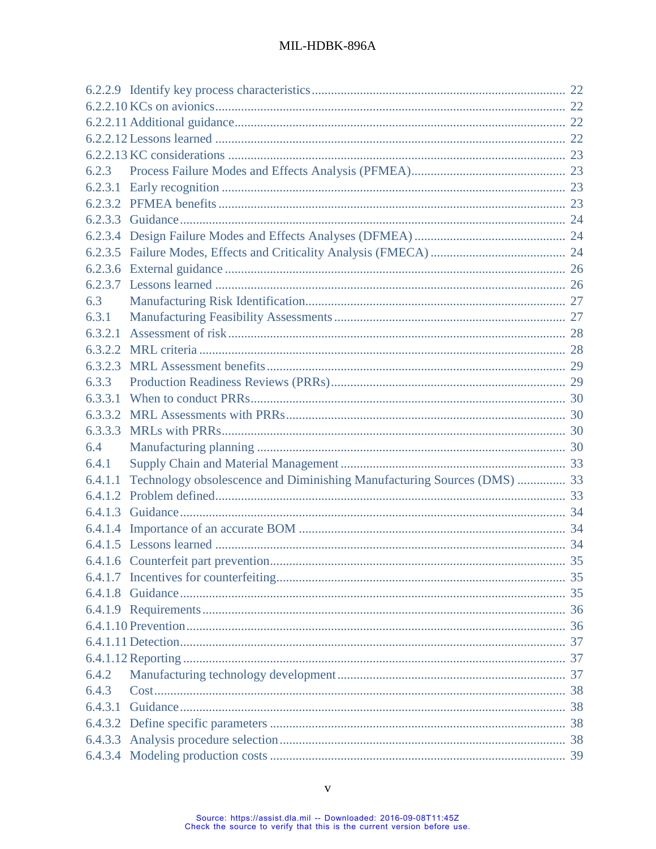| 6.2.3   |                                                                         |  |
|---------|-------------------------------------------------------------------------|--|
|         |                                                                         |  |
|         |                                                                         |  |
|         |                                                                         |  |
|         |                                                                         |  |
|         |                                                                         |  |
|         |                                                                         |  |
|         |                                                                         |  |
| 6.3     |                                                                         |  |
| 6.3.1   |                                                                         |  |
| 6.3.2.1 |                                                                         |  |
|         |                                                                         |  |
|         |                                                                         |  |
| 6.3.3   |                                                                         |  |
| 6.3.3.1 |                                                                         |  |
|         |                                                                         |  |
| 6.3.3.3 |                                                                         |  |
| 6.4     |                                                                         |  |
| 6.4.1   |                                                                         |  |
| 6.4.1.1 | Technology obsolescence and Diminishing Manufacturing Sources (DMS)  33 |  |
|         |                                                                         |  |
|         |                                                                         |  |
|         |                                                                         |  |
|         |                                                                         |  |
|         |                                                                         |  |
|         |                                                                         |  |
|         |                                                                         |  |
|         |                                                                         |  |
|         |                                                                         |  |
|         |                                                                         |  |
|         |                                                                         |  |
| 6.4.2   |                                                                         |  |
| 6.4.3   |                                                                         |  |
| 6.4.3.1 |                                                                         |  |
|         |                                                                         |  |
|         |                                                                         |  |
|         |                                                                         |  |
|         |                                                                         |  |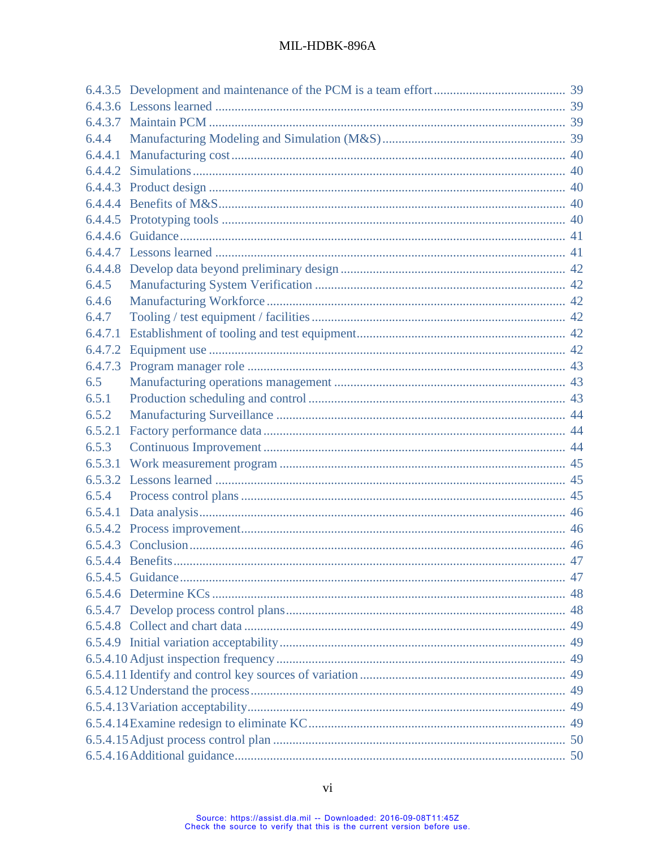| 6.4.4   |                  |    |
|---------|------------------|----|
| 6.4.4.1 |                  |    |
|         |                  |    |
|         |                  |    |
|         |                  |    |
|         |                  |    |
|         |                  |    |
|         |                  |    |
|         |                  |    |
| 6.4.5   |                  |    |
| 6.4.6   |                  |    |
| 6.4.7   |                  |    |
| 6.4.7.1 |                  |    |
|         |                  |    |
| 6.4.7.3 |                  |    |
| 6.5     |                  |    |
| 6.5.1   |                  |    |
| 6.5.2   |                  |    |
| 6.5.2.1 |                  |    |
| 6.5.3   |                  |    |
| 6.5.3.1 |                  |    |
|         |                  |    |
| 6.5.4   |                  |    |
|         |                  |    |
|         |                  |    |
|         |                  |    |
|         | 6.5.4.4 Benefits | 47 |
|         |                  |    |
|         |                  |    |
|         |                  |    |
|         |                  |    |
|         |                  |    |
|         |                  |    |
|         |                  |    |
|         |                  |    |
|         |                  |    |
|         |                  |    |
|         |                  |    |
|         |                  |    |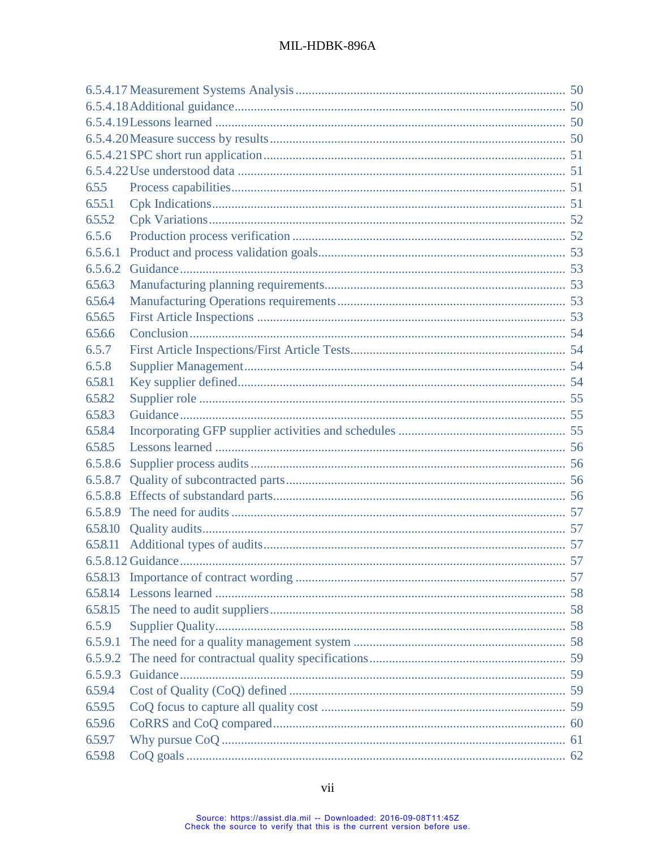| 6.5.5    |  |  |  |
|----------|--|--|--|
| 6.5.5.1  |  |  |  |
| 6.5.5.2  |  |  |  |
| 6.5.6    |  |  |  |
| 6.5.6.1  |  |  |  |
| 6.5.6.2  |  |  |  |
| 6.5.6.3  |  |  |  |
| 6.5.6.4  |  |  |  |
| 6.5.6.5  |  |  |  |
| 6.5.6.6  |  |  |  |
| 6.5.7    |  |  |  |
| 6.5.8    |  |  |  |
| 6.5.8.1  |  |  |  |
| 6.5.8.2  |  |  |  |
| 6.5.8.3  |  |  |  |
| 6.5.8.4  |  |  |  |
| 6.5.8.5  |  |  |  |
| 6.5.8.6  |  |  |  |
| 6.5.8.7  |  |  |  |
| 6.5.8.8  |  |  |  |
| 6.5.8.9  |  |  |  |
| 6.5.8.10 |  |  |  |
| 6.5.8.11 |  |  |  |
|          |  |  |  |
|          |  |  |  |
|          |  |  |  |
| 6.5.8.15 |  |  |  |
| 6.5.9    |  |  |  |
| 6.5.9.1  |  |  |  |
| 6.5.9.2  |  |  |  |
| 6.5.9.3  |  |  |  |
| 6.5.9.4  |  |  |  |
| 6.5.9.5  |  |  |  |
| 6.5.9.6  |  |  |  |
| 6.5.9.7  |  |  |  |
| 6.5.9.8  |  |  |  |
|          |  |  |  |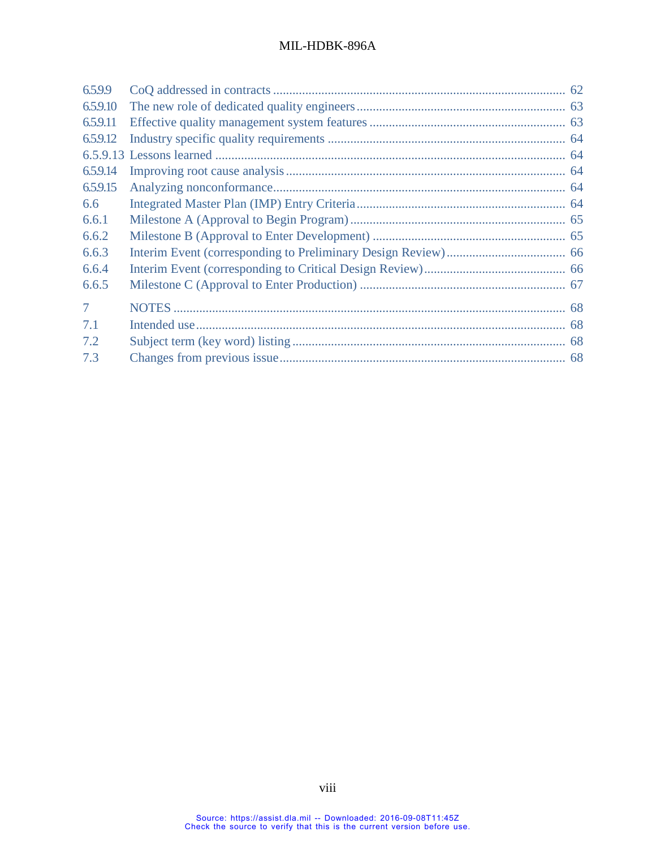| 6.5.9.9        |  |
|----------------|--|
| 6.5.9.10       |  |
| 6.5.9.11       |  |
| 6.5.9.12       |  |
|                |  |
| 6.5.9.14       |  |
| 6.5.9.15       |  |
| 6.6            |  |
| 6.6.1          |  |
| 6.6.2          |  |
| 6.6.3          |  |
| 6.6.4          |  |
| 6.6.5          |  |
| $\overline{7}$ |  |
| 7.1            |  |
| 7.2            |  |
| 7.3            |  |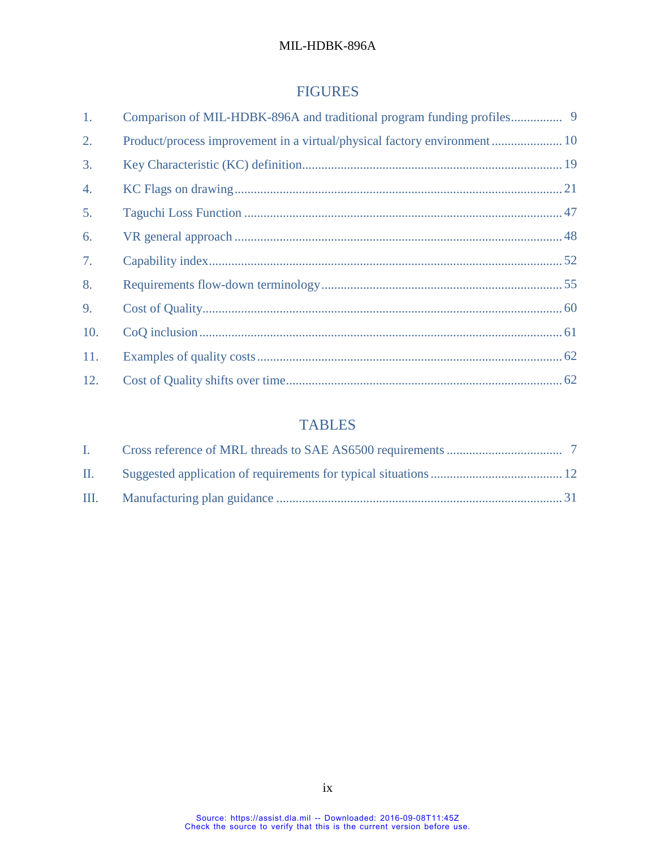# FIGURES

| 1.  |                                                                          |  |
|-----|--------------------------------------------------------------------------|--|
| 2.  | Product/process improvement in a virtual/physical factory environment 10 |  |
| 3.  |                                                                          |  |
| 4.  |                                                                          |  |
| 5.  |                                                                          |  |
| 6.  |                                                                          |  |
| 7.  |                                                                          |  |
| 8.  |                                                                          |  |
| 9.  |                                                                          |  |
| 10. |                                                                          |  |
| 11. |                                                                          |  |
| 12. |                                                                          |  |

# TABLES

| $\mathbf{L}$ |  |
|--------------|--|
| $\Pi$ .      |  |
|              |  |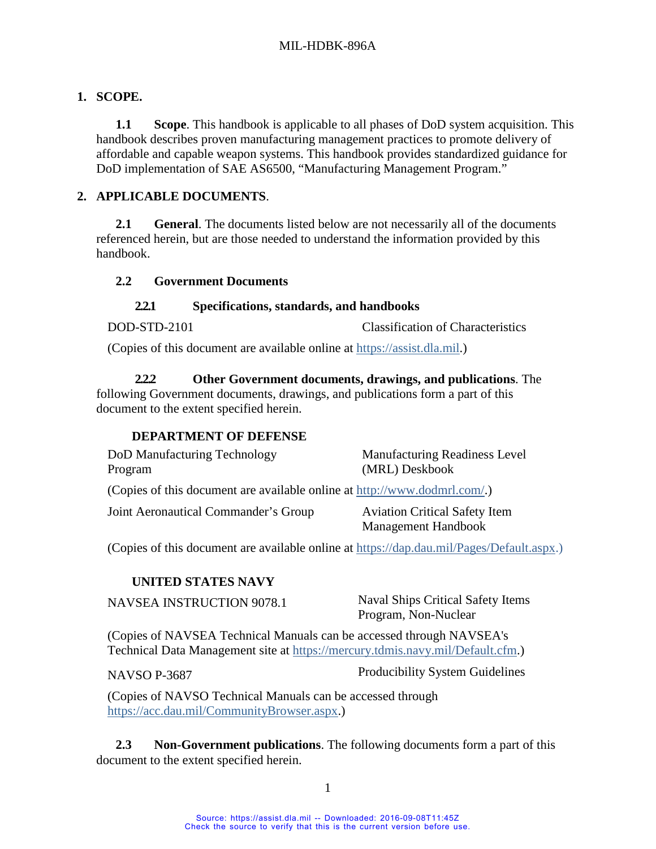# <span id="page-9-1"></span><span id="page-9-0"></span>**1. SCOPE.**

**1.1 Scope**. This handbook is applicable to all phases of DoD system acquisition. This handbook describes proven manufacturing management practices to promote delivery of affordable and capable weapon systems. This handbook provides standardized guidance for DoD implementation of SAE AS6500, "Manufacturing Management Program."

## <span id="page-9-3"></span><span id="page-9-2"></span>**2. APPLICABLE DOCUMENTS**.

**2.1 General**. The documents listed below are not necessarily all of the documents referenced herein, but are those needed to understand the information provided by this handbook.

## <span id="page-9-4"></span>**2.2 Government Documents**

## **2.2.1 Specifications, standards, and handbooks**

<span id="page-9-5"></span>DOD-STD-2101 Classification of Characteristics

(Copies of this document are available online at [https://assist.dla.mil.](https://assist.dla.mil/))

<span id="page-9-6"></span>**2.2.2 Other Government documents, drawings, and publications**. The following Government documents, drawings, and publications form a part of this document to the extent specified herein.

## **DEPARTMENT OF DEFENSE**

| DoD Manufacturing Technology                                              | Manufacturing Readiness Level        |
|---------------------------------------------------------------------------|--------------------------------------|
| Program                                                                   | (MRL) Deskbook                       |
| (Copies of this document are available online at http://www.dodmrl.com/.) |                                      |
| Joint Aeronautical Commander's Group                                      | <b>Aviation Critical Safety Item</b> |
|                                                                           | Management Handbook                  |

(Copies of this document are available online at [https://dap.dau.mil/Pages/Default.aspx.](https://dap.dau.mil/Pages/Default.aspx))

## **UNITED STATES NAVY**

NAVSEA INSTRUCTION 9078.1 Naval Ships Critical Safety Items Program, Non-Nuclear

(Copies of NAVSEA Technical Manuals can be accessed through NAVSEA's Technical Data Management site at [https://mercury.tdmis.navy.mil/Default.cfm.](https://mercury.tdmis.navy.mil/Default.cfm))

NAVSO P-3687 Producibility System Guidelines

(Copies of NAVSO Technical Manuals can be accessed through [https://acc.dau.mil/CommunityBrowser.aspx.](https://acc.dau.mil/CommunityBrowser.aspx))

<span id="page-9-7"></span>**2.3 Non-Government publications**. The following documents form a part of this document to the extent specified herein.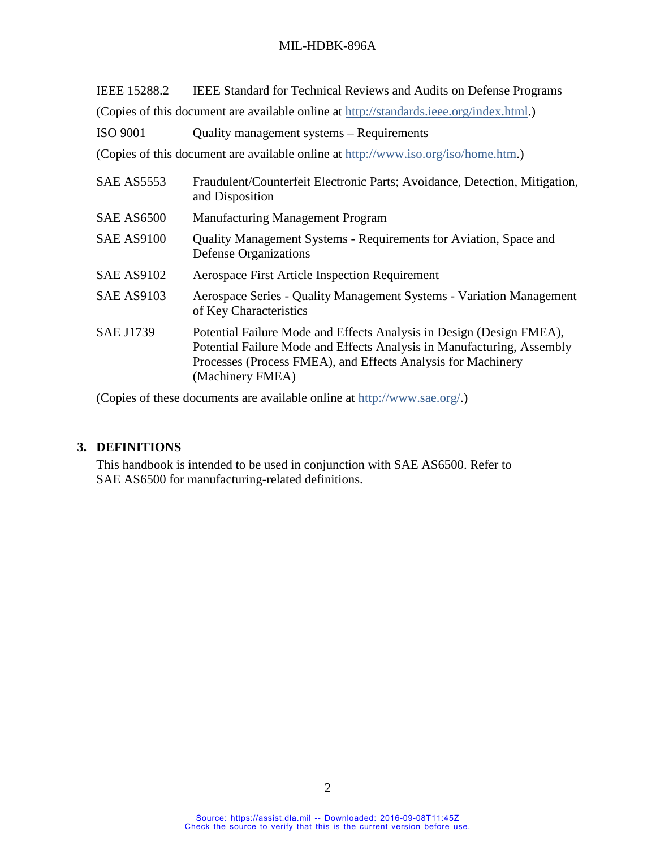| IEEE 15288.2      | <b>IEEE Standard for Technical Reviews and Audits on Defense Programs</b>                                                                                                                                                          |
|-------------------|------------------------------------------------------------------------------------------------------------------------------------------------------------------------------------------------------------------------------------|
|                   | (Copies of this document are available online at http://standards.ieee.org/index.html.)                                                                                                                                            |
| <b>ISO 9001</b>   | Quality management systems - Requirements                                                                                                                                                                                          |
|                   | (Copies of this document are available online at http://www.iso.org/iso/home.htm.)                                                                                                                                                 |
| SAE AS5553        | Fraudulent/Counterfeit Electronic Parts; Avoidance, Detection, Mitigation,<br>and Disposition                                                                                                                                      |
| <b>SAE AS6500</b> | <b>Manufacturing Management Program</b>                                                                                                                                                                                            |
| <b>SAE AS9100</b> | Quality Management Systems - Requirements for Aviation, Space and<br><b>Defense Organizations</b>                                                                                                                                  |
| <b>SAE AS9102</b> | <b>Aerospace First Article Inspection Requirement</b>                                                                                                                                                                              |
| <b>SAE AS9103</b> | Aerospace Series - Quality Management Systems - Variation Management<br>of Key Characteristics                                                                                                                                     |
| <b>SAE J1739</b>  | Potential Failure Mode and Effects Analysis in Design (Design FMEA),<br>Potential Failure Mode and Effects Analysis in Manufacturing, Assembly<br>Processes (Process FMEA), and Effects Analysis for Machinery<br>(Machinery FMEA) |

(Copies of these documents are available online at [http://www.sae.org/.](http://www.sae.org/))

## <span id="page-10-0"></span>**3. DEFINITIONS**

This handbook is intended to be used in conjunction with SAE AS6500. Refer to SAE AS6500 for manufacturing-related definitions.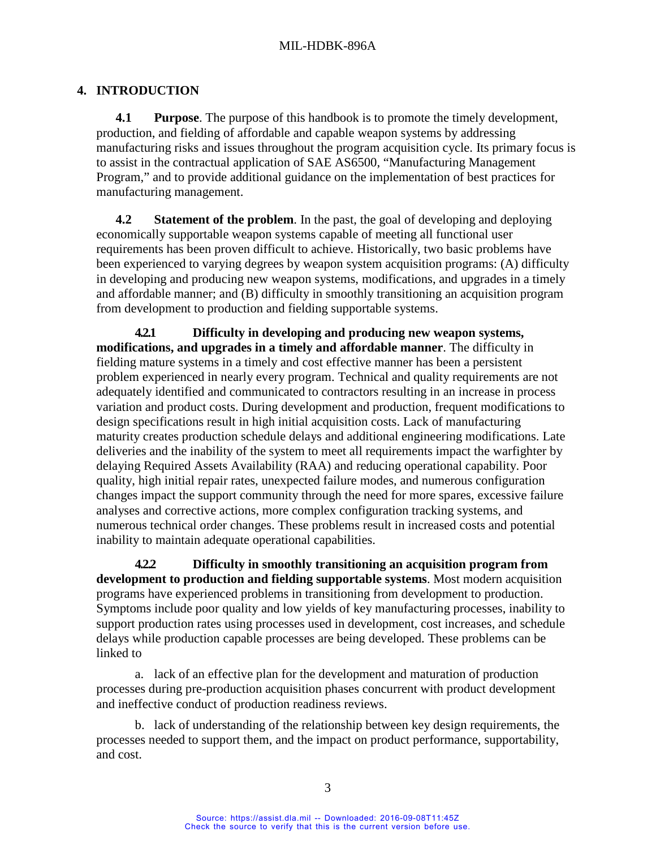# <span id="page-11-1"></span><span id="page-11-0"></span>**4. INTRODUCTION**

**4.1 Purpose**. The purpose of this handbook is to promote the timely development, production, and fielding of affordable and capable weapon systems by addressing manufacturing risks and issues throughout the program acquisition cycle. Its primary focus is to assist in the contractual application of SAE AS6500, "Manufacturing Management Program," and to provide additional guidance on the implementation of best practices for manufacturing management.

<span id="page-11-2"></span>**4.2 Statement of the problem**. In the past, the goal of developing and deploying economically supportable weapon systems capable of meeting all functional user requirements has been proven difficult to achieve. Historically, two basic problems have been experienced to varying degrees by weapon system acquisition programs: (A) difficulty in developing and producing new weapon systems, modifications, and upgrades in a timely and affordable manner; and (B) difficulty in smoothly transitioning an acquisition program from development to production and fielding supportable systems.

<span id="page-11-3"></span>**4.2.1 Difficulty in developing and producing new weapon systems, modifications, and upgrades in a timely and affordable manner**. The difficulty in fielding mature systems in a timely and cost effective manner has been a persistent problem experienced in nearly every program. Technical and quality requirements are not adequately identified and communicated to contractors resulting in an increase in process variation and product costs. During development and production, frequent modifications to design specifications result in high initial acquisition costs. Lack of manufacturing maturity creates production schedule delays and additional engineering modifications. Late deliveries and the inability of the system to meet all requirements impact the warfighter by delaying Required Assets Availability (RAA) and reducing operational capability. Poor quality, high initial repair rates, unexpected failure modes, and numerous configuration changes impact the support community through the need for more spares, excessive failure analyses and corrective actions, more complex configuration tracking systems, and numerous technical order changes. These problems result in increased costs and potential inability to maintain adequate operational capabilities.

<span id="page-11-4"></span>**4.2.2 Difficulty in smoothly transitioning an acquisition program from development to production and fielding supportable systems**. Most modern acquisition programs have experienced problems in transitioning from development to production. Symptoms include poor quality and low yields of key manufacturing processes, inability to support production rates using processes used in development, cost increases, and schedule delays while production capable processes are being developed. These problems can be linked to

a. lack of an effective plan for the development and maturation of production processes during pre-production acquisition phases concurrent with product development and ineffective conduct of production readiness reviews.

b. lack of understanding of the relationship between key design requirements, the processes needed to support them, and the impact on product performance, supportability, and cost.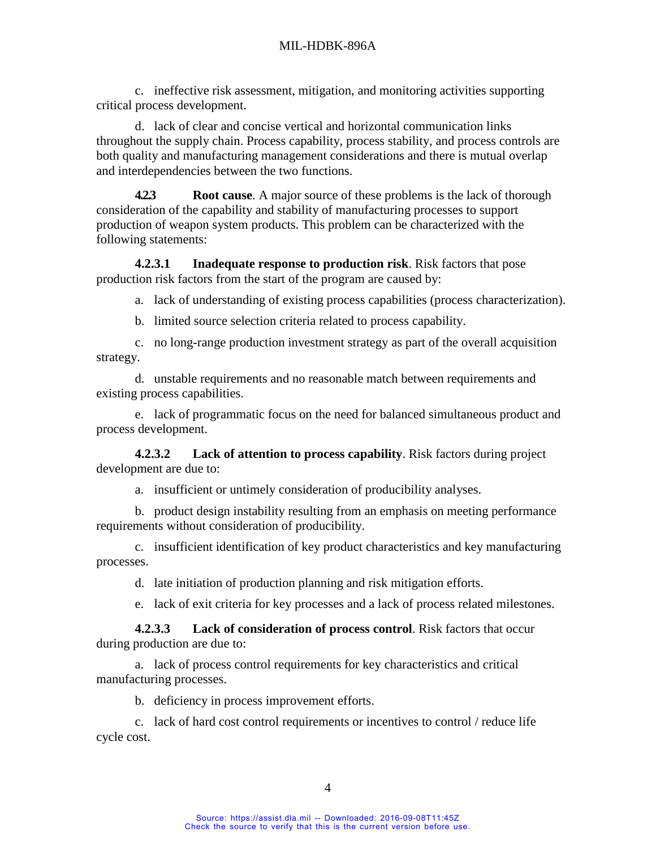c. ineffective risk assessment, mitigation, and monitoring activities supporting critical process development.

d. lack of clear and concise vertical and horizontal communication links throughout the supply chain. Process capability, process stability, and process controls are both quality and manufacturing management considerations and there is mutual overlap and interdependencies between the two functions.

<span id="page-12-0"></span>**4.2.3 Root cause**. A major source of these problems is the lack of thorough consideration of the capability and stability of manufacturing processes to support production of weapon system products. This problem can be characterized with the following statements:

<span id="page-12-1"></span>**4.2.3.1 Inadequate response to production risk**. Risk factors that pose production risk factors from the start of the program are caused by:

a. lack of understanding of existing process capabilities (process characterization).

b. limited source selection criteria related to process capability.

c. no long-range production investment strategy as part of the overall acquisition strategy.

d. unstable requirements and no reasonable match between requirements and existing process capabilities.

e. lack of programmatic focus on the need for balanced simultaneous product and process development.

<span id="page-12-2"></span>**4.2.3.2 Lack of attention to process capability**. Risk factors during project development are due to:

a. insufficient or untimely consideration of producibility analyses.

b. product design instability resulting from an emphasis on meeting performance requirements without consideration of producibility.

c. insufficient identification of key product characteristics and key manufacturing processes.

d. late initiation of production planning and risk mitigation efforts.

e. lack of exit criteria for key processes and a lack of process related milestones.

<span id="page-12-3"></span>**4.2.3.3 Lack of consideration of process control**. Risk factors that occur during production are due to:

a. lack of process control requirements for key characteristics and critical manufacturing processes.

b. deficiency in process improvement efforts.

c. lack of hard cost control requirements or incentives to control / reduce life cycle cost.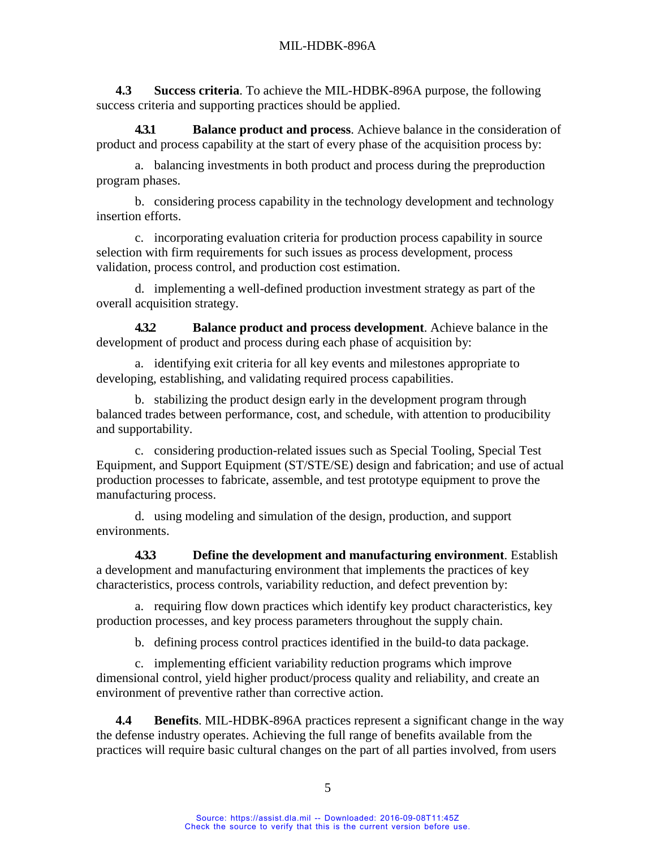<span id="page-13-0"></span>**4.3 Success criteria**. To achieve the MIL-HDBK-896A purpose, the following success criteria and supporting practices should be applied.

<span id="page-13-4"></span>**4.3.1 Balance product and process**. Achieve balance in the consideration of product and process capability at the start of every phase of the acquisition process by:

a. balancing investments in both product and process during the preproduction program phases.

b. considering process capability in the technology development and technology insertion efforts.

c. incorporating evaluation criteria for production process capability in source selection with firm requirements for such issues as process development, process validation, process control, and production cost estimation.

d. implementing a well-defined production investment strategy as part of the overall acquisition strategy.

<span id="page-13-1"></span>**4.3.2 Balance product and process development**. Achieve balance in the development of product and process during each phase of acquisition by:

a. identifying exit criteria for all key events and milestones appropriate to developing, establishing, and validating required process capabilities.

b. stabilizing the product design early in the development program through balanced trades between performance, cost, and schedule, with attention to producibility and supportability.

c. considering production-related issues such as Special Tooling, Special Test Equipment, and Support Equipment (ST/STE/SE) design and fabrication; and use of actual production processes to fabricate, assemble, and test prototype equipment to prove the manufacturing process.

d. using modeling and simulation of the design, production, and support environments.

<span id="page-13-2"></span>**4.3.3 Define the development and manufacturing environment**. Establish a development and manufacturing environment that implements the practices of key characteristics, process controls, variability reduction, and defect prevention by:

a. requiring flow down practices which identify key product characteristics, key production processes, and key process parameters throughout the supply chain.

b. defining process control practices identified in the build-to data package.

c. implementing efficient variability reduction programs which improve dimensional control, yield higher product/process quality and reliability, and create an environment of preventive rather than corrective action.

<span id="page-13-3"></span>**4.4 Benefits**. MIL-HDBK-896A practices represent a significant change in the way the defense industry operates. Achieving the full range of benefits available from the practices will require basic cultural changes on the part of all parties involved, from users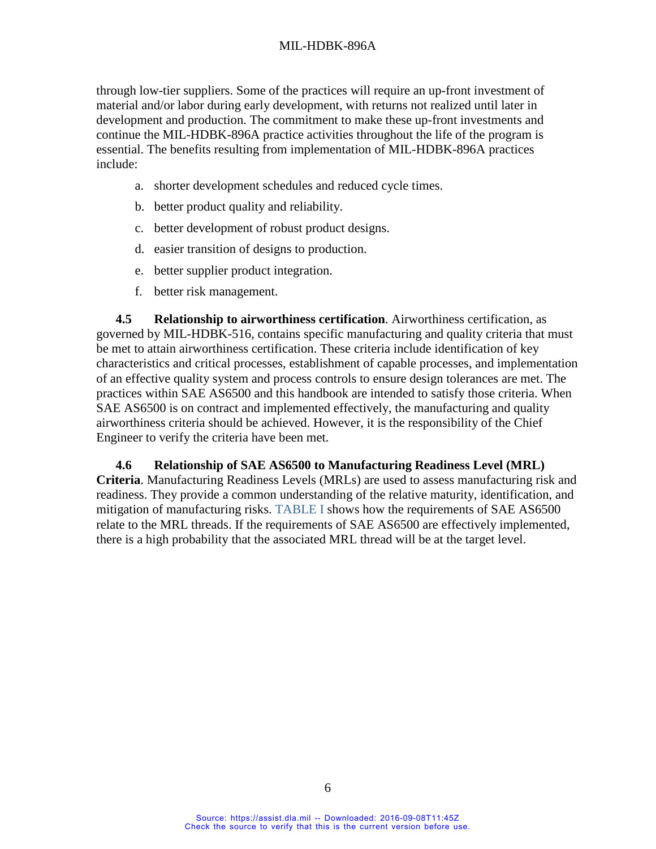through low-tier suppliers. Some of the practices will require an up-front investment of material and/or labor during early development, with returns not realized until later in development and production. The commitment to make these up-front investments and continue the MIL-HDBK-896A practice activities throughout the life of the program is essential. The benefits resulting from implementation of MIL-HDBK-896A practices include:

- a. shorter development schedules and reduced cycle times.
- b. better product quality and reliability.
- c. better development of robust product designs.
- d. easier transition of designs to production.
- e. better supplier product integration.
- f. better risk management.

<span id="page-14-0"></span>**4.5 Relationship to airworthiness certification**. Airworthiness certification, as governed by MIL-HDBK-516, contains specific manufacturing and quality criteria that must be met to attain airworthiness certification. These criteria include identification of key characteristics and critical processes, establishment of capable processes, and implementation of an effective quality system and process controls to ensure design tolerances are met. The practices within SAE AS6500 and this handbook are intended to satisfy those criteria. When SAE AS6500 is on contract and implemented effectively, the manufacturing and quality airworthiness criteria should be achieved. However, it is the responsibility of the Chief Engineer to verify the criteria have been met.

<span id="page-14-1"></span>**4.6 Relationship of SAE AS6500 to Manufacturing Readiness Level (MRL) Criteria**. Manufacturing Readiness Levels (MRLs) are used to assess manufacturing risk and readiness. They provide a common understanding of the relative maturity, identification, and mitigation of manufacturing risks. [TABLE I](#page-15-1) shows how the requirements of SAE AS6500 relate to the MRL threads. If the requirements of SAE AS6500 are effectively implemented, there is a high probability that the associated MRL thread will be at the target level.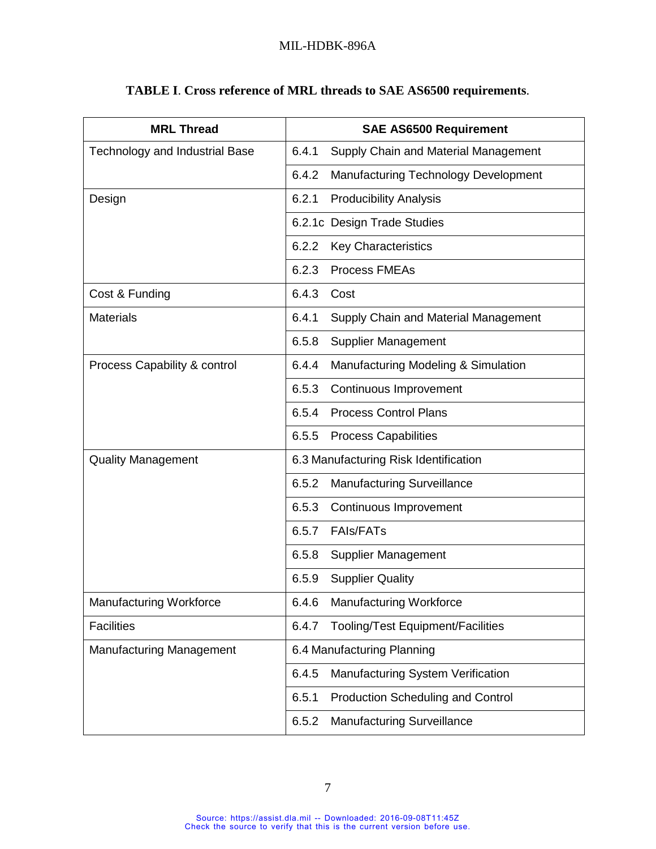<span id="page-15-1"></span>

| <b>MRL Thread</b>                     | <b>SAE AS6500 Requirement</b>                     |  |  |  |
|---------------------------------------|---------------------------------------------------|--|--|--|
| <b>Technology and Industrial Base</b> | 6.4.1<br>Supply Chain and Material Management     |  |  |  |
|                                       | 6.4.2<br>Manufacturing Technology Development     |  |  |  |
| Design                                | 6.2.1<br><b>Producibility Analysis</b>            |  |  |  |
|                                       | 6.2.1c Design Trade Studies                       |  |  |  |
|                                       | 6.2.2<br><b>Key Characteristics</b>               |  |  |  |
|                                       | 6.2.3<br><b>Process FMEAs</b>                     |  |  |  |
| Cost & Funding                        | 6.4.3<br>Cost                                     |  |  |  |
| <b>Materials</b>                      | 6.4.1<br>Supply Chain and Material Management     |  |  |  |
|                                       | <b>Supplier Management</b><br>6.5.8               |  |  |  |
| Process Capability & control          | 6.4.4<br>Manufacturing Modeling & Simulation      |  |  |  |
|                                       | 6.5.3<br>Continuous Improvement                   |  |  |  |
|                                       | <b>Process Control Plans</b><br>6.5.4             |  |  |  |
|                                       | 6.5.5<br><b>Process Capabilities</b>              |  |  |  |
| <b>Quality Management</b>             | 6.3 Manufacturing Risk Identification             |  |  |  |
|                                       | 6.5.2<br><b>Manufacturing Surveillance</b>        |  |  |  |
|                                       | 6.5.3<br>Continuous Improvement                   |  |  |  |
|                                       | <b>FAIs/FATs</b><br>6.5.7                         |  |  |  |
|                                       | 6.5.8<br>Supplier Management                      |  |  |  |
|                                       | 6.5.9<br><b>Supplier Quality</b>                  |  |  |  |
| Manufacturing Workforce               | Manufacturing Workforce<br>6.4.6                  |  |  |  |
| <b>Facilities</b>                     | <b>Tooling/Test Equipment/Facilities</b><br>6.4.7 |  |  |  |
| <b>Manufacturing Management</b>       | 6.4 Manufacturing Planning                        |  |  |  |
|                                       | Manufacturing System Verification<br>6.4.5        |  |  |  |
|                                       | 6.5.1<br><b>Production Scheduling and Control</b> |  |  |  |
|                                       | <b>Manufacturing Surveillance</b><br>6.5.2        |  |  |  |

# <span id="page-15-0"></span>**TABLE I**. **Cross reference of MRL threads to SAE AS6500 requirements**.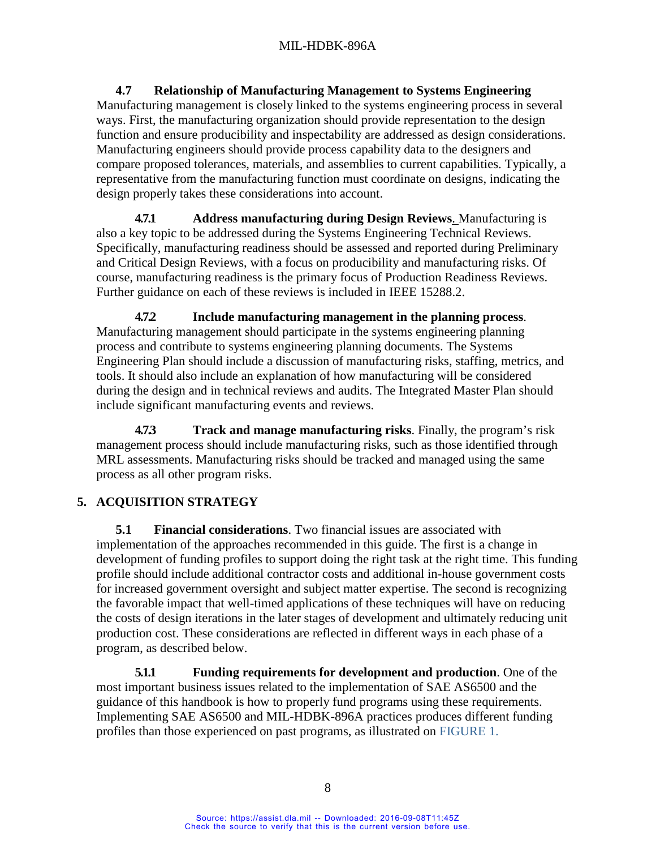<span id="page-16-0"></span>**4.7 Relationship of Manufacturing Management to Systems Engineering** Manufacturing management is closely linked to the systems engineering process in several ways. First, the manufacturing organization should provide representation to the design function and ensure producibility and inspectability are addressed as design considerations. Manufacturing engineers should provide process capability data to the designers and compare proposed tolerances, materials, and assemblies to current capabilities. Typically, a representative from the manufacturing function must coordinate on designs, indicating the design properly takes these considerations into account.

<span id="page-16-1"></span>**4.7.1 Address manufacturing during Design Reviews**. Manufacturing is also a key topic to be addressed during the Systems Engineering Technical Reviews. Specifically, manufacturing readiness should be assessed and reported during Preliminary and Critical Design Reviews, with a focus on producibility and manufacturing risks. Of course, manufacturing readiness is the primary focus of Production Readiness Reviews. Further guidance on each of these reviews is included in IEEE 15288.2.

<span id="page-16-2"></span>**4.7.2 Include manufacturing management in the planning process**. Manufacturing management should participate in the systems engineering planning process and contribute to systems engineering planning documents. The Systems Engineering Plan should include a discussion of manufacturing risks, staffing, metrics, and tools. It should also include an explanation of how manufacturing will be considered during the design and in technical reviews and audits. The Integrated Master Plan should include significant manufacturing events and reviews.

<span id="page-16-3"></span>**4.7.3 Track and manage manufacturing risks**. Finally, the program's risk management process should include manufacturing risks, such as those identified through MRL assessments. Manufacturing risks should be tracked and managed using the same process as all other program risks.

# <span id="page-16-5"></span><span id="page-16-4"></span>**5. ACQUISITION STRATEGY**

**5.1 Financial considerations**. Two financial issues are associated with implementation of the approaches recommended in this guide. The first is a change in development of funding profiles to support doing the right task at the right time. This funding profile should include additional contractor costs and additional in-house government costs for increased government oversight and subject matter expertise. The second is recognizing the favorable impact that well-timed applications of these techniques will have on reducing the costs of design iterations in the later stages of development and ultimately reducing unit production cost. These considerations are reflected in different ways in each phase of a program, as described below.

<span id="page-16-6"></span>**5.1.1 Funding requirements for development and production**. One of the most important business issues related to the implementation of SAE AS6500 and the guidance of this handbook is how to properly fund programs using these requirements. Implementing SAE AS6500 and MIL-HDBK-896A practices produces different funding profiles than those experienced on past programs, as illustrated on [FIGURE 1.](#page-17-5)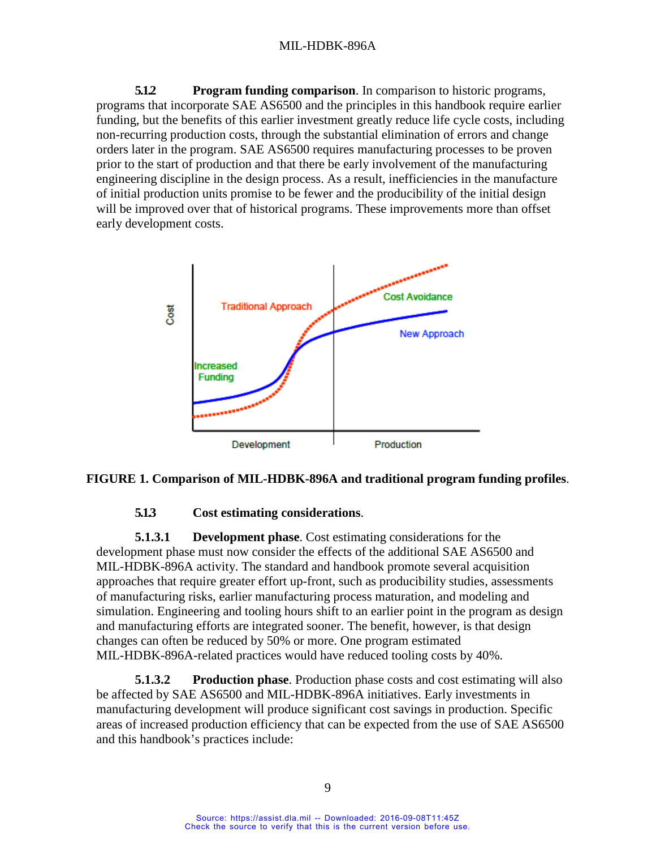<span id="page-17-0"></span>**5.1.2 Program funding comparison**. In comparison to historic programs, programs that incorporate SAE AS6500 and the principles in this handbook require earlier funding, but the benefits of this earlier investment greatly reduce life cycle costs, including non-recurring production costs, through the substantial elimination of errors and change orders later in the program. SAE AS6500 requires manufacturing processes to be proven prior to the start of production and that there be early involvement of the manufacturing engineering discipline in the design process. As a result, inefficiencies in the manufacture of initial production units promise to be fewer and the producibility of the initial design will be improved over that of historical programs. These improvements more than offset early development costs.



#### <span id="page-17-5"></span>**FIGURE 1. Comparison of MIL-HDBK-896A and traditional program funding profiles**.

#### <span id="page-17-4"></span>**5.1.3 Cost estimating considerations**.

<span id="page-17-2"></span><span id="page-17-1"></span>**5.1.3.1 Development phase**. Cost estimating considerations for the development phase must now consider the effects of the additional SAE AS6500 and MIL-HDBK-896A activity. The standard and handbook promote several acquisition approaches that require greater effort up-front, such as producibility studies, assessments of manufacturing risks, earlier manufacturing process maturation, and modeling and simulation. Engineering and tooling hours shift to an earlier point in the program as design and manufacturing efforts are integrated sooner. The benefit, however, is that design changes can often be reduced by 50% or more. One program estimated MIL-HDBK-896A-related practices would have reduced tooling costs by 40%.

<span id="page-17-3"></span>**5.1.3.2 Production phase**. Production phase costs and cost estimating will also be affected by SAE AS6500 and MIL-HDBK-896A initiatives. Early investments in manufacturing development will produce significant cost savings in production. Specific areas of increased production efficiency that can be expected from the use of SAE AS6500 and this handbook's practices include: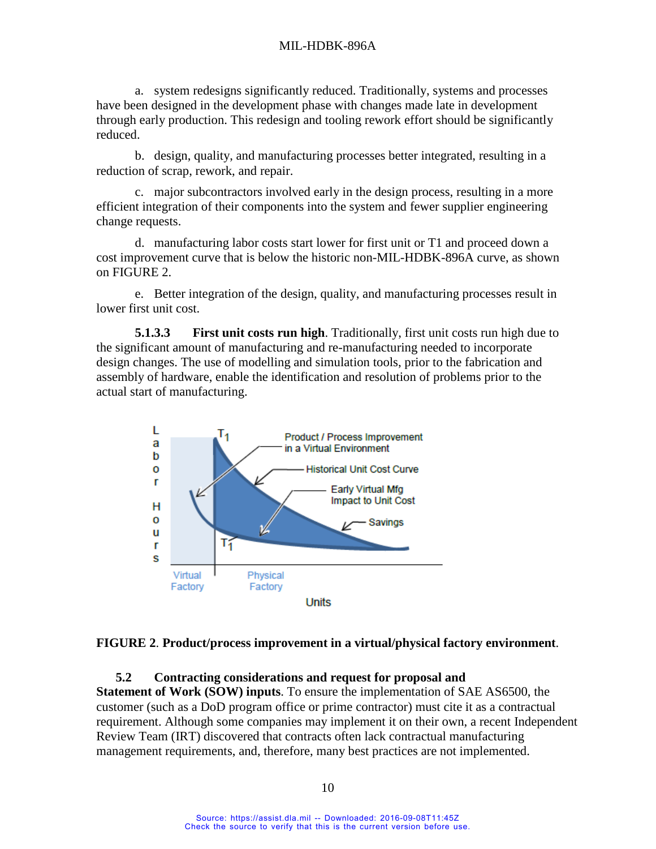a. system redesigns significantly reduced. Traditionally, systems and processes have been designed in the development phase with changes made late in development through early production. This redesign and tooling rework effort should be significantly reduced.

b. design, quality, and manufacturing processes better integrated, resulting in a reduction of scrap, rework, and repair.

c. major subcontractors involved early in the design process, resulting in a more efficient integration of their components into the system and fewer supplier engineering change requests.

d. manufacturing labor costs start lower for first unit or T1 and proceed down a cost improvement curve that is below the historic non-MIL-HDBK-896A curve, as shown on [FIGURE 2.](#page-18-3)

e. Better integration of the design, quality, and manufacturing processes result in lower first unit cost.

<span id="page-18-0"></span>**5.1.3.3 First unit costs run high**. Traditionally, first unit costs run high due to the significant amount of manufacturing and re-manufacturing needed to incorporate design changes. The use of modelling and simulation tools, prior to the fabrication and assembly of hardware, enable the identification and resolution of problems prior to the actual start of manufacturing.



#### <span id="page-18-3"></span><span id="page-18-2"></span>**FIGURE 2**. **Product/process improvement in a virtual/physical factory environment**.

#### **5.2 Contracting considerations and request for proposal and**

<span id="page-18-1"></span>**Statement of Work (SOW) inputs**. To ensure the implementation of SAE AS6500, the customer (such as a DoD program office or prime contractor) must cite it as a contractual requirement. Although some companies may implement it on their own, a recent Independent Review Team (IRT) discovered that contracts often lack contractual manufacturing management requirements, and, therefore, many best practices are not implemented.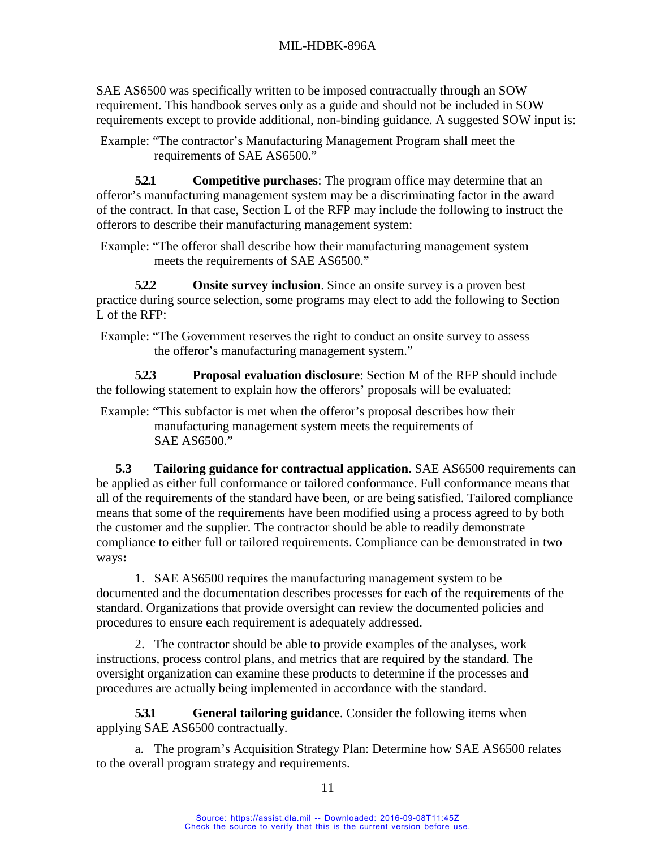SAE AS6500 was specifically written to be imposed contractually through an SOW requirement. This handbook serves only as a guide and should not be included in SOW requirements except to provide additional, non-binding guidance. A suggested SOW input is:

Example: "The contractor's Manufacturing Management Program shall meet the requirements of SAE AS6500."

<span id="page-19-0"></span>**5.2.1 Competitive purchases**: The program office may determine that an offeror's manufacturing management system may be a discriminating factor in the award of the contract. In that case, Section L of the RFP may include the following to instruct the offerors to describe their manufacturing management system:

Example: "The offeror shall describe how their manufacturing management system meets the requirements of SAE AS6500."

<span id="page-19-1"></span>**5.2.2 Onsite survey inclusion**. Since an onsite survey is a proven best practice during source selection, some programs may elect to add the following to Section L of the RFP:

Example: "The Government reserves the right to conduct an onsite survey to assess the offeror's manufacturing management system."

<span id="page-19-2"></span>**5.2.3 Proposal evaluation disclosure**: Section M of the RFP should include the following statement to explain how the offerors' proposals will be evaluated:

Example: "This subfactor is met when the offeror's proposal describes how their manufacturing management system meets the requirements of SAE AS6500."

<span id="page-19-3"></span>**5.3 Tailoring guidance for contractual application**. SAE AS6500 requirements can be applied as either full conformance or tailored conformance. Full conformance means that all of the requirements of the standard have been, or are being satisfied. Tailored compliance means that some of the requirements have been modified using a process agreed to by both the customer and the supplier. The contractor should be able to readily demonstrate compliance to either full or tailored requirements. Compliance can be demonstrated in two ways**:**

1. SAE AS6500 requires the manufacturing management system to be documented and the documentation describes processes for each of the requirements of the standard. Organizations that provide oversight can review the documented policies and procedures to ensure each requirement is adequately addressed.

2. The contractor should be able to provide examples of the analyses, work instructions, process control plans, and metrics that are required by the standard. The oversight organization can examine these products to determine if the processes and procedures are actually being implemented in accordance with the standard.

<span id="page-19-4"></span>**5.3.1 General tailoring guidance**. Consider the following items when applying SAE AS6500 contractually.

a. The program's Acquisition Strategy Plan: Determine how SAE AS6500 relates to the overall program strategy and requirements.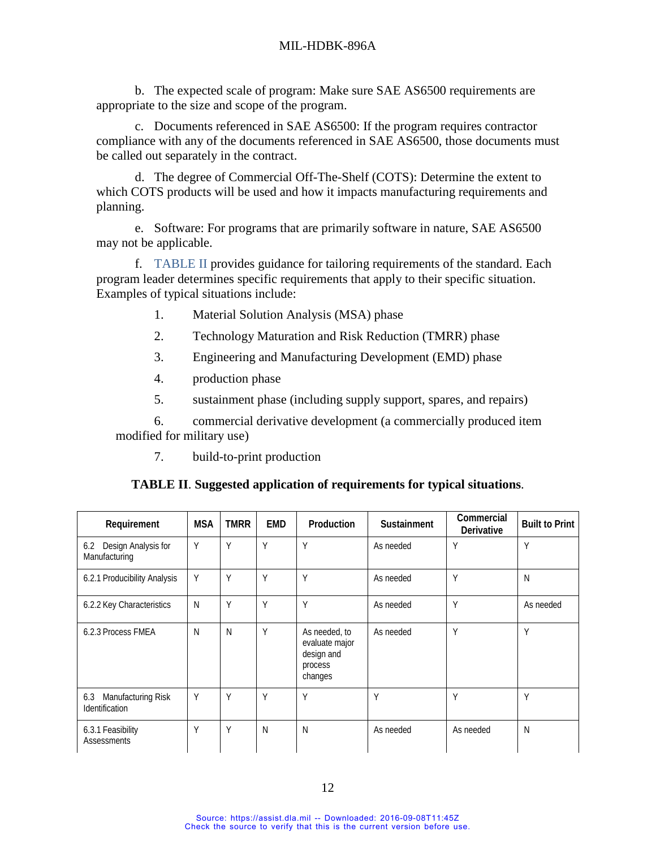b. The expected scale of program: Make sure SAE AS6500 requirements are appropriate to the size and scope of the program.

c. Documents referenced in SAE AS6500: If the program requires contractor compliance with any of the documents referenced in SAE AS6500, those documents must be called out separately in the contract.

d. The degree of Commercial Off-The-Shelf (COTS): Determine the extent to which COTS products will be used and how it impacts manufacturing requirements and planning.

e. Software: For programs that are primarily software in nature, SAE AS6500 may not be applicable.

f. [TABLE II](#page-20-1) provides guidance for tailoring requirements of the standard. Each program leader determines specific requirements that apply to their specific situation. Examples of typical situations include:

- 1. Material Solution Analysis (MSA) phase
- 2. Technology Maturation and Risk Reduction (TMRR) phase
- 3. Engineering and Manufacturing Development (EMD) phase
- 4. production phase
- 5. sustainment phase (including supply support, spares, and repairs)

6. commercial derivative development (a commercially produced item modified for military use)

<span id="page-20-0"></span>7. build-to-print production

|  |  |  | TABLE II. Suggested application of requirements for typical situations. |  |  |
|--|--|--|-------------------------------------------------------------------------|--|--|
|--|--|--|-------------------------------------------------------------------------|--|--|

<span id="page-20-1"></span>

| Requirement                                        | <b>MSA</b> | <b>TMRR</b> | <b>EMD</b> | Production                                                          | <b>Sustainment</b> | Commercial<br>Derivative | <b>Built to Print</b> |
|----------------------------------------------------|------------|-------------|------------|---------------------------------------------------------------------|--------------------|--------------------------|-----------------------|
| 6.2 Design Analysis for<br>Manufacturing           | Y          | Y           | Υ          | Y                                                                   | As needed          | Y                        | Y                     |
| 6.2.1 Producibility Analysis                       | Y          | Y           | Υ          | Y                                                                   | As needed          | Y                        | N                     |
| 6.2.2 Key Characteristics                          | N          | Y           | Υ          | Y                                                                   | As needed          | Y                        | As needed             |
| 6.2.3 Process FMEA                                 | N          | N           | Υ          | As needed, to<br>evaluate major<br>design and<br>process<br>changes | As needed          | Υ                        | Y                     |
| Manufacturing Risk<br>6.3<br><b>Identification</b> | Y          | Y           | Υ          | Υ                                                                   | Υ                  | Υ                        | Y                     |
| 6.3.1 Feasibility<br>Assessments                   | Y          | Y           | N          | Ν                                                                   | As needed          | As needed                | N                     |

Source: https://assist.dla.mil -- Downloaded: 2016-09-08T11:45Z Check the source to verify that this is the current version before use.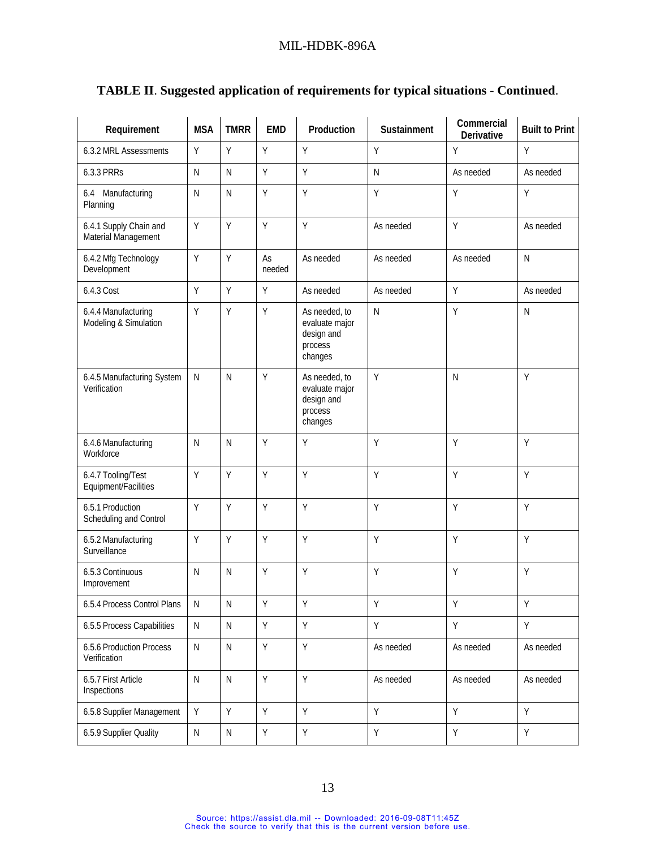| Requirement                                   | <b>MSA</b>   | <b>TMRR</b>  | <b>EMD</b>   | Production                                                          | Sustainment  | Commercial<br>Derivative | <b>Built to Print</b> |
|-----------------------------------------------|--------------|--------------|--------------|---------------------------------------------------------------------|--------------|--------------------------|-----------------------|
| 6.3.2 MRL Assessments                         | Y            | Υ            | Y            | Υ                                                                   | Υ            | Υ                        | Y                     |
| 6.3.3 PRRs                                    | $\mathsf{N}$ | $\mathsf{N}$ | Y            | Y                                                                   | $\mathsf{N}$ | As needed                | As needed             |
| 6.4 Manufacturing<br>Planning                 | $\mathsf{N}$ | $\mathsf{N}$ | Y            | Y                                                                   | Y            | Y                        | Y                     |
| 6.4.1 Supply Chain and<br>Material Management | Y            | Y            | Y            | Y                                                                   | As needed    | Y                        | As needed             |
| 6.4.2 Mfg Technology<br>Development           | Y            | Y            | As<br>needed | As needed                                                           | As needed    | As needed                | $\mathsf{N}$          |
| 6.4.3 Cost                                    | Y            | Y            | Y            | As needed                                                           | As needed    | Y                        | As needed             |
| 6.4.4 Manufacturing<br>Modeling & Simulation  | Y            | Υ            | Υ            | As needed, to<br>evaluate major<br>design and<br>process<br>changes | $\mathsf{N}$ | Y                        | $\mathsf{N}$          |
| 6.4.5 Manufacturing System<br>Verification    | N            | N            | Y            | As needed, to<br>evaluate major<br>design and<br>process<br>changes | Y            | $\mathsf{N}$             | Y                     |
| 6.4.6 Manufacturing<br>Workforce              | $\mathsf{N}$ | $\mathsf{N}$ | Y            | Y                                                                   | Y            | Y                        | Y                     |
| 6.4.7 Tooling/Test<br>Equipment/Facilities    | Y            | Υ            | Y            | Y                                                                   | Y            | Y                        | Y                     |
| 6.5.1 Production<br>Scheduling and Control    | Y            | Y            | Y            | Υ                                                                   | Υ            | Y                        | Y                     |
| 6.5.2 Manufacturing<br>Surveillance           | Y            | Y            | Y            | Y                                                                   | Υ            | Y                        | Y                     |
| 6.5.3 Continuous<br>Improvement               | $\mathsf{N}$ | $\mathsf{N}$ | Y            | Υ                                                                   | Y            | Y                        | Y                     |
| 6.5.4 Process Control Plans                   | N            | ${\sf N}$    | Υ            | Υ                                                                   | Υ            | Υ                        | Υ                     |
| 6.5.5 Process Capabilities                    | $\mathsf{N}$ | $\mathsf{N}$ | Y            | Υ                                                                   | Υ            | Y                        | Y                     |
| 6.5.6 Production Process<br>Verification      | $\mathsf{N}$ | ${\sf N}$    | Y            | Υ                                                                   | As needed    | As needed                | As needed             |
| 6.5.7 First Article<br>Inspections            | ${\sf N}$    | ${\sf N}$    | Y            | Υ                                                                   | As needed    | As needed                | As needed             |
| 6.5.8 Supplier Management                     | Y            | Y            | Y            | Y                                                                   | Y            | Y                        | Y                     |
| 6.5.9 Supplier Quality                        | ${\sf N}$    | ${\sf N}$    | Y            | Υ                                                                   | Υ            | Υ                        | Υ                     |

# **TABLE II**. **Suggested application of requirements for typical situations** - **Continued**.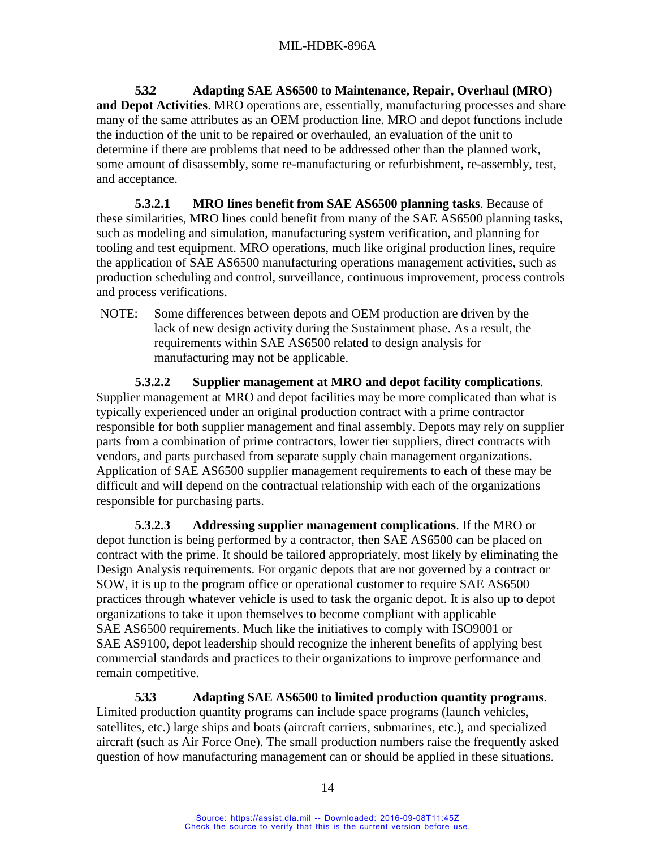<span id="page-22-0"></span>**5.3.2 Adapting SAE AS6500 to Maintenance, Repair, Overhaul (MRO) and Depot Activities**. MRO operations are, essentially, manufacturing processes and share many of the same attributes as an OEM production line. MRO and depot functions include the induction of the unit to be repaired or overhauled, an evaluation of the unit to determine if there are problems that need to be addressed other than the planned work, some amount of disassembly, some re-manufacturing or refurbishment, re-assembly, test, and acceptance.

<span id="page-22-1"></span>**5.3.2.1 MRO lines benefit from SAE AS6500 planning tasks**. Because of these similarities, MRO lines could benefit from many of the SAE AS6500 planning tasks, such as modeling and simulation, manufacturing system verification, and planning for tooling and test equipment. MRO operations, much like original production lines, require the application of SAE AS6500 manufacturing operations management activities, such as production scheduling and control, surveillance, continuous improvement, process controls and process verifications.

NOTE: Some differences between depots and OEM production are driven by the lack of new design activity during the Sustainment phase. As a result, the requirements within SAE AS6500 related to design analysis for manufacturing may not be applicable.

<span id="page-22-2"></span>**5.3.2.2 Supplier management at MRO and depot facility complications**. Supplier management at MRO and depot facilities may be more complicated than what is typically experienced under an original production contract with a prime contractor responsible for both supplier management and final assembly. Depots may rely on supplier parts from a combination of prime contractors, lower tier suppliers, direct contracts with vendors, and parts purchased from separate supply chain management organizations. Application of SAE AS6500 supplier management requirements to each of these may be difficult and will depend on the contractual relationship with each of the organizations responsible for purchasing parts.

<span id="page-22-3"></span>**5.3.2.3 Addressing supplier management complications**. If the MRO or depot function is being performed by a contractor, then SAE AS6500 can be placed on contract with the prime. It should be tailored appropriately, most likely by eliminating the Design Analysis requirements. For organic depots that are not governed by a contract or SOW, it is up to the program office or operational customer to require SAE AS6500 practices through whatever vehicle is used to task the organic depot. It is also up to depot organizations to take it upon themselves to become compliant with applicable SAE AS6500 requirements. Much like the initiatives to comply with ISO9001 or SAE AS9100, depot leadership should recognize the inherent benefits of applying best commercial standards and practices to their organizations to improve performance and remain competitive.

<span id="page-22-4"></span>**5.3.3 Adapting SAE AS6500 to limited production quantity programs**. Limited production quantity programs can include space programs (launch vehicles, satellites, etc.) large ships and boats (aircraft carriers, submarines, etc.), and specialized aircraft (such as Air Force One). The small production numbers raise the frequently asked question of how manufacturing management can or should be applied in these situations.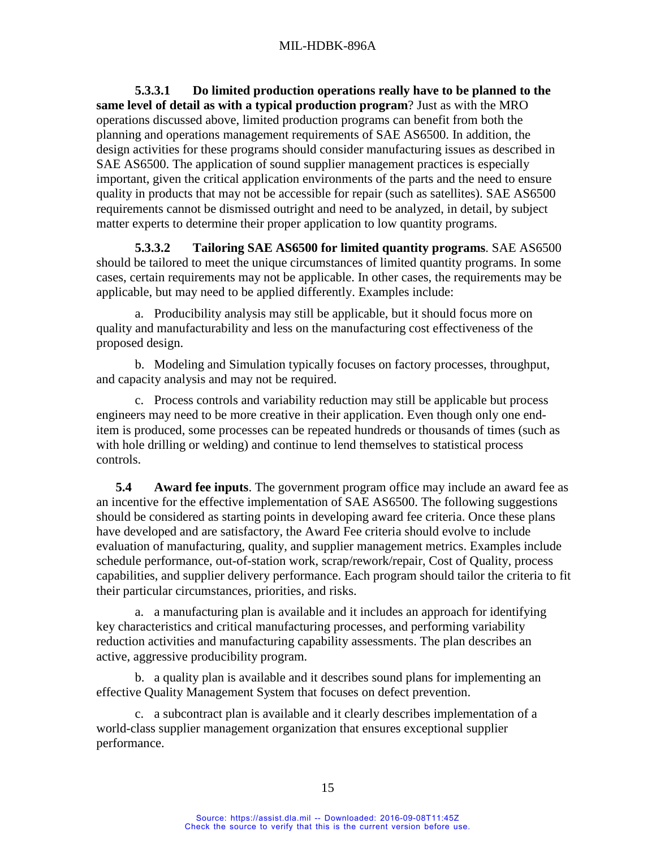<span id="page-23-0"></span>**5.3.3.1 Do limited production operations really have to be planned to the same level of detail as with a typical production program**? Just as with the MRO operations discussed above, limited production programs can benefit from both the planning and operations management requirements of SAE AS6500. In addition, the design activities for these programs should consider manufacturing issues as described in SAE AS6500. The application of sound supplier management practices is especially important, given the critical application environments of the parts and the need to ensure quality in products that may not be accessible for repair (such as satellites). SAE AS6500 requirements cannot be dismissed outright and need to be analyzed, in detail, by subject matter experts to determine their proper application to low quantity programs.

<span id="page-23-1"></span>**5.3.3.2 Tailoring SAE AS6500 for limited quantity programs**. SAE AS6500 should be tailored to meet the unique circumstances of limited quantity programs. In some cases, certain requirements may not be applicable. In other cases, the requirements may be applicable, but may need to be applied differently. Examples include:

a. Producibility analysis may still be applicable, but it should focus more on quality and manufacturability and less on the manufacturing cost effectiveness of the proposed design.

b. Modeling and Simulation typically focuses on factory processes, throughput, and capacity analysis and may not be required.

c. Process controls and variability reduction may still be applicable but process engineers may need to be more creative in their application. Even though only one enditem is produced, some processes can be repeated hundreds or thousands of times (such as with hole drilling or welding) and continue to lend themselves to statistical process controls.

<span id="page-23-2"></span>**5.4 Award fee inputs**. The government program office may include an award fee as an incentive for the effective implementation of SAE AS6500. The following suggestions should be considered as starting points in developing award fee criteria. Once these plans have developed and are satisfactory, the Award Fee criteria should evolve to include evaluation of manufacturing, quality, and supplier management metrics. Examples include schedule performance, out-of-station work, scrap/rework/repair, Cost of Quality, process capabilities, and supplier delivery performance. Each program should tailor the criteria to fit their particular circumstances, priorities, and risks.

a. a manufacturing plan is available and it includes an approach for identifying key characteristics and critical manufacturing processes, and performing variability reduction activities and manufacturing capability assessments. The plan describes an active, aggressive producibility program.

b. a quality plan is available and it describes sound plans for implementing an effective Quality Management System that focuses on defect prevention.

c. a subcontract plan is available and it clearly describes implementation of a world-class supplier management organization that ensures exceptional supplier performance.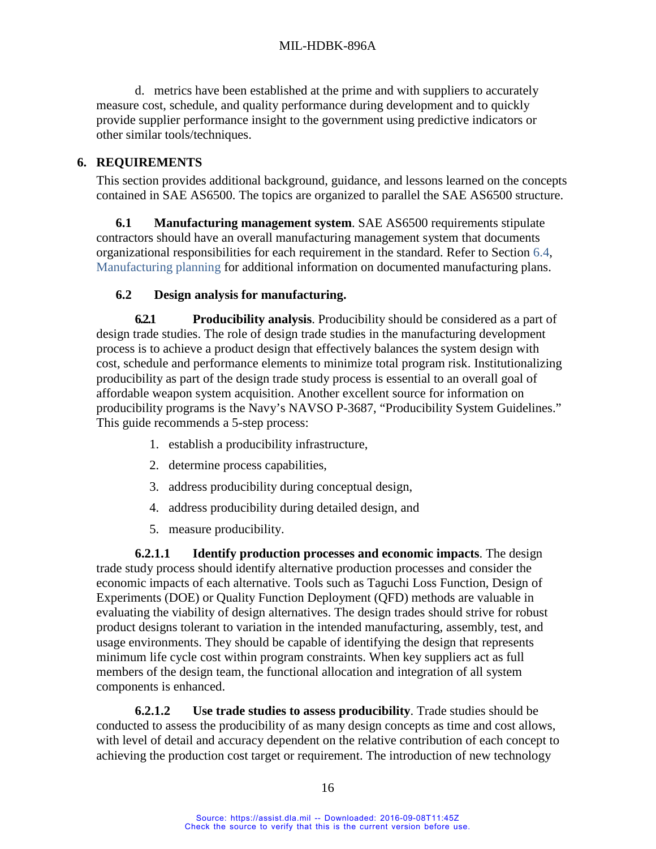d. metrics have been established at the prime and with suppliers to accurately measure cost, schedule, and quality performance during development and to quickly provide supplier performance insight to the government using predictive indicators or other similar tools/techniques.

# <span id="page-24-0"></span>**6. REQUIREMENTS**

This section provides additional background, guidance, and lessons learned on the concepts contained in SAE AS6500. The topics are organized to parallel the SAE AS6500 structure.

<span id="page-24-1"></span>**6.1 Manufacturing management system**. SAE AS6500 requirements stipulate contractors should have an overall manufacturing management system that documents organizational responsibilities for each requirement in the standard. Refer to Section [6.4,](#page-38-3) [Manufacturing planning](#page-38-3) for additional information on documented manufacturing plans.

# **6.2 Design analysis for manufacturing.**

<span id="page-24-3"></span><span id="page-24-2"></span>**6.2.1 Producibility analysis**. Producibility should be considered as a part of design trade studies. The role of design trade studies in the manufacturing development process is to achieve a product design that effectively balances the system design with cost, schedule and performance elements to minimize total program risk. Institutionalizing producibility as part of the design trade study process is essential to an overall goal of affordable weapon system acquisition. Another excellent source for information on producibility programs is the Navy's NAVSO P-3687, "Producibility System Guidelines." This guide recommends a 5-step process:

- 1. establish a producibility infrastructure,
- 2. determine process capabilities,
- 3. address producibility during conceptual design,
- 4. address producibility during detailed design, and
- 5. measure producibility.

<span id="page-24-4"></span>**6.2.1.1 Identify production processes and economic impacts**. The design trade study process should identify alternative production processes and consider the economic impacts of each alternative. Tools such as Taguchi Loss Function, Design of Experiments (DOE) or Quality Function Deployment (QFD) methods are valuable in evaluating the viability of design alternatives. The design trades should strive for robust product designs tolerant to variation in the intended manufacturing, assembly, test, and usage environments. They should be capable of identifying the design that represents minimum life cycle cost within program constraints. When key suppliers act as full members of the design team, the functional allocation and integration of all system components is enhanced.

<span id="page-24-5"></span>**6.2.1.2 Use trade studies to assess producibility**. Trade studies should be conducted to assess the producibility of as many design concepts as time and cost allows, with level of detail and accuracy dependent on the relative contribution of each concept to achieving the production cost target or requirement. The introduction of new technology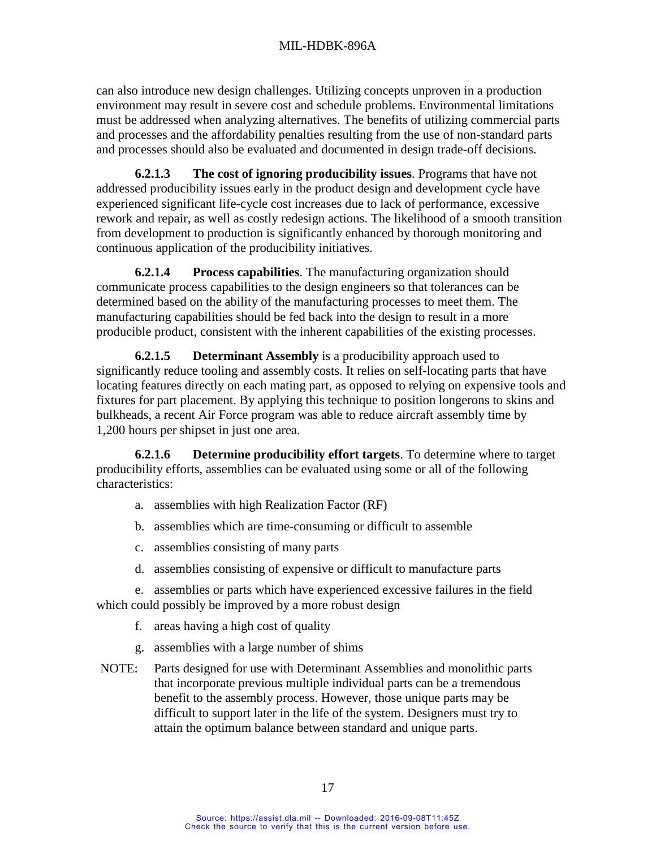can also introduce new design challenges. Utilizing concepts unproven in a production environment may result in severe cost and schedule problems. Environmental limitations must be addressed when analyzing alternatives. The benefits of utilizing commercial parts and processes and the affordability penalties resulting from the use of non-standard parts and processes should also be evaluated and documented in design trade-off decisions.

<span id="page-25-0"></span>**6.2.1.3 The cost of ignoring producibility issues**. Programs that have not addressed producibility issues early in the product design and development cycle have experienced significant life-cycle cost increases due to lack of performance, excessive rework and repair, as well as costly redesign actions. The likelihood of a smooth transition from development to production is significantly enhanced by thorough monitoring and continuous application of the producibility initiatives.

<span id="page-25-1"></span>**6.2.1.4 Process capabilities**. The manufacturing organization should communicate process capabilities to the design engineers so that tolerances can be determined based on the ability of the manufacturing processes to meet them. The manufacturing capabilities should be fed back into the design to result in a more producible product, consistent with the inherent capabilities of the existing processes.

<span id="page-25-2"></span>**6.2.1.5 Determinant Assembly** is a producibility approach used to significantly reduce tooling and assembly costs. It relies on self-locating parts that have locating features directly on each mating part, as opposed to relying on expensive tools and fixtures for part placement. By applying this technique to position longerons to skins and bulkheads, a recent Air Force program was able to reduce aircraft assembly time by 1,200 hours per shipset in just one area.

<span id="page-25-3"></span>**6.2.1.6 Determine producibility effort targets**. To determine where to target producibility efforts, assemblies can be evaluated using some or all of the following characteristics:

- a. assemblies with high Realization Factor (RF)
- b. assemblies which are time-consuming or difficult to assemble
- c. assemblies consisting of many parts
- d. assemblies consisting of expensive or difficult to manufacture parts

e. assemblies or parts which have experienced excessive failures in the field which could possibly be improved by a more robust design

- f. areas having a high cost of quality
- g. assemblies with a large number of shims
- NOTE: Parts designed for use with Determinant Assemblies and monolithic parts that incorporate previous multiple individual parts can be a tremendous benefit to the assembly process. However, those unique parts may be difficult to support later in the life of the system. Designers must try to attain the optimum balance between standard and unique parts.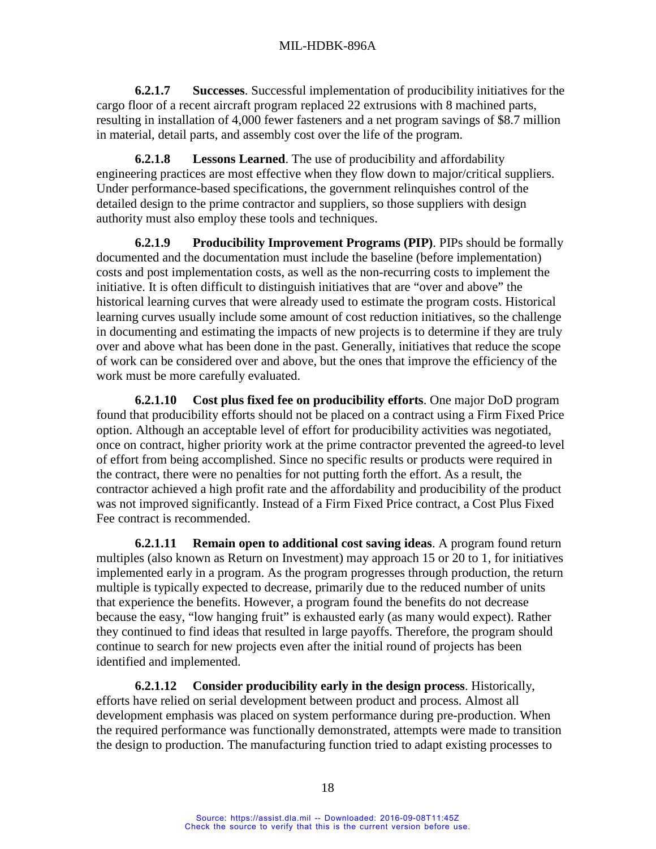<span id="page-26-0"></span>**6.2.1.7 Successes**. Successful implementation of producibility initiatives for the cargo floor of a recent aircraft program replaced 22 extrusions with 8 machined parts, resulting in installation of 4,000 fewer fasteners and a net program savings of \$8.7 million in material, detail parts, and assembly cost over the life of the program.

<span id="page-26-1"></span>**6.2.1.8 Lessons Learned**. The use of producibility and affordability engineering practices are most effective when they flow down to major/critical suppliers. Under performance-based specifications, the government relinquishes control of the detailed design to the prime contractor and suppliers, so those suppliers with design authority must also employ these tools and techniques.

<span id="page-26-2"></span>**6.2.1.9 Producibility Improvement Programs (PIP)**. PIPs should be formally documented and the documentation must include the baseline (before implementation) costs and post implementation costs, as well as the non-recurring costs to implement the initiative. It is often difficult to distinguish initiatives that are "over and above" the historical learning curves that were already used to estimate the program costs. Historical learning curves usually include some amount of cost reduction initiatives, so the challenge in documenting and estimating the impacts of new projects is to determine if they are truly over and above what has been done in the past. Generally, initiatives that reduce the scope of work can be considered over and above, but the ones that improve the efficiency of the work must be more carefully evaluated.

<span id="page-26-3"></span>**6.2.1.10 Cost plus fixed fee on producibility efforts**. One major DoD program found that producibility efforts should not be placed on a contract using a Firm Fixed Price option. Although an acceptable level of effort for producibility activities was negotiated, once on contract, higher priority work at the prime contractor prevented the agreed-to level of effort from being accomplished. Since no specific results or products were required in the contract, there were no penalties for not putting forth the effort. As a result, the contractor achieved a high profit rate and the affordability and producibility of the product was not improved significantly. Instead of a Firm Fixed Price contract, a Cost Plus Fixed Fee contract is recommended.

<span id="page-26-4"></span>**6.2.1.11 Remain open to additional cost saving ideas**. A program found return multiples (also known as Return on Investment) may approach 15 or 20 to 1, for initiatives implemented early in a program. As the program progresses through production, the return multiple is typically expected to decrease, primarily due to the reduced number of units that experience the benefits. However, a program found the benefits do not decrease because the easy, "low hanging fruit" is exhausted early (as many would expect). Rather they continued to find ideas that resulted in large payoffs. Therefore, the program should continue to search for new projects even after the initial round of projects has been identified and implemented.

<span id="page-26-5"></span>**6.2.1.12 Consider producibility early in the design process**. Historically, efforts have relied on serial development between product and process. Almost all development emphasis was placed on system performance during pre-production. When the required performance was functionally demonstrated, attempts were made to transition the design to production. The manufacturing function tried to adapt existing processes to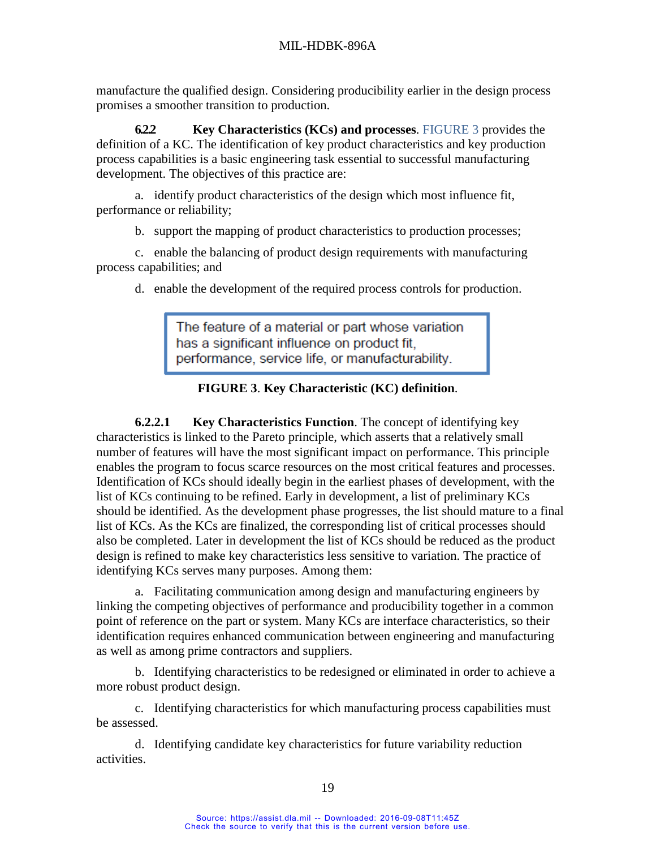manufacture the qualified design. Considering producibility earlier in the design process promises a smoother transition to production.

<span id="page-27-0"></span>**6.2.2 Key Characteristics (KCs) and processes**. [FIGURE 3](#page-27-3) provides the definition of a KC. The identification of key product characteristics and key production process capabilities is a basic engineering task essential to successful manufacturing development. The objectives of this practice are:

a. identify product characteristics of the design which most influence fit, performance or reliability;

b. support the mapping of product characteristics to production processes;

c. enable the balancing of product design requirements with manufacturing process capabilities; and

d. enable the development of the required process controls for production.

The feature of a material or part whose variation has a significant influence on product fit, performance, service life, or manufacturability.

## <span id="page-27-2"></span>**FIGURE 3**. **Key Characteristic (KC) definition**.

<span id="page-27-3"></span><span id="page-27-1"></span>**6.2.2.1 Key Characteristics Function**. The concept of identifying key characteristics is linked to the Pareto principle, which asserts that a relatively small number of features will have the most significant impact on performance. This principle enables the program to focus scarce resources on the most critical features and processes. Identification of KCs should ideally begin in the earliest phases of development, with the list of KCs continuing to be refined. Early in development, a list of preliminary KCs should be identified. As the development phase progresses, the list should mature to a final list of KCs. As the KCs are finalized, the corresponding list of critical processes should also be completed. Later in development the list of KCs should be reduced as the product design is refined to make key characteristics less sensitive to variation. The practice of identifying KCs serves many purposes. Among them:

a. Facilitating communication among design and manufacturing engineers by linking the competing objectives of performance and producibility together in a common point of reference on the part or system. Many KCs are interface characteristics, so their identification requires enhanced communication between engineering and manufacturing as well as among prime contractors and suppliers.

b. Identifying characteristics to be redesigned or eliminated in order to achieve a more robust product design.

c. Identifying characteristics for which manufacturing process capabilities must be assessed.

d. Identifying candidate key characteristics for future variability reduction activities.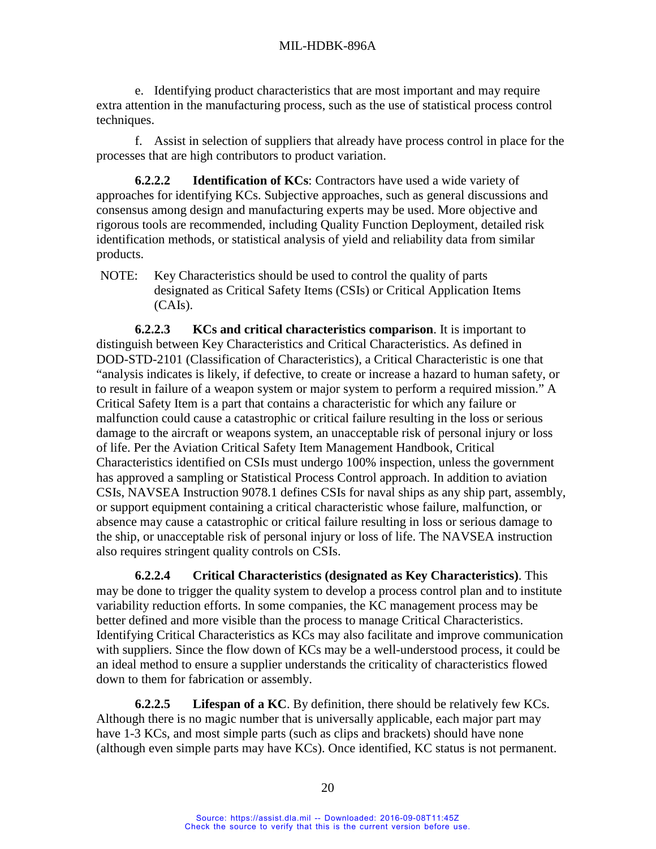e. Identifying product characteristics that are most important and may require extra attention in the manufacturing process, such as the use of statistical process control techniques.

f. Assist in selection of suppliers that already have process control in place for the processes that are high contributors to product variation.

<span id="page-28-0"></span>**6.2.2.2 Identification of KCs**: Contractors have used a wide variety of approaches for identifying KCs. Subjective approaches, such as general discussions and consensus among design and manufacturing experts may be used. More objective and rigorous tools are recommended, including Quality Function Deployment, detailed risk identification methods, or statistical analysis of yield and reliability data from similar products.

NOTE: Key Characteristics should be used to control the quality of parts designated as Critical Safety Items (CSIs) or Critical Application Items (CAIs).

<span id="page-28-1"></span>**6.2.2.3 KCs and critical characteristics comparison**. It is important to distinguish between Key Characteristics and Critical Characteristics. As defined in DOD-STD-2101 (Classification of Characteristics), a Critical Characteristic is one that "analysis indicates is likely, if defective, to create or increase a hazard to human safety, or to result in failure of a weapon system or major system to perform a required mission." A Critical Safety Item is a part that contains a characteristic for which any failure or malfunction could cause a catastrophic or critical failure resulting in the loss or serious damage to the aircraft or weapons system, an unacceptable risk of personal injury or loss of life. Per the Aviation Critical Safety Item Management Handbook, Critical Characteristics identified on CSIs must undergo 100% inspection, unless the government has approved a sampling or Statistical Process Control approach. In addition to aviation CSIs, NAVSEA Instruction 9078.1 defines CSIs for naval ships as any ship part, assembly, or support equipment containing a critical characteristic whose failure, malfunction, or absence may cause a catastrophic or critical failure resulting in loss or serious damage to the ship, or unacceptable risk of personal injury or loss of life. The NAVSEA instruction also requires stringent quality controls on CSIs.

<span id="page-28-2"></span>**6.2.2.4 Critical Characteristics (designated as Key Characteristics)**. This may be done to trigger the quality system to develop a process control plan and to institute variability reduction efforts. In some companies, the KC management process may be better defined and more visible than the process to manage Critical Characteristics. Identifying Critical Characteristics as KCs may also facilitate and improve communication with suppliers. Since the flow down of KCs may be a well-understood process, it could be an ideal method to ensure a supplier understands the criticality of characteristics flowed down to them for fabrication or assembly.

<span id="page-28-3"></span>**6.2.2.5 Lifespan of a KC**. By definition, there should be relatively few KCs. Although there is no magic number that is universally applicable, each major part may have 1-3 KCs, and most simple parts (such as clips and brackets) should have none (although even simple parts may have KCs). Once identified, KC status is not permanent.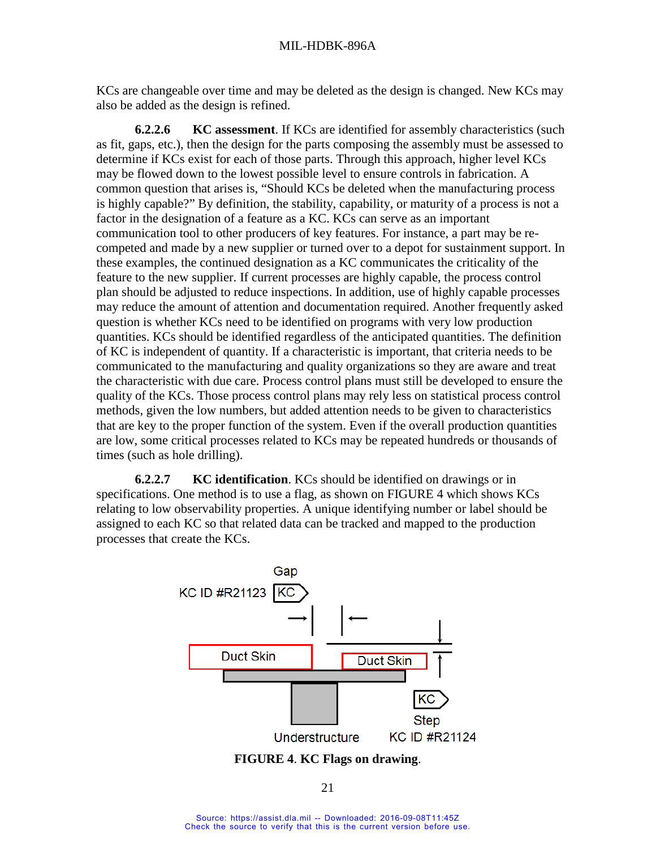KCs are changeable over time and may be deleted as the design is changed. New KCs may also be added as the design is refined.

<span id="page-29-0"></span>**6.2.2.6 KC assessment**. If KCs are identified for assembly characteristics (such as fit, gaps, etc.), then the design for the parts composing the assembly must be assessed to determine if KCs exist for each of those parts. Through this approach, higher level KCs may be flowed down to the lowest possible level to ensure controls in fabrication. A common question that arises is, "Should KCs be deleted when the manufacturing process is highly capable?" By definition, the stability, capability, or maturity of a process is not a factor in the designation of a feature as a KC. KCs can serve as an important communication tool to other producers of key features. For instance, a part may be recompeted and made by a new supplier or turned over to a depot for sustainment support. In these examples, the continued designation as a KC communicates the criticality of the feature to the new supplier. If current processes are highly capable, the process control plan should be adjusted to reduce inspections. In addition, use of highly capable processes may reduce the amount of attention and documentation required. Another frequently asked question is whether KCs need to be identified on programs with very low production quantities. KCs should be identified regardless of the anticipated quantities. The definition of KC is independent of quantity. If a characteristic is important, that criteria needs to be communicated to the manufacturing and quality organizations so they are aware and treat the characteristic with due care. Process control plans must still be developed to ensure the quality of the KCs. Those process control plans may rely less on statistical process control methods, given the low numbers, but added attention needs to be given to characteristics that are key to the proper function of the system. Even if the overall production quantities are low, some critical processes related to KCs may be repeated hundreds or thousands of times (such as hole drilling).

<span id="page-29-1"></span>**6.2.2.7 KC identification**. KCs should be identified on drawings or in specifications. One method is to use a flag, as shown on [FIGURE 4](#page-29-3) which shows KCs relating to low observability properties. A unique identifying number or label should be assigned to each KC so that related data can be tracked and mapped to the production processes that create the KCs.



<span id="page-29-3"></span><span id="page-29-2"></span>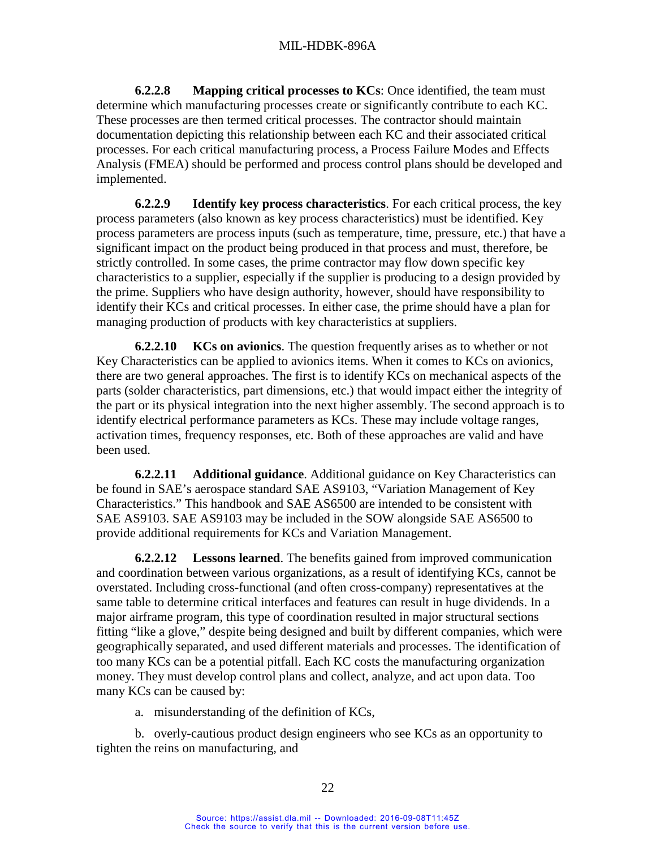<span id="page-30-0"></span>**6.2.2.8 Mapping critical processes to KCs**: Once identified, the team must determine which manufacturing processes create or significantly contribute to each KC. These processes are then termed critical processes. The contractor should maintain documentation depicting this relationship between each KC and their associated critical processes. For each critical manufacturing process, a Process Failure Modes and Effects Analysis (FMEA) should be performed and process control plans should be developed and implemented.

<span id="page-30-1"></span>**6.2.2.9 Identify key process characteristics**. For each critical process, the key process parameters (also known as key process characteristics) must be identified. Key process parameters are process inputs (such as temperature, time, pressure, etc.) that have a significant impact on the product being produced in that process and must, therefore, be strictly controlled. In some cases, the prime contractor may flow down specific key characteristics to a supplier, especially if the supplier is producing to a design provided by the prime. Suppliers who have design authority, however, should have responsibility to identify their KCs and critical processes. In either case, the prime should have a plan for managing production of products with key characteristics at suppliers.

<span id="page-30-2"></span>**6.2.2.10 KCs on avionics**. The question frequently arises as to whether or not Key Characteristics can be applied to avionics items. When it comes to KCs on avionics, there are two general approaches. The first is to identify KCs on mechanical aspects of the parts (solder characteristics, part dimensions, etc.) that would impact either the integrity of the part or its physical integration into the next higher assembly. The second approach is to identify electrical performance parameters as KCs. These may include voltage ranges, activation times, frequency responses, etc. Both of these approaches are valid and have been used.

<span id="page-30-3"></span>**6.2.2.11 Additional guidance**. Additional guidance on Key Characteristics can be found in SAE's aerospace standard SAE AS9103, "Variation Management of Key Characteristics." This handbook and SAE AS6500 are intended to be consistent with SAE AS9103. SAE AS9103 may be included in the SOW alongside SAE AS6500 to provide additional requirements for KCs and Variation Management.

<span id="page-30-4"></span>**6.2.2.12 Lessons learned**. The benefits gained from improved communication and coordination between various organizations, as a result of identifying KCs, cannot be overstated. Including cross-functional (and often cross-company) representatives at the same table to determine critical interfaces and features can result in huge dividends. In a major airframe program, this type of coordination resulted in major structural sections fitting "like a glove," despite being designed and built by different companies, which were geographically separated, and used different materials and processes. The identification of too many KCs can be a potential pitfall. Each KC costs the manufacturing organization money. They must develop control plans and collect, analyze, and act upon data. Too many KCs can be caused by:

a. misunderstanding of the definition of KCs,

b. overly-cautious product design engineers who see KCs as an opportunity to tighten the reins on manufacturing, and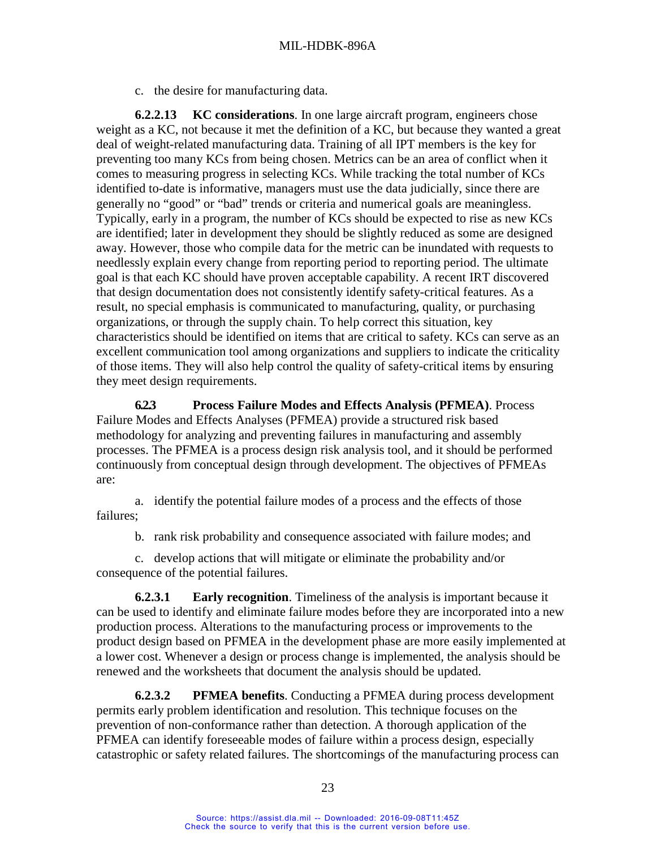c. the desire for manufacturing data.

<span id="page-31-0"></span>**6.2.2.13 KC considerations**. In one large aircraft program, engineers chose weight as a KC, not because it met the definition of a KC, but because they wanted a great deal of weight-related manufacturing data. Training of all IPT members is the key for preventing too many KCs from being chosen. Metrics can be an area of conflict when it comes to measuring progress in selecting KCs. While tracking the total number of KCs identified to-date is informative, managers must use the data judicially, since there are generally no "good" or "bad" trends or criteria and numerical goals are meaningless. Typically, early in a program, the number of KCs should be expected to rise as new KCs are identified; later in development they should be slightly reduced as some are designed away. However, those who compile data for the metric can be inundated with requests to needlessly explain every change from reporting period to reporting period. The ultimate goal is that each KC should have proven acceptable capability. A recent IRT discovered that design documentation does not consistently identify safety-critical features. As a result, no special emphasis is communicated to manufacturing, quality, or purchasing organizations, or through the supply chain. To help correct this situation, key characteristics should be identified on items that are critical to safety. KCs can serve as an excellent communication tool among organizations and suppliers to indicate the criticality of those items. They will also help control the quality of safety-critical items by ensuring they meet design requirements.

<span id="page-31-1"></span>**6.2.3 Process Failure Modes and Effects Analysis (PFMEA)**. Process Failure Modes and Effects Analyses (PFMEA) provide a structured risk based methodology for analyzing and preventing failures in manufacturing and assembly processes. The PFMEA is a process design risk analysis tool, and it should be performed continuously from conceptual design through development. The objectives of PFMEAs are:

a. identify the potential failure modes of a process and the effects of those failures;

b. rank risk probability and consequence associated with failure modes; and

c. develop actions that will mitigate or eliminate the probability and/or consequence of the potential failures.

<span id="page-31-2"></span>**6.2.3.1 Early recognition**. Timeliness of the analysis is important because it can be used to identify and eliminate failure modes before they are incorporated into a new production process. Alterations to the manufacturing process or improvements to the product design based on PFMEA in the development phase are more easily implemented at a lower cost. Whenever a design or process change is implemented, the analysis should be renewed and the worksheets that document the analysis should be updated.

<span id="page-31-3"></span>**6.2.3.2 PFMEA benefits**. Conducting a PFMEA during process development permits early problem identification and resolution. This technique focuses on the prevention of non-conformance rather than detection. A thorough application of the PFMEA can identify foreseeable modes of failure within a process design, especially catastrophic or safety related failures. The shortcomings of the manufacturing process can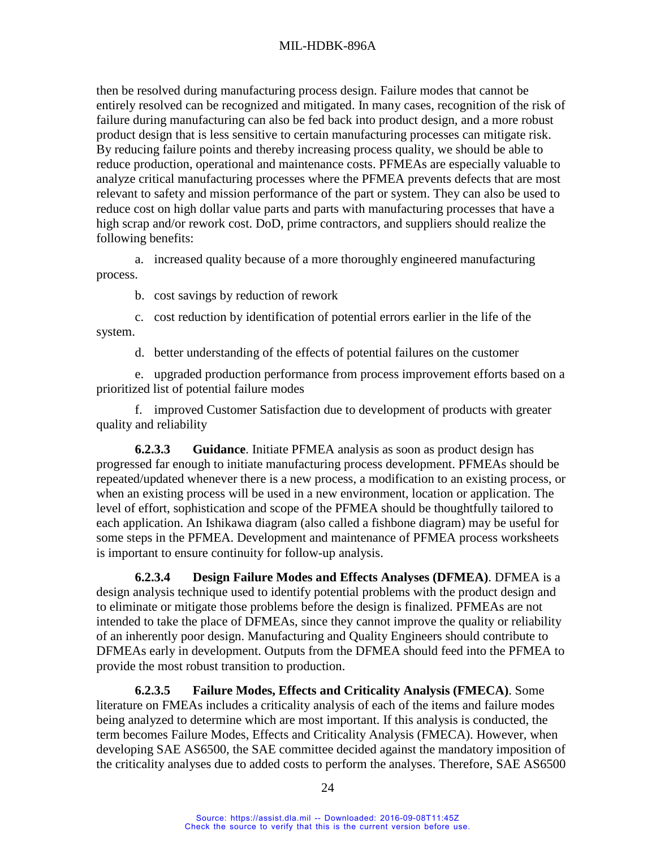then be resolved during manufacturing process design. Failure modes that cannot be entirely resolved can be recognized and mitigated. In many cases, recognition of the risk of failure during manufacturing can also be fed back into product design, and a more robust product design that is less sensitive to certain manufacturing processes can mitigate risk. By reducing failure points and thereby increasing process quality, we should be able to reduce production, operational and maintenance costs. PFMEAs are especially valuable to analyze critical manufacturing processes where the PFMEA prevents defects that are most relevant to safety and mission performance of the part or system. They can also be used to reduce cost on high dollar value parts and parts with manufacturing processes that have a high scrap and/or rework cost. DoD, prime contractors, and suppliers should realize the following benefits:

a. increased quality because of a more thoroughly engineered manufacturing process.

b. cost savings by reduction of rework

c. cost reduction by identification of potential errors earlier in the life of the system.

d. better understanding of the effects of potential failures on the customer

e. upgraded production performance from process improvement efforts based on a prioritized list of potential failure modes

f. improved Customer Satisfaction due to development of products with greater quality and reliability

<span id="page-32-0"></span>**6.2.3.3 Guidance**. Initiate PFMEA analysis as soon as product design has progressed far enough to initiate manufacturing process development. PFMEAs should be repeated/updated whenever there is a new process, a modification to an existing process, or when an existing process will be used in a new environment, location or application. The level of effort, sophistication and scope of the PFMEA should be thoughtfully tailored to each application. An Ishikawa diagram (also called a fishbone diagram) may be useful for some steps in the PFMEA. Development and maintenance of PFMEA process worksheets is important to ensure continuity for follow-up analysis.

<span id="page-32-1"></span>**6.2.3.4 Design Failure Modes and Effects Analyses (DFMEA)**. DFMEA is a design analysis technique used to identify potential problems with the product design and to eliminate or mitigate those problems before the design is finalized. PFMEAs are not intended to take the place of DFMEAs, since they cannot improve the quality or reliability of an inherently poor design. Manufacturing and Quality Engineers should contribute to DFMEAs early in development. Outputs from the DFMEA should feed into the PFMEA to provide the most robust transition to production.

<span id="page-32-2"></span>**6.2.3.5 Failure Modes, Effects and Criticality Analysis (FMECA)**. Some literature on FMEAs includes a criticality analysis of each of the items and failure modes being analyzed to determine which are most important. If this analysis is conducted, the term becomes Failure Modes, Effects and Criticality Analysis (FMECA). However, when developing SAE AS6500, the SAE committee decided against the mandatory imposition of the criticality analyses due to added costs to perform the analyses. Therefore, SAE AS6500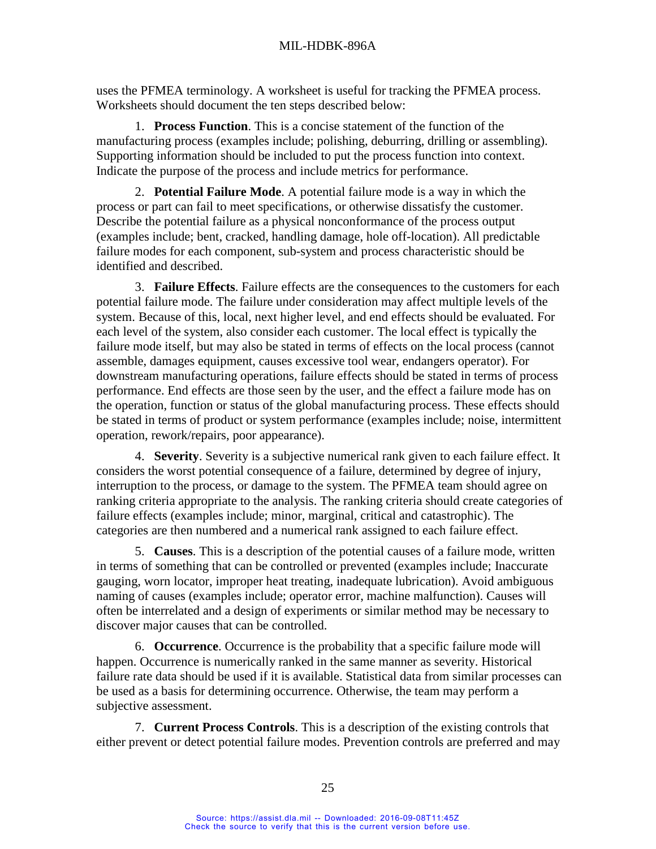uses the PFMEA terminology. A worksheet is useful for tracking the PFMEA process. Worksheets should document the ten steps described below:

1. **Process Function**. This is a concise statement of the function of the manufacturing process (examples include; polishing, deburring, drilling or assembling). Supporting information should be included to put the process function into context. Indicate the purpose of the process and include metrics for performance.

2. **Potential Failure Mode**. A potential failure mode is a way in which the process or part can fail to meet specifications, or otherwise dissatisfy the customer. Describe the potential failure as a physical nonconformance of the process output (examples include; bent, cracked, handling damage, hole off-location). All predictable failure modes for each component, sub-system and process characteristic should be identified and described.

3. **Failure Effects**. Failure effects are the consequences to the customers for each potential failure mode. The failure under consideration may affect multiple levels of the system. Because of this, local, next higher level, and end effects should be evaluated. For each level of the system, also consider each customer. The local effect is typically the failure mode itself, but may also be stated in terms of effects on the local process (cannot assemble, damages equipment, causes excessive tool wear, endangers operator). For downstream manufacturing operations, failure effects should be stated in terms of process performance. End effects are those seen by the user, and the effect a failure mode has on the operation, function or status of the global manufacturing process. These effects should be stated in terms of product or system performance (examples include; noise, intermittent operation, rework/repairs, poor appearance).

4. **Severity**. Severity is a subjective numerical rank given to each failure effect. It considers the worst potential consequence of a failure, determined by degree of injury, interruption to the process, or damage to the system. The PFMEA team should agree on ranking criteria appropriate to the analysis. The ranking criteria should create categories of failure effects (examples include; minor, marginal, critical and catastrophic). The categories are then numbered and a numerical rank assigned to each failure effect.

5. **Causes**. This is a description of the potential causes of a failure mode, written in terms of something that can be controlled or prevented (examples include; Inaccurate gauging, worn locator, improper heat treating, inadequate lubrication). Avoid ambiguous naming of causes (examples include; operator error, machine malfunction). Causes will often be interrelated and a design of experiments or similar method may be necessary to discover major causes that can be controlled.

6. **Occurrence**. Occurrence is the probability that a specific failure mode will happen. Occurrence is numerically ranked in the same manner as severity. Historical failure rate data should be used if it is available. Statistical data from similar processes can be used as a basis for determining occurrence. Otherwise, the team may perform a subjective assessment.

7. **Current Process Controls**. This is a description of the existing controls that either prevent or detect potential failure modes. Prevention controls are preferred and may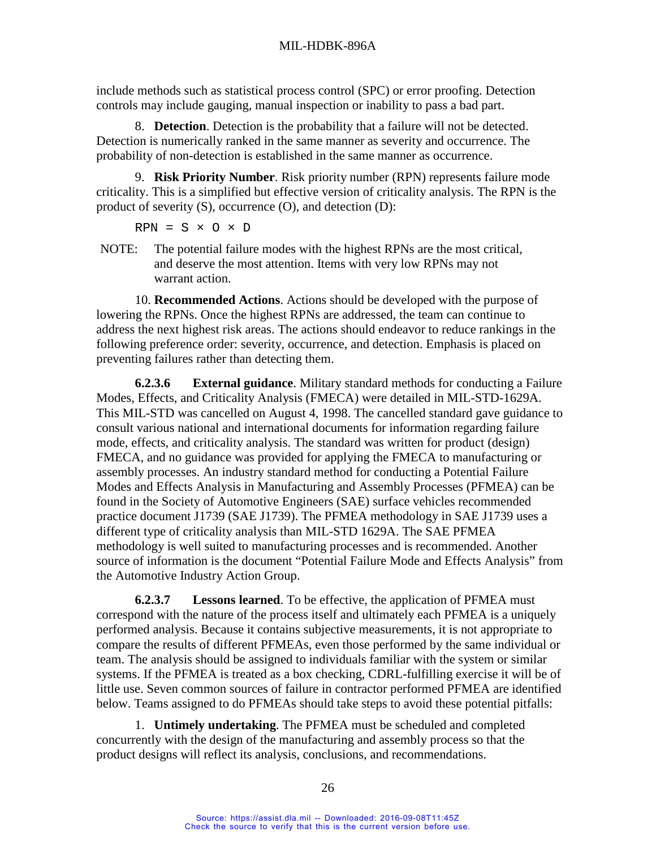include methods such as statistical process control (SPC) or error proofing. Detection controls may include gauging, manual inspection or inability to pass a bad part.

8. **Detection**. Detection is the probability that a failure will not be detected. Detection is numerically ranked in the same manner as severity and occurrence. The probability of non-detection is established in the same manner as occurrence.

9. **Risk Priority Number**. Risk priority number (RPN) represents failure mode criticality. This is a simplified but effective version of criticality analysis. The RPN is the product of severity (S), occurrence (O), and detection (D):

 $RPN = S \times O \times D$ 

NOTE: The potential failure modes with the highest RPNs are the most critical, and deserve the most attention. Items with very low RPNs may not warrant action.

10. **Recommended Actions**. Actions should be developed with the purpose of lowering the RPNs. Once the highest RPNs are addressed, the team can continue to address the next highest risk areas. The actions should endeavor to reduce rankings in the following preference order: severity, occurrence, and detection. Emphasis is placed on preventing failures rather than detecting them.

<span id="page-34-0"></span>**6.2.3.6 External guidance**. Military standard methods for conducting a Failure Modes, Effects, and Criticality Analysis (FMECA) were detailed in MIL-STD-1629A. This MIL-STD was cancelled on August 4, 1998. The cancelled standard gave guidance to consult various national and international documents for information regarding failure mode, effects, and criticality analysis. The standard was written for product (design) FMECA, and no guidance was provided for applying the FMECA to manufacturing or assembly processes. An industry standard method for conducting a Potential Failure Modes and Effects Analysis in Manufacturing and Assembly Processes (PFMEA) can be found in the Society of Automotive Engineers (SAE) surface vehicles recommended practice document J1739 (SAE J1739). The PFMEA methodology in SAE J1739 uses a different type of criticality analysis than MIL-STD 1629A. The SAE PFMEA methodology is well suited to manufacturing processes and is recommended. Another source of information is the document "Potential Failure Mode and Effects Analysis" from the Automotive Industry Action Group.

<span id="page-34-1"></span>**6.2.3.7 Lessons learned**. To be effective, the application of PFMEA must correspond with the nature of the process itself and ultimately each PFMEA is a uniquely performed analysis. Because it contains subjective measurements, it is not appropriate to compare the results of different PFMEAs, even those performed by the same individual or team. The analysis should be assigned to individuals familiar with the system or similar systems. If the PFMEA is treated as a box checking, CDRL-fulfilling exercise it will be of little use. Seven common sources of failure in contractor performed PFMEA are identified below. Teams assigned to do PFMEAs should take steps to avoid these potential pitfalls:

1. **Untimely undertaking**. The PFMEA must be scheduled and completed concurrently with the design of the manufacturing and assembly process so that the product designs will reflect its analysis, conclusions, and recommendations.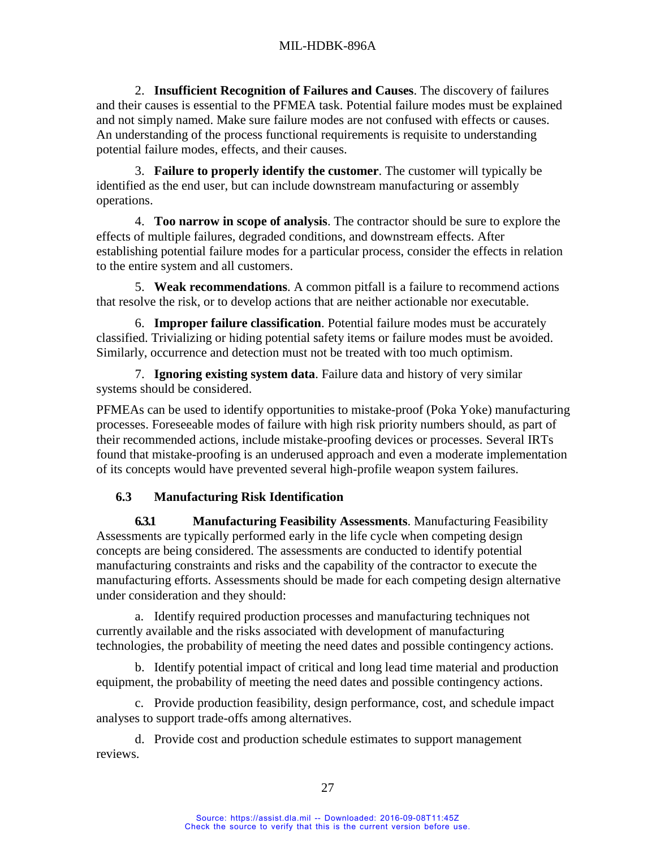2. **Insufficient Recognition of Failures and Causes**. The discovery of failures and their causes is essential to the PFMEA task. Potential failure modes must be explained and not simply named. Make sure failure modes are not confused with effects or causes. An understanding of the process functional requirements is requisite to understanding potential failure modes, effects, and their causes.

3. **Failure to properly identify the customer**. The customer will typically be identified as the end user, but can include downstream manufacturing or assembly operations.

4. **Too narrow in scope of analysis**. The contractor should be sure to explore the effects of multiple failures, degraded conditions, and downstream effects. After establishing potential failure modes for a particular process, consider the effects in relation to the entire system and all customers.

5. **Weak recommendations**. A common pitfall is a failure to recommend actions that resolve the risk, or to develop actions that are neither actionable nor executable.

6. **Improper failure classification**. Potential failure modes must be accurately classified. Trivializing or hiding potential safety items or failure modes must be avoided. Similarly, occurrence and detection must not be treated with too much optimism.

7. **Ignoring existing system data**. Failure data and history of very similar systems should be considered.

PFMEAs can be used to identify opportunities to mistake-proof (Poka Yoke) manufacturing processes. Foreseeable modes of failure with high risk priority numbers should, as part of their recommended actions, include mistake-proofing devices or processes. Several IRTs found that mistake-proofing is an underused approach and even a moderate implementation of its concepts would have prevented several high-profile weapon system failures.

# **6.3 Manufacturing Risk Identification**

<span id="page-35-1"></span><span id="page-35-0"></span>**6.3.1 Manufacturing Feasibility Assessments**. Manufacturing Feasibility Assessments are typically performed early in the life cycle when competing design concepts are being considered. The assessments are conducted to identify potential manufacturing constraints and risks and the capability of the contractor to execute the manufacturing efforts. Assessments should be made for each competing design alternative under consideration and they should:

a. Identify required production processes and manufacturing techniques not currently available and the risks associated with development of manufacturing technologies, the probability of meeting the need dates and possible contingency actions.

b. Identify potential impact of critical and long lead time material and production equipment, the probability of meeting the need dates and possible contingency actions.

c. Provide production feasibility, design performance, cost, and schedule impact analyses to support trade-offs among alternatives.

d. Provide cost and production schedule estimates to support management reviews.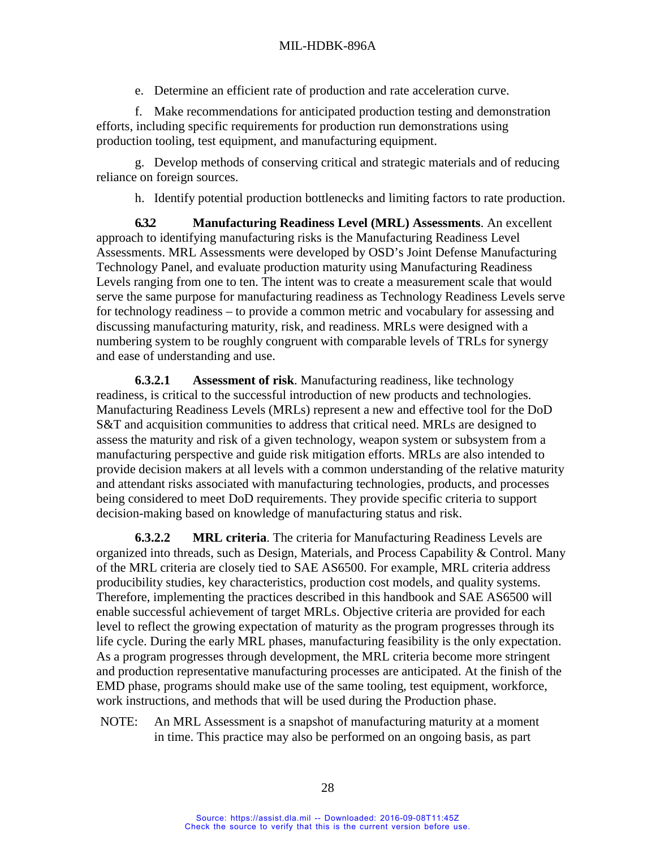e. Determine an efficient rate of production and rate acceleration curve.

f. Make recommendations for anticipated production testing and demonstration efforts, including specific requirements for production run demonstrations using production tooling, test equipment, and manufacturing equipment.

g. Develop methods of conserving critical and strategic materials and of reducing reliance on foreign sources.

h. Identify potential production bottlenecks and limiting factors to rate production.

<span id="page-36-0"></span>**6.3.2 Manufacturing Readiness Level (MRL) Assessments**. An excellent approach to identifying manufacturing risks is the Manufacturing Readiness Level Assessments. MRL Assessments were developed by OSD's Joint Defense Manufacturing Technology Panel, and evaluate production maturity using Manufacturing Readiness Levels ranging from one to ten. The intent was to create a measurement scale that would serve the same purpose for manufacturing readiness as Technology Readiness Levels serve for technology readiness – to provide a common metric and vocabulary for assessing and discussing manufacturing maturity, risk, and readiness. MRLs were designed with a numbering system to be roughly congruent with comparable levels of TRLs for synergy and ease of understanding and use.

**6.3.2.1 Assessment of risk**. Manufacturing readiness, like technology readiness, is critical to the successful introduction of new products and technologies. Manufacturing Readiness Levels (MRLs) represent a new and effective tool for the DoD S&T and acquisition communities to address that critical need. MRLs are designed to assess the maturity and risk of a given technology, weapon system or subsystem from a manufacturing perspective and guide risk mitigation efforts. MRLs are also intended to provide decision makers at all levels with a common understanding of the relative maturity and attendant risks associated with manufacturing technologies, products, and processes being considered to meet DoD requirements. They provide specific criteria to support decision-making based on knowledge of manufacturing status and risk.

**6.3.2.2 MRL criteria**. The criteria for Manufacturing Readiness Levels are organized into threads, such as Design, Materials, and Process Capability & Control. Many of the MRL criteria are closely tied to SAE AS6500. For example, MRL criteria address producibility studies, key characteristics, production cost models, and quality systems. Therefore, implementing the practices described in this handbook and SAE AS6500 will enable successful achievement of target MRLs. Objective criteria are provided for each level to reflect the growing expectation of maturity as the program progresses through its life cycle. During the early MRL phases, manufacturing feasibility is the only expectation. As a program progresses through development, the MRL criteria become more stringent and production representative manufacturing processes are anticipated. At the finish of the EMD phase, programs should make use of the same tooling, test equipment, workforce, work instructions, and methods that will be used during the Production phase.

NOTE: An MRL Assessment is a snapshot of manufacturing maturity at a moment in time. This practice may also be performed on an ongoing basis, as part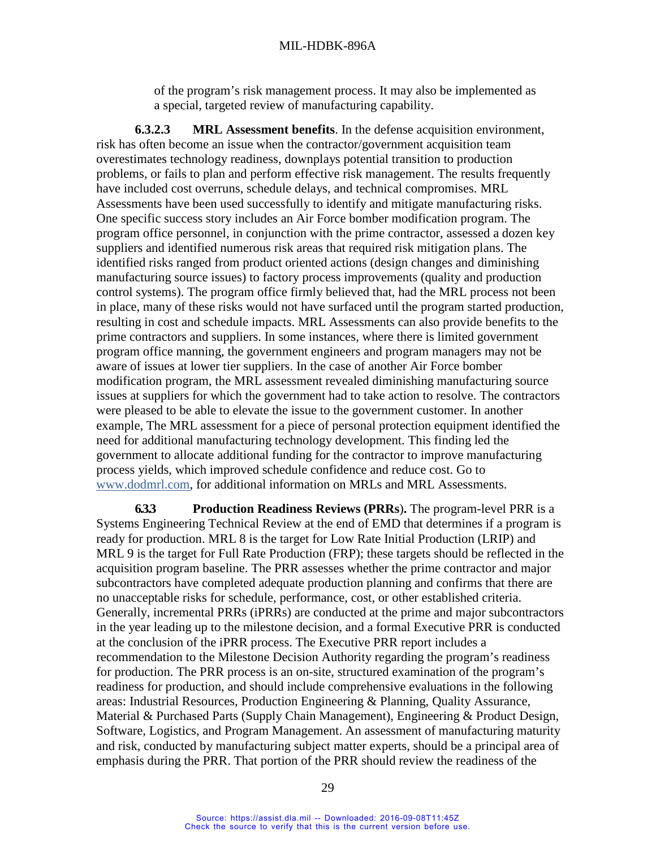#### MIL-HDBK-896A

of the program's risk management process. It may also be implemented as a special, targeted review of manufacturing capability.

**6.3.2.3 MRL Assessment benefits**. In the defense acquisition environment, risk has often become an issue when the contractor/government acquisition team overestimates technology readiness, downplays potential transition to production problems, or fails to plan and perform effective risk management. The results frequently have included cost overruns, schedule delays, and technical compromises. MRL Assessments have been used successfully to identify and mitigate manufacturing risks. One specific success story includes an Air Force bomber modification program. The program office personnel, in conjunction with the prime contractor, assessed a dozen key suppliers and identified numerous risk areas that required risk mitigation plans. The identified risks ranged from product oriented actions (design changes and diminishing manufacturing source issues) to factory process improvements (quality and production control systems). The program office firmly believed that, had the MRL process not been in place, many of these risks would not have surfaced until the program started production, resulting in cost and schedule impacts. MRL Assessments can also provide benefits to the prime contractors and suppliers. In some instances, where there is limited government program office manning, the government engineers and program managers may not be aware of issues at lower tier suppliers. In the case of another Air Force bomber modification program, the MRL assessment revealed diminishing manufacturing source issues at suppliers for which the government had to take action to resolve. The contractors were pleased to be able to elevate the issue to the government customer. In another example, The MRL assessment for a piece of personal protection equipment identified the need for additional manufacturing technology development. This finding led the government to allocate additional funding for the contractor to improve manufacturing process yields, which improved schedule confidence and reduce cost. Go to [www.dodmrl.com,](http://www.dodmrl.com/) for additional information on MRLs and MRL Assessments.

**6.3.3 Production Readiness Reviews (PRRs**)**.** The program-level PRR is a Systems Engineering Technical Review at the end of EMD that determines if a program is ready for production. MRL 8 is the target for Low Rate Initial Production (LRIP) and MRL 9 is the target for Full Rate Production (FRP); these targets should be reflected in the acquisition program baseline. The PRR assesses whether the prime contractor and major subcontractors have completed adequate production planning and confirms that there are no unacceptable risks for schedule, performance, cost, or other established criteria. Generally, incremental PRRs (iPRRs) are conducted at the prime and major subcontractors in the year leading up to the milestone decision, and a formal Executive PRR is conducted at the conclusion of the iPRR process. The Executive PRR report includes a recommendation to the Milestone Decision Authority regarding the program's readiness for production. The PRR process is an on-site, structured examination of the program's readiness for production, and should include comprehensive evaluations in the following areas: Industrial Resources, Production Engineering & Planning, Quality Assurance, Material & Purchased Parts (Supply Chain Management), Engineering & Product Design, Software, Logistics, and Program Management. An assessment of manufacturing maturity and risk, conducted by manufacturing subject matter experts, should be a principal area of emphasis during the PRR. That portion of the PRR should review the readiness of the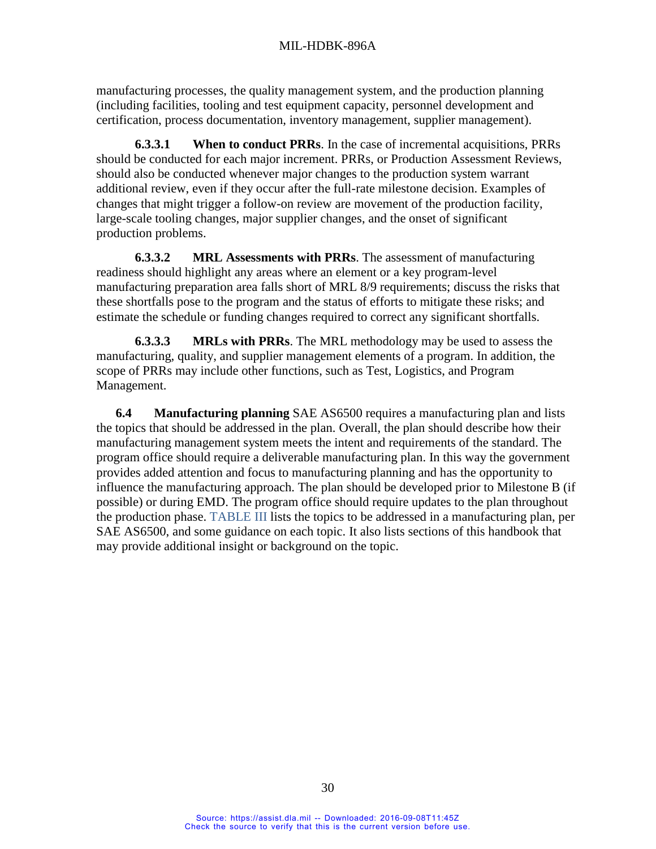manufacturing processes, the quality management system, and the production planning (including facilities, tooling and test equipment capacity, personnel development and certification, process documentation, inventory management, supplier management).

**6.3.3.1 When to conduct PRRs**. In the case of incremental acquisitions, PRRs should be conducted for each major increment. PRRs, or Production Assessment Reviews, should also be conducted whenever major changes to the production system warrant additional review, even if they occur after the full-rate milestone decision. Examples of changes that might trigger a follow-on review are movement of the production facility, large-scale tooling changes, major supplier changes, and the onset of significant production problems.

**6.3.3.2 MRL Assessments with PRRs**. The assessment of manufacturing readiness should highlight any areas where an element or a key program-level manufacturing preparation area falls short of MRL 8/9 requirements; discuss the risks that these shortfalls pose to the program and the status of efforts to mitigate these risks; and estimate the schedule or funding changes required to correct any significant shortfalls.

**6.3.3.3 MRLs with PRRs**. The MRL methodology may be used to assess the manufacturing, quality, and supplier management elements of a program. In addition, the scope of PRRs may include other functions, such as Test, Logistics, and Program Management.

**6.4 Manufacturing planning** SAE AS6500 requires a manufacturing plan and lists the topics that should be addressed in the plan. Overall, the plan should describe how their manufacturing management system meets the intent and requirements of the standard. The program office should require a deliverable manufacturing plan. In this way the government provides added attention and focus to manufacturing planning and has the opportunity to influence the manufacturing approach. The plan should be developed prior to Milestone B (if possible) or during EMD. The program office should require updates to the plan throughout the production phase. [TABLE III](#page-39-0) lists the topics to be addressed in a manufacturing plan, per SAE AS6500, and some guidance on each topic. It also lists sections of this handbook that may provide additional insight or background on the topic.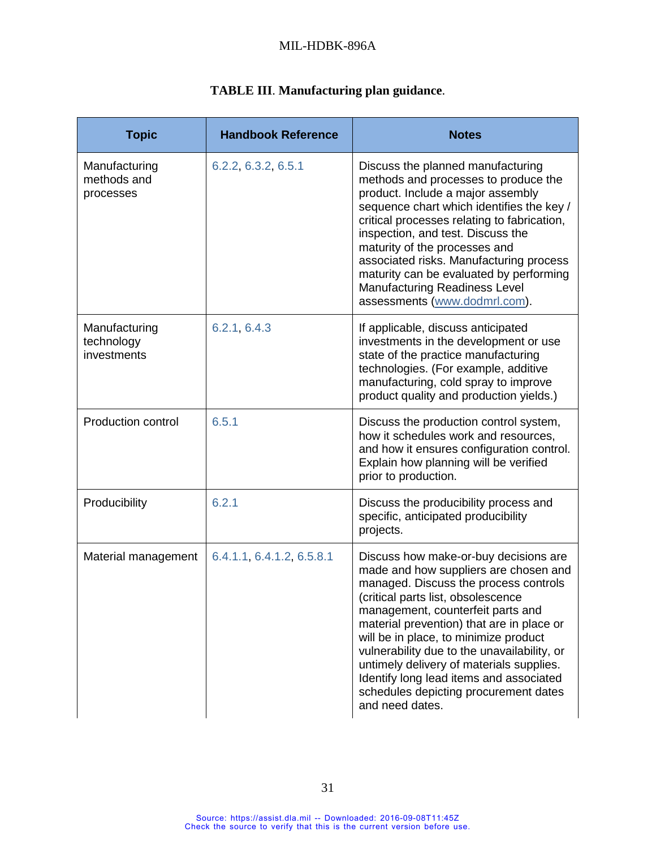## MIL-HDBK-896A

<span id="page-39-0"></span>

| <b>Topic</b>                               | <b>Handbook Reference</b> | <b>Notes</b>                                                                                                                                                                                                                                                                                                                                                                                                                                                                               |
|--------------------------------------------|---------------------------|--------------------------------------------------------------------------------------------------------------------------------------------------------------------------------------------------------------------------------------------------------------------------------------------------------------------------------------------------------------------------------------------------------------------------------------------------------------------------------------------|
| Manufacturing<br>methods and<br>processes  | 6.2.2, 6.3.2, 6.5.1       | Discuss the planned manufacturing<br>methods and processes to produce the<br>product. Include a major assembly<br>sequence chart which identifies the key /<br>critical processes relating to fabrication,<br>inspection, and test. Discuss the<br>maturity of the processes and<br>associated risks. Manufacturing process<br>maturity can be evaluated by performing<br><b>Manufacturing Readiness Level</b><br>assessments (www.dodmrl.com).                                            |
| Manufacturing<br>technology<br>investments | 6.2.1, 6.4.3              | If applicable, discuss anticipated<br>investments in the development or use<br>state of the practice manufacturing<br>technologies. (For example, additive<br>manufacturing, cold spray to improve<br>product quality and production yields.)                                                                                                                                                                                                                                              |
| <b>Production control</b>                  | 6.5.1                     | Discuss the production control system,<br>how it schedules work and resources,<br>and how it ensures configuration control.<br>Explain how planning will be verified<br>prior to production.                                                                                                                                                                                                                                                                                               |
| Producibility                              | 6.2.1                     | Discuss the producibility process and<br>specific, anticipated producibility<br>projects.                                                                                                                                                                                                                                                                                                                                                                                                  |
| Material management                        | 6.4.1.1, 6.4.1.2, 6.5.8.1 | Discuss how make-or-buy decisions are<br>made and how suppliers are chosen and<br>managed. Discuss the process controls<br>(critical parts list, obsolescence<br>management, counterfeit parts and<br>material prevention) that are in place or<br>will be in place, to minimize product<br>vulnerability due to the unavailability, or<br>untimely delivery of materials supplies.<br>Identify long lead items and associated<br>schedules depicting procurement dates<br>and need dates. |

# **TABLE III**. **Manufacturing plan guidance**.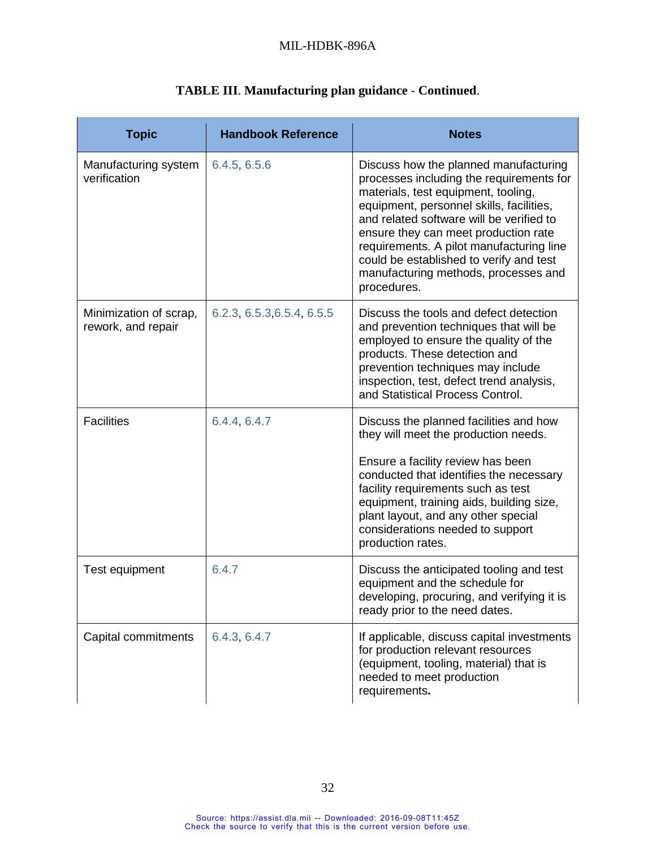| <b>Topic</b>                                 | <b>Handbook Reference</b>  | <b>Notes</b>                                                                                                                                                                                                                                                                                                                                                                                           |
|----------------------------------------------|----------------------------|--------------------------------------------------------------------------------------------------------------------------------------------------------------------------------------------------------------------------------------------------------------------------------------------------------------------------------------------------------------------------------------------------------|
| Manufacturing system<br>verification         | 6.4.5, 6.5.6               | Discuss how the planned manufacturing<br>processes including the requirements for<br>materials, test equipment, tooling,<br>equipment, personnel skills, facilities,<br>and related software will be verified to<br>ensure they can meet production rate<br>requirements. A pilot manufacturing line<br>could be established to verify and test<br>manufacturing methods, processes and<br>procedures. |
| Minimization of scrap,<br>rework, and repair | 6.2.3, 6.5.3, 6.5.4, 6.5.5 | Discuss the tools and defect detection<br>and prevention techniques that will be<br>employed to ensure the quality of the<br>products. These detection and<br>prevention techniques may include<br>inspection, test, defect trend analysis,<br>and Statistical Process Control.                                                                                                                        |
| <b>Facilities</b>                            | 6.4.4, 6.4.7               | Discuss the planned facilities and how<br>they will meet the production needs.<br>Ensure a facility review has been<br>conducted that identifies the necessary<br>facility requirements such as test<br>equipment, training aids, building size,<br>plant layout, and any other special<br>considerations needed to support<br>production rates.                                                       |
| Test equipment                               | 6.4.7                      | Discuss the anticipated tooling and test<br>equipment and the schedule for<br>developing, procuring, and verifying it is<br>ready prior to the need dates.                                                                                                                                                                                                                                             |
| Capital commitments                          | 6.4.3, 6.4.7               | If applicable, discuss capital investments<br>for production relevant resources<br>(equipment, tooling, material) that is<br>needed to meet production<br>requirements.                                                                                                                                                                                                                                |

# **TABLE III**. **Manufacturing plan guidance** - **Continued**.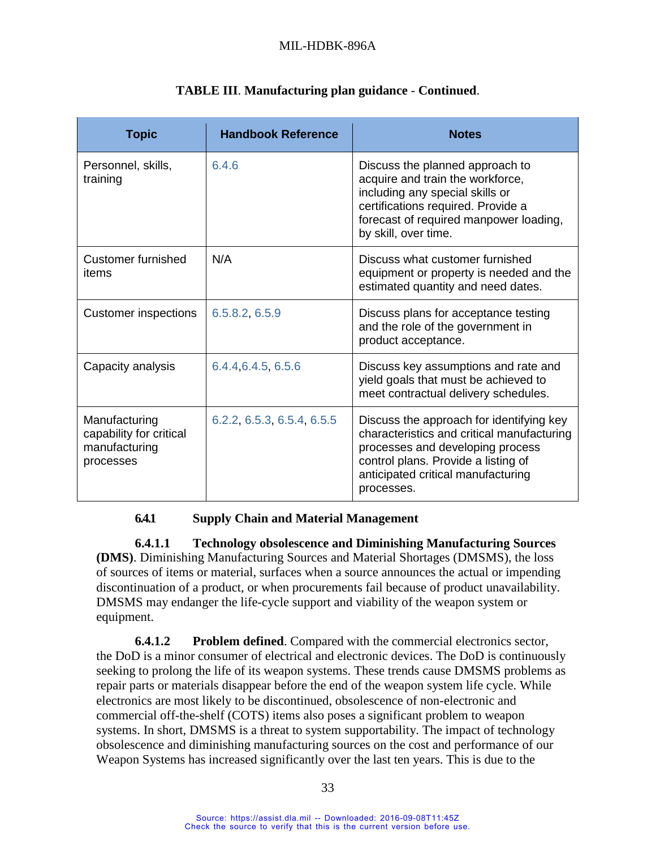| <b>Topic</b>                                                           | <b>Handbook Reference</b>  | <b>Notes</b>                                                                                                                                                                                                          |
|------------------------------------------------------------------------|----------------------------|-----------------------------------------------------------------------------------------------------------------------------------------------------------------------------------------------------------------------|
| Personnel, skills,<br>training                                         | 6.4.6                      | Discuss the planned approach to<br>acquire and train the workforce,<br>including any special skills or<br>certifications required. Provide a<br>forecast of required manpower loading,<br>by skill, over time.        |
| Customer furnished<br>items                                            | N/A                        | Discuss what customer furnished<br>equipment or property is needed and the<br>estimated quantity and need dates.                                                                                                      |
| <b>Customer inspections</b>                                            | 6.5.8.2, 6.5.9             | Discuss plans for acceptance testing<br>and the role of the government in<br>product acceptance.                                                                                                                      |
| Capacity analysis                                                      | 6.4.4, 6.4.5, 6.5.6        | Discuss key assumptions and rate and<br>yield goals that must be achieved to<br>meet contractual delivery schedules.                                                                                                  |
| Manufacturing<br>capability for critical<br>manufacturing<br>processes | 6.2.2, 6.5.3, 6.5.4, 6.5.5 | Discuss the approach for identifying key<br>characteristics and critical manufacturing<br>processes and developing process<br>control plans. Provide a listing of<br>anticipated critical manufacturing<br>processes. |

## **TABLE III**. **Manufacturing plan guidance** - **Continued**.

## **6.4.1 Supply Chain and Material Management**

<span id="page-41-0"></span>**6.4.1.1 Technology obsolescence and Diminishing Manufacturing Sources (DMS)**. Diminishing Manufacturing Sources and Material Shortages (DMSMS), the loss of sources of items or material, surfaces when a source announces the actual or impending discontinuation of a product, or when procurements fail because of product unavailability. DMSMS may endanger the life-cycle support and viability of the weapon system or equipment.

<span id="page-41-1"></span>**6.4.1.2 Problem defined**. Compared with the commercial electronics sector, the DoD is a minor consumer of electrical and electronic devices. The DoD is continuously seeking to prolong the life of its weapon systems. These trends cause DMSMS problems as repair parts or materials disappear before the end of the weapon system life cycle. While electronics are most likely to be discontinued, obsolescence of non-electronic and commercial off-the-shelf (COTS) items also poses a significant problem to weapon systems. In short, DMSMS is a threat to system supportability. The impact of technology obsolescence and diminishing manufacturing sources on the cost and performance of our Weapon Systems has increased significantly over the last ten years. This is due to the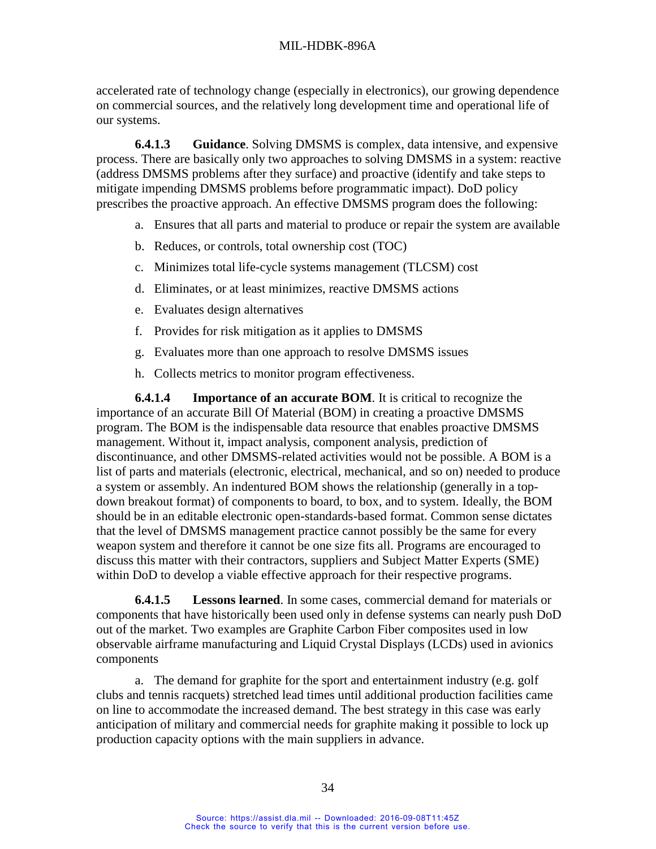accelerated rate of technology change (especially in electronics), our growing dependence on commercial sources, and the relatively long development time and operational life of our systems.

**6.4.1.3 Guidance**. Solving DMSMS is complex, data intensive, and expensive process. There are basically only two approaches to solving DMSMS in a system: reactive (address DMSMS problems after they surface) and proactive (identify and take steps to mitigate impending DMSMS problems before programmatic impact). DoD policy prescribes the proactive approach. An effective DMSMS program does the following:

- a. Ensures that all parts and material to produce or repair the system are available
- b. Reduces, or controls, total ownership cost (TOC)
- c. Minimizes total life-cycle systems management (TLCSM) cost
- d. Eliminates, or at least minimizes, reactive DMSMS actions
- e. Evaluates design alternatives
- f. Provides for risk mitigation as it applies to DMSMS
- g. Evaluates more than one approach to resolve DMSMS issues
- h. Collects metrics to monitor program effectiveness.

**6.4.1.4 Importance of an accurate BOM**. It is critical to recognize the importance of an accurate Bill Of Material (BOM) in creating a proactive DMSMS program. The BOM is the indispensable data resource that enables proactive DMSMS management. Without it, impact analysis, component analysis, prediction of discontinuance, and other DMSMS-related activities would not be possible. A BOM is a list of parts and materials (electronic, electrical, mechanical, and so on) needed to produce a system or assembly. An indentured BOM shows the relationship (generally in a topdown breakout format) of components to board, to box, and to system. Ideally, the BOM should be in an editable electronic open-standards-based format. Common sense dictates that the level of DMSMS management practice cannot possibly be the same for every weapon system and therefore it cannot be one size fits all. Programs are encouraged to discuss this matter with their contractors, suppliers and Subject Matter Experts (SME) within DoD to develop a viable effective approach for their respective programs.

**6.4.1.5 Lessons learned**. In some cases, commercial demand for materials or components that have historically been used only in defense systems can nearly push DoD out of the market. Two examples are Graphite Carbon Fiber composites used in low observable airframe manufacturing and Liquid Crystal Displays (LCDs) used in avionics components

a. The demand for graphite for the sport and entertainment industry (e.g. golf clubs and tennis racquets) stretched lead times until additional production facilities came on line to accommodate the increased demand. The best strategy in this case was early anticipation of military and commercial needs for graphite making it possible to lock up production capacity options with the main suppliers in advance.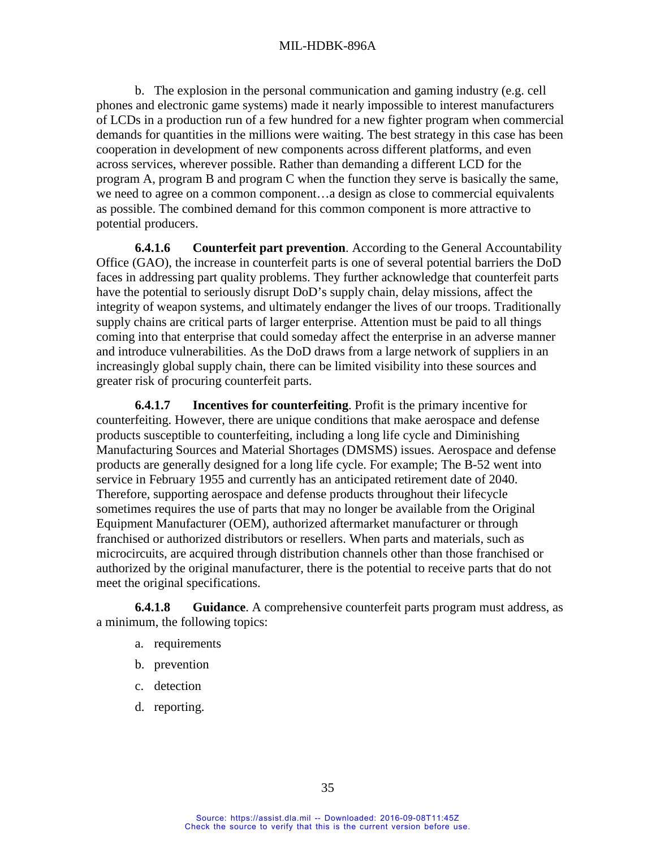b. The explosion in the personal communication and gaming industry (e.g. cell phones and electronic game systems) made it nearly impossible to interest manufacturers of LCDs in a production run of a few hundred for a new fighter program when commercial demands for quantities in the millions were waiting. The best strategy in this case has been cooperation in development of new components across different platforms, and even across services, wherever possible. Rather than demanding a different LCD for the program A, program B and program C when the function they serve is basically the same, we need to agree on a common component…a design as close to commercial equivalents as possible. The combined demand for this common component is more attractive to potential producers.

**6.4.1.6 Counterfeit part prevention**. According to the General Accountability Office (GAO), the increase in counterfeit parts is one of several potential barriers the DoD faces in addressing part quality problems. They further acknowledge that counterfeit parts have the potential to seriously disrupt DoD's supply chain, delay missions, affect the integrity of weapon systems, and ultimately endanger the lives of our troops. Traditionally supply chains are critical parts of larger enterprise. Attention must be paid to all things coming into that enterprise that could someday affect the enterprise in an adverse manner and introduce vulnerabilities. As the DoD draws from a large network of suppliers in an increasingly global supply chain, there can be limited visibility into these sources and greater risk of procuring counterfeit parts.

**6.4.1.7 Incentives for counterfeiting**. Profit is the primary incentive for counterfeiting. However, there are unique conditions that make aerospace and defense products susceptible to counterfeiting, including a long life cycle and Diminishing Manufacturing Sources and Material Shortages (DMSMS) issues. Aerospace and defense products are generally designed for a long life cycle. For example; The B-52 went into service in February 1955 and currently has an anticipated retirement date of 2040. Therefore, supporting aerospace and defense products throughout their lifecycle sometimes requires the use of parts that may no longer be available from the Original Equipment Manufacturer (OEM), authorized aftermarket manufacturer or through franchised or authorized distributors or resellers. When parts and materials, such as microcircuits, are acquired through distribution channels other than those franchised or authorized by the original manufacturer, there is the potential to receive parts that do not meet the original specifications.

**6.4.1.8 Guidance**. A comprehensive counterfeit parts program must address, as a minimum, the following topics:

- a. requirements
- b. prevention
- c. detection
- d. reporting.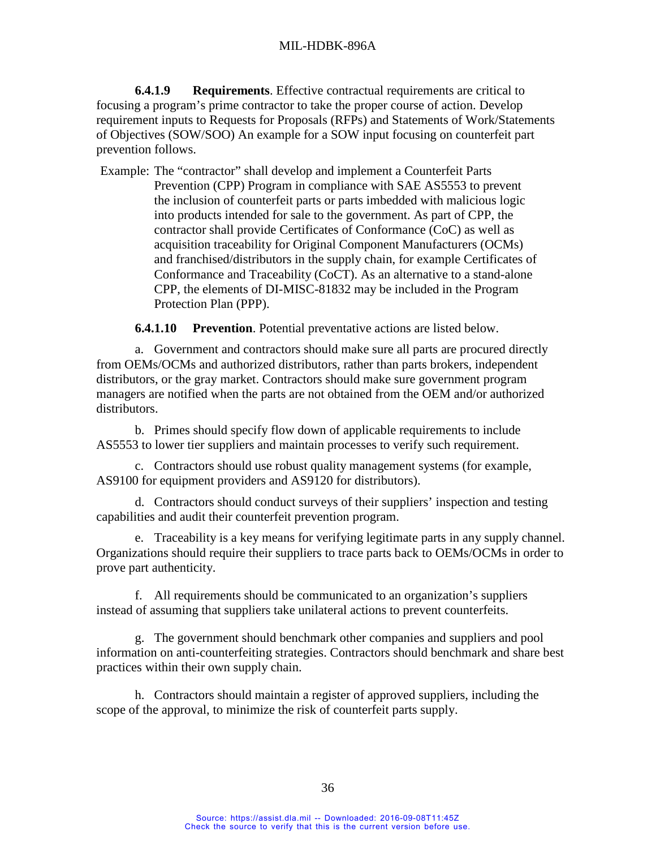**6.4.1.9 Requirements**. Effective contractual requirements are critical to focusing a program's prime contractor to take the proper course of action. Develop requirement inputs to Requests for Proposals (RFPs) and Statements of Work/Statements of Objectives (SOW/SOO) An example for a SOW input focusing on counterfeit part prevention follows.

Example: The "contractor" shall develop and implement a Counterfeit Parts Prevention (CPP) Program in compliance with SAE AS5553 to prevent the inclusion of counterfeit parts or parts imbedded with malicious logic into products intended for sale to the government. As part of CPP, the contractor shall provide Certificates of Conformance (CoC) as well as acquisition traceability for Original Component Manufacturers (OCMs) and franchised/distributors in the supply chain, for example Certificates of Conformance and Traceability (CoCT). As an alternative to a stand-alone CPP, the elements of DI-MISC-81832 may be included in the Program Protection Plan (PPP).

**6.4.1.10 Prevention**. Potential preventative actions are listed below.

a. Government and contractors should make sure all parts are procured directly from OEMs/OCMs and authorized distributors, rather than parts brokers, independent distributors, or the gray market. Contractors should make sure government program managers are notified when the parts are not obtained from the OEM and/or authorized distributors.

b. Primes should specify flow down of applicable requirements to include AS5553 to lower tier suppliers and maintain processes to verify such requirement.

c. Contractors should use robust quality management systems (for example, AS9100 for equipment providers and AS9120 for distributors).

d. Contractors should conduct surveys of their suppliers' inspection and testing capabilities and audit their counterfeit prevention program.

e. Traceability is a key means for verifying legitimate parts in any supply channel. Organizations should require their suppliers to trace parts back to OEMs/OCMs in order to prove part authenticity.

f. All requirements should be communicated to an organization's suppliers instead of assuming that suppliers take unilateral actions to prevent counterfeits.

g. The government should benchmark other companies and suppliers and pool information on anti-counterfeiting strategies. Contractors should benchmark and share best practices within their own supply chain.

h. Contractors should maintain a register of approved suppliers, including the scope of the approval, to minimize the risk of counterfeit parts supply.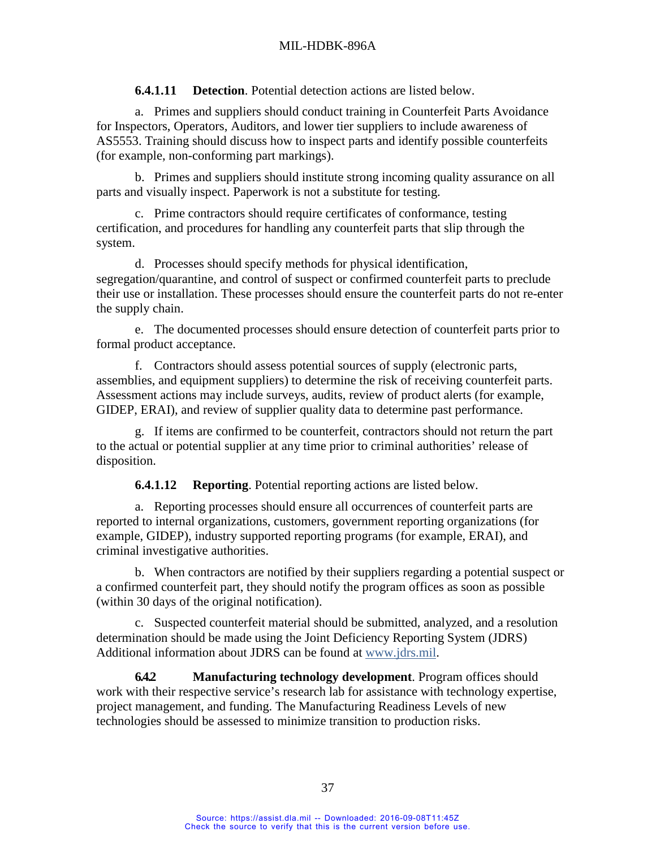#### MIL-HDBK-896A

**6.4.1.11 Detection**. Potential detection actions are listed below.

a. Primes and suppliers should conduct training in Counterfeit Parts Avoidance for Inspectors, Operators, Auditors, and lower tier suppliers to include awareness of AS5553. Training should discuss how to inspect parts and identify possible counterfeits (for example, non-conforming part markings).

b. Primes and suppliers should institute strong incoming quality assurance on all parts and visually inspect. Paperwork is not a substitute for testing.

c. Prime contractors should require certificates of conformance, testing certification, and procedures for handling any counterfeit parts that slip through the system.

d. Processes should specify methods for physical identification, segregation/quarantine, and control of suspect or confirmed counterfeit parts to preclude their use or installation. These processes should ensure the counterfeit parts do not re-enter the supply chain.

e. The documented processes should ensure detection of counterfeit parts prior to formal product acceptance.

f. Contractors should assess potential sources of supply (electronic parts, assemblies, and equipment suppliers) to determine the risk of receiving counterfeit parts. Assessment actions may include surveys, audits, review of product alerts (for example, GIDEP, ERAI), and review of supplier quality data to determine past performance.

g. If items are confirmed to be counterfeit, contractors should not return the part to the actual or potential supplier at any time prior to criminal authorities' release of disposition.

**6.4.1.12 Reporting**. Potential reporting actions are listed below.

a. Reporting processes should ensure all occurrences of counterfeit parts are reported to internal organizations, customers, government reporting organizations (for example, GIDEP), industry supported reporting programs (for example, ERAI), and criminal investigative authorities.

b. When contractors are notified by their suppliers regarding a potential suspect or a confirmed counterfeit part, they should notify the program offices as soon as possible (within 30 days of the original notification).

c. Suspected counterfeit material should be submitted, analyzed, and a resolution determination should be made using the Joint Deficiency Reporting System (JDRS) Additional information about JDRS can be found at [www.jdrs.mil.](http://www.jdrs.mil/)

**6.4.2 Manufacturing technology development**. Program offices should work with their respective service's research lab for assistance with technology expertise, project management, and funding. The Manufacturing Readiness Levels of new technologies should be assessed to minimize transition to production risks.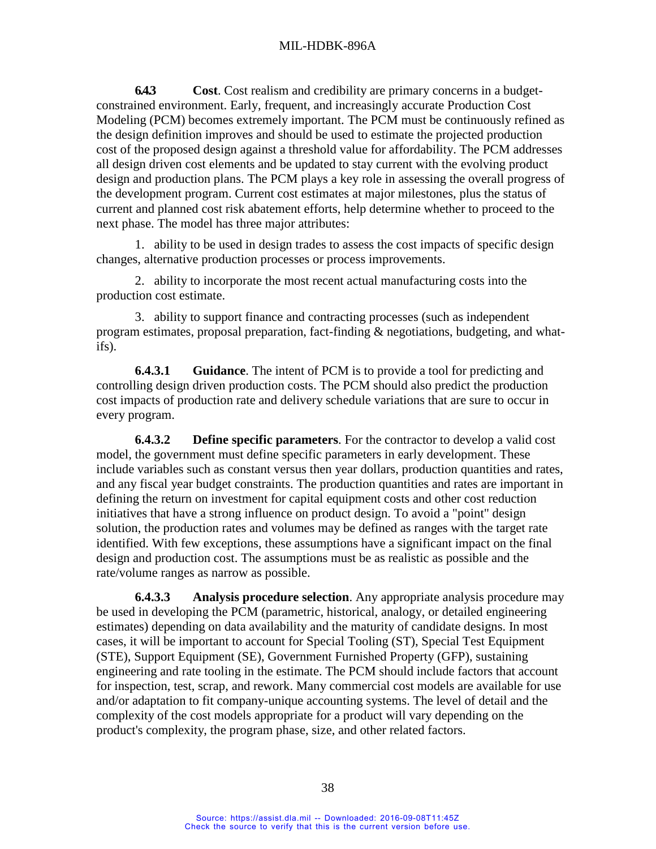<span id="page-46-0"></span>**6.4.3 Cost**. Cost realism and credibility are primary concerns in a budgetconstrained environment. Early, frequent, and increasingly accurate Production Cost Modeling (PCM) becomes extremely important. The PCM must be continuously refined as the design definition improves and should be used to estimate the projected production cost of the proposed design against a threshold value for affordability. The PCM addresses all design driven cost elements and be updated to stay current with the evolving product design and production plans. The PCM plays a key role in assessing the overall progress of the development program. Current cost estimates at major milestones, plus the status of current and planned cost risk abatement efforts, help determine whether to proceed to the next phase. The model has three major attributes:

1. ability to be used in design trades to assess the cost impacts of specific design changes, alternative production processes or process improvements.

2. ability to incorporate the most recent actual manufacturing costs into the production cost estimate.

3. ability to support finance and contracting processes (such as independent program estimates, proposal preparation, fact-finding & negotiations, budgeting, and whatifs).

**6.4.3.1 Guidance**. The intent of PCM is to provide a tool for predicting and controlling design driven production costs. The PCM should also predict the production cost impacts of production rate and delivery schedule variations that are sure to occur in every program.

**6.4.3.2 Define specific parameters**. For the contractor to develop a valid cost model, the government must define specific parameters in early development. These include variables such as constant versus then year dollars, production quantities and rates, and any fiscal year budget constraints. The production quantities and rates are important in defining the return on investment for capital equipment costs and other cost reduction initiatives that have a strong influence on product design. To avoid a "point" design solution, the production rates and volumes may be defined as ranges with the target rate identified. With few exceptions, these assumptions have a significant impact on the final design and production cost. The assumptions must be as realistic as possible and the rate/volume ranges as narrow as possible.

**6.4.3.3 Analysis procedure selection**. Any appropriate analysis procedure may be used in developing the PCM (parametric, historical, analogy, or detailed engineering estimates) depending on data availability and the maturity of candidate designs. In most cases, it will be important to account for Special Tooling (ST), Special Test Equipment (STE), Support Equipment (SE), Government Furnished Property (GFP), sustaining engineering and rate tooling in the estimate. The PCM should include factors that account for inspection, test, scrap, and rework. Many commercial cost models are available for use and/or adaptation to fit company-unique accounting systems. The level of detail and the complexity of the cost models appropriate for a product will vary depending on the product's complexity, the program phase, size, and other related factors.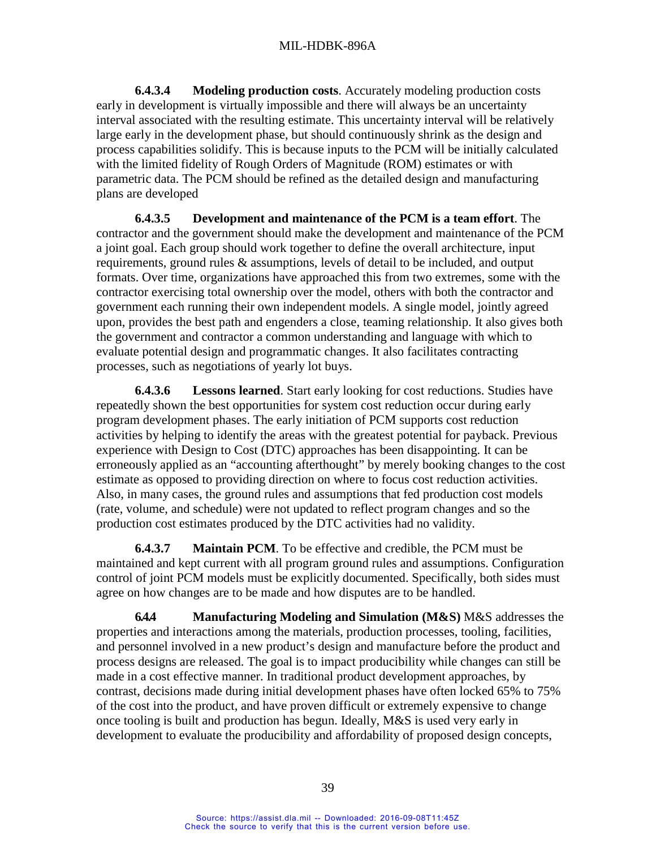**6.4.3.4 Modeling production costs**. Accurately modeling production costs early in development is virtually impossible and there will always be an uncertainty interval associated with the resulting estimate. This uncertainty interval will be relatively large early in the development phase, but should continuously shrink as the design and process capabilities solidify. This is because inputs to the PCM will be initially calculated with the limited fidelity of Rough Orders of Magnitude (ROM) estimates or with parametric data. The PCM should be refined as the detailed design and manufacturing plans are developed

**6.4.3.5 Development and maintenance of the PCM is a team effort**. The contractor and the government should make the development and maintenance of the PCM a joint goal. Each group should work together to define the overall architecture, input requirements, ground rules & assumptions, levels of detail to be included, and output formats. Over time, organizations have approached this from two extremes, some with the contractor exercising total ownership over the model, others with both the contractor and government each running their own independent models. A single model, jointly agreed upon, provides the best path and engenders a close, teaming relationship. It also gives both the government and contractor a common understanding and language with which to evaluate potential design and programmatic changes. It also facilitates contracting processes, such as negotiations of yearly lot buys.

**6.4.3.6 Lessons learned**. Start early looking for cost reductions. Studies have repeatedly shown the best opportunities for system cost reduction occur during early program development phases. The early initiation of PCM supports cost reduction activities by helping to identify the areas with the greatest potential for payback. Previous experience with Design to Cost (DTC) approaches has been disappointing. It can be erroneously applied as an "accounting afterthought" by merely booking changes to the cost estimate as opposed to providing direction on where to focus cost reduction activities. Also, in many cases, the ground rules and assumptions that fed production cost models (rate, volume, and schedule) were not updated to reflect program changes and so the production cost estimates produced by the DTC activities had no validity.

**6.4.3.7 Maintain PCM**. To be effective and credible, the PCM must be maintained and kept current with all program ground rules and assumptions. Configuration control of joint PCM models must be explicitly documented. Specifically, both sides must agree on how changes are to be made and how disputes are to be handled.

<span id="page-47-0"></span>**6.4.4 Manufacturing Modeling and Simulation (M&S)** M&S addresses the properties and interactions among the materials, production processes, tooling, facilities, and personnel involved in a new product's design and manufacture before the product and process designs are released. The goal is to impact producibility while changes can still be made in a cost effective manner. In traditional product development approaches, by contrast, decisions made during initial development phases have often locked 65% to 75% of the cost into the product, and have proven difficult or extremely expensive to change once tooling is built and production has begun. Ideally, M&S is used very early in development to evaluate the producibility and affordability of proposed design concepts,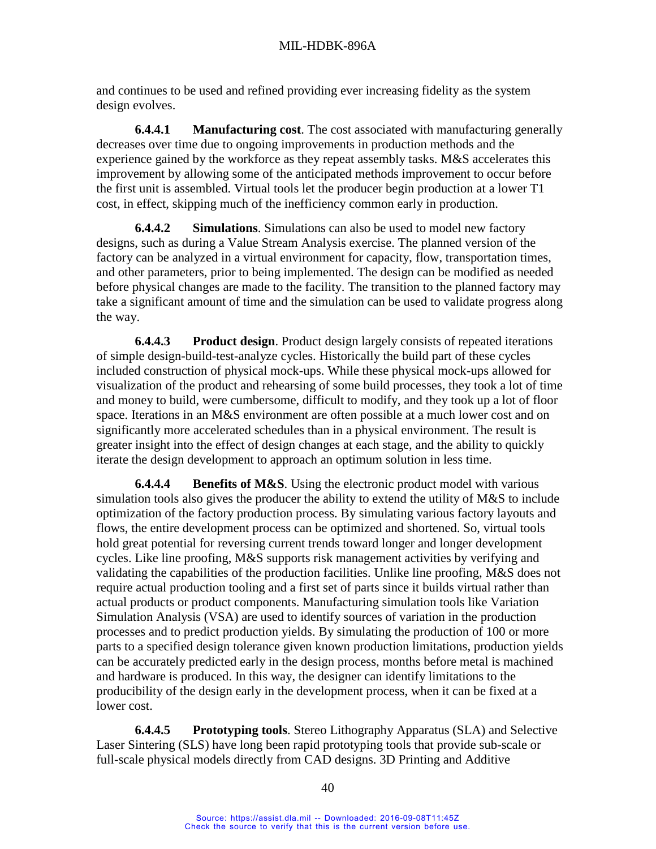and continues to be used and refined providing ever increasing fidelity as the system design evolves.

**6.4.4.1 Manufacturing cost**. The cost associated with manufacturing generally decreases over time due to ongoing improvements in production methods and the experience gained by the workforce as they repeat assembly tasks. M&S accelerates this improvement by allowing some of the anticipated methods improvement to occur before the first unit is assembled. Virtual tools let the producer begin production at a lower T1 cost, in effect, skipping much of the inefficiency common early in production.

**6.4.4.2 Simulations**. Simulations can also be used to model new factory designs, such as during a Value Stream Analysis exercise. The planned version of the factory can be analyzed in a virtual environment for capacity, flow, transportation times, and other parameters, prior to being implemented. The design can be modified as needed before physical changes are made to the facility. The transition to the planned factory may take a significant amount of time and the simulation can be used to validate progress along the way.

**6.4.4.3 Product design**. Product design largely consists of repeated iterations of simple design-build-test-analyze cycles. Historically the build part of these cycles included construction of physical mock-ups. While these physical mock-ups allowed for visualization of the product and rehearsing of some build processes, they took a lot of time and money to build, were cumbersome, difficult to modify, and they took up a lot of floor space. Iterations in an M&S environment are often possible at a much lower cost and on significantly more accelerated schedules than in a physical environment. The result is greater insight into the effect of design changes at each stage, and the ability to quickly iterate the design development to approach an optimum solution in less time.

**6.4.4.4 Benefits of M&S**. Using the electronic product model with various simulation tools also gives the producer the ability to extend the utility of M&S to include optimization of the factory production process. By simulating various factory layouts and flows, the entire development process can be optimized and shortened. So, virtual tools hold great potential for reversing current trends toward longer and longer development cycles. Like line proofing, M&S supports risk management activities by verifying and validating the capabilities of the production facilities. Unlike line proofing, M&S does not require actual production tooling and a first set of parts since it builds virtual rather than actual products or product components. Manufacturing simulation tools like Variation Simulation Analysis (VSA) are used to identify sources of variation in the production processes and to predict production yields. By simulating the production of 100 or more parts to a specified design tolerance given known production limitations, production yields can be accurately predicted early in the design process, months before metal is machined and hardware is produced. In this way, the designer can identify limitations to the producibility of the design early in the development process, when it can be fixed at a lower cost.

**6.4.4.5 Prototyping tools**. Stereo Lithography Apparatus (SLA) and Selective Laser Sintering (SLS) have long been rapid prototyping tools that provide sub-scale or full-scale physical models directly from CAD designs. 3D Printing and Additive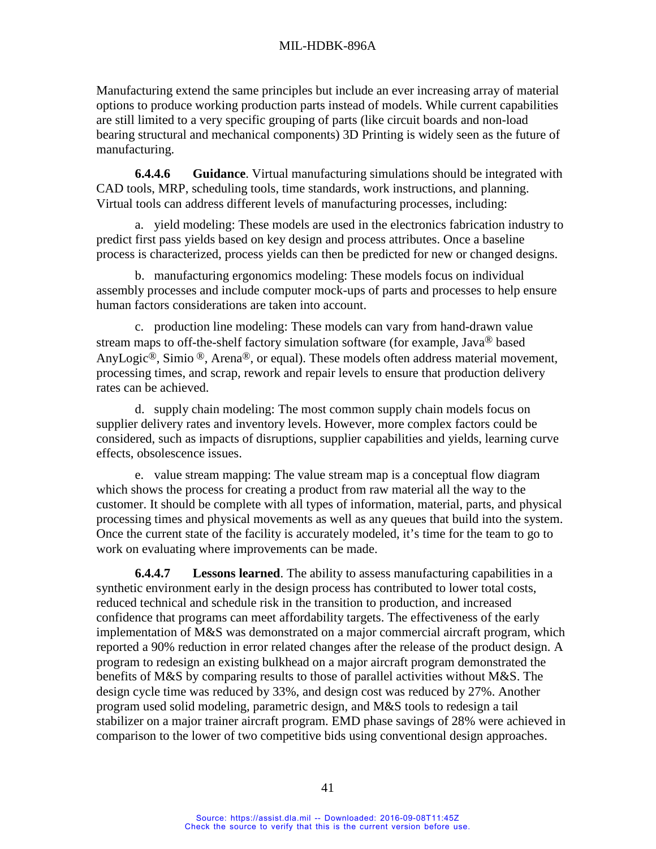Manufacturing extend the same principles but include an ever increasing array of material options to produce working production parts instead of models. While current capabilities are still limited to a very specific grouping of parts (like circuit boards and non-load bearing structural and mechanical components) 3D Printing is widely seen as the future of manufacturing.

**6.4.4.6 Guidance**. Virtual manufacturing simulations should be integrated with CAD tools, MRP, scheduling tools, time standards, work instructions, and planning. Virtual tools can address different levels of manufacturing processes, including:

a. yield modeling: These models are used in the electronics fabrication industry to predict first pass yields based on key design and process attributes. Once a baseline process is characterized, process yields can then be predicted for new or changed designs.

b. manufacturing ergonomics modeling: These models focus on individual assembly processes and include computer mock-ups of parts and processes to help ensure human factors considerations are taken into account.

c. production line modeling: These models can vary from hand-drawn value stream maps to off-the-shelf factory simulation software (for example, Java® based AnyLogic<sup>®</sup>, Simio <sup>®</sup>, Arena<sup>®</sup>, or equal). These models often address material movement, processing times, and scrap, rework and repair levels to ensure that production delivery rates can be achieved.

d. supply chain modeling: The most common supply chain models focus on supplier delivery rates and inventory levels. However, more complex factors could be considered, such as impacts of disruptions, supplier capabilities and yields, learning curve effects, obsolescence issues.

e. value stream mapping: The value stream map is a conceptual flow diagram which shows the process for creating a product from raw material all the way to the customer. It should be complete with all types of information, material, parts, and physical processing times and physical movements as well as any queues that build into the system. Once the current state of the facility is accurately modeled, it's time for the team to go to work on evaluating where improvements can be made.

**6.4.4.7 Lessons learned**. The ability to assess manufacturing capabilities in a synthetic environment early in the design process has contributed to lower total costs, reduced technical and schedule risk in the transition to production, and increased confidence that programs can meet affordability targets. The effectiveness of the early implementation of M&S was demonstrated on a major commercial aircraft program, which reported a 90% reduction in error related changes after the release of the product design. A program to redesign an existing bulkhead on a major aircraft program demonstrated the benefits of M&S by comparing results to those of parallel activities without M&S. The design cycle time was reduced by 33%, and design cost was reduced by 27%. Another program used solid modeling, parametric design, and M&S tools to redesign a tail stabilizer on a major trainer aircraft program. EMD phase savings of 28% were achieved in comparison to the lower of two competitive bids using conventional design approaches.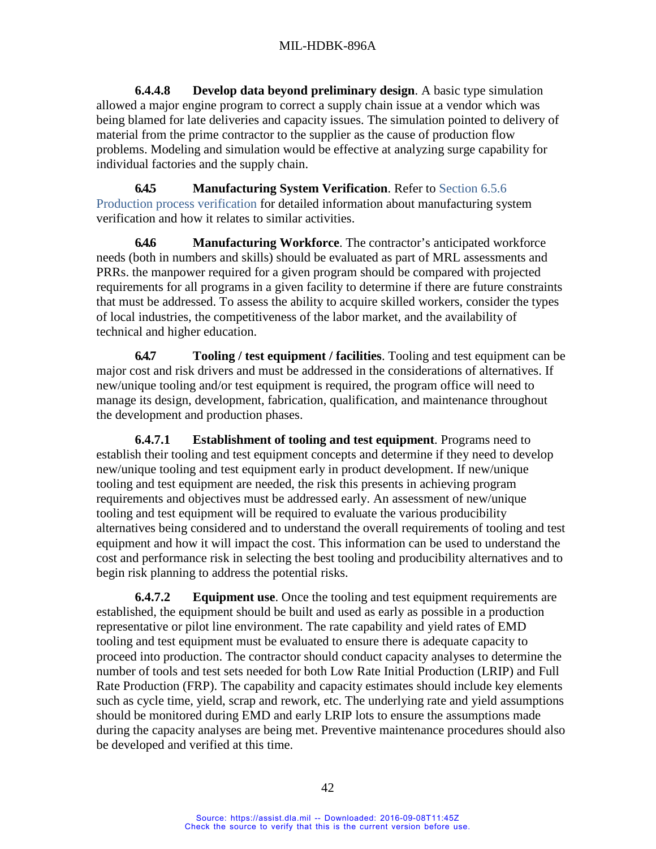**6.4.4.8 Develop data beyond preliminary design**. A basic type simulation allowed a major engine program to correct a supply chain issue at a vendor which was being blamed for late deliveries and capacity issues. The simulation pointed to delivery of material from the prime contractor to the supplier as the cause of production flow problems. Modeling and simulation would be effective at analyzing surge capability for individual factories and the supply chain.

<span id="page-50-0"></span>**6.4.5 Manufacturing System Verification**. Refer to Section [6.5.6](#page-60-0) [Production process verification](#page-60-0) for detailed information about manufacturing system verification and how it relates to similar activities.

<span id="page-50-2"></span>**6.4.6 Manufacturing Workforce**. The contractor's anticipated workforce needs (both in numbers and skills) should be evaluated as part of MRL assessments and PRRs. the manpower required for a given program should be compared with projected requirements for all programs in a given facility to determine if there are future constraints that must be addressed. To assess the ability to acquire skilled workers, consider the types of local industries, the competitiveness of the labor market, and the availability of technical and higher education.

<span id="page-50-1"></span>**6.4.7 Tooling / test equipment / facilities**. Tooling and test equipment can be major cost and risk drivers and must be addressed in the considerations of alternatives. If new/unique tooling and/or test equipment is required, the program office will need to manage its design, development, fabrication, qualification, and maintenance throughout the development and production phases.

**6.4.7.1 Establishment of tooling and test equipment**. Programs need to establish their tooling and test equipment concepts and determine if they need to develop new/unique tooling and test equipment early in product development. If new/unique tooling and test equipment are needed, the risk this presents in achieving program requirements and objectives must be addressed early. An assessment of new/unique tooling and test equipment will be required to evaluate the various producibility alternatives being considered and to understand the overall requirements of tooling and test equipment and how it will impact the cost. This information can be used to understand the cost and performance risk in selecting the best tooling and producibility alternatives and to begin risk planning to address the potential risks.

**6.4.7.2 Equipment use**. Once the tooling and test equipment requirements are established, the equipment should be built and used as early as possible in a production representative or pilot line environment. The rate capability and yield rates of EMD tooling and test equipment must be evaluated to ensure there is adequate capacity to proceed into production. The contractor should conduct capacity analyses to determine the number of tools and test sets needed for both Low Rate Initial Production (LRIP) and Full Rate Production (FRP). The capability and capacity estimates should include key elements such as cycle time, yield, scrap and rework, etc. The underlying rate and yield assumptions should be monitored during EMD and early LRIP lots to ensure the assumptions made during the capacity analyses are being met. Preventive maintenance procedures should also be developed and verified at this time.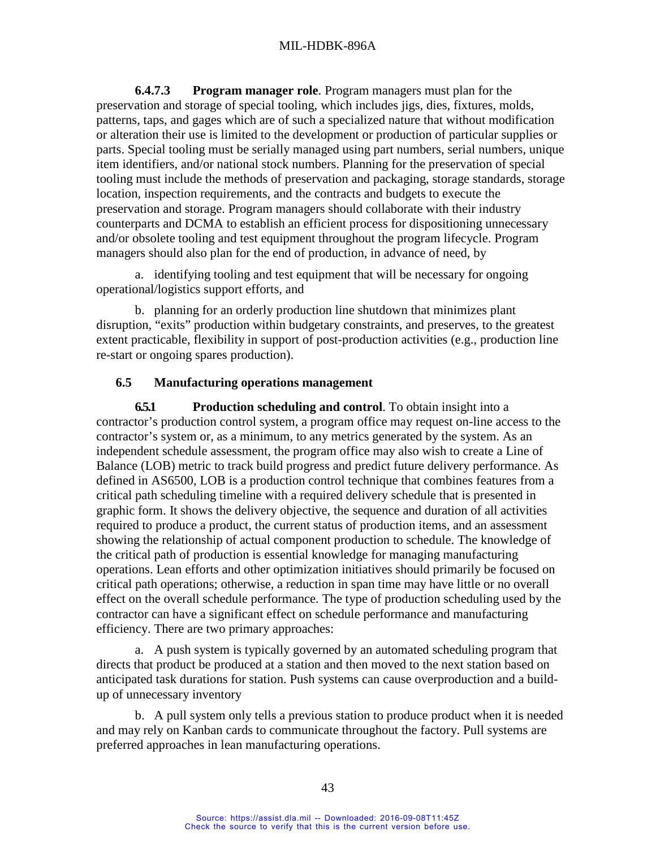**6.4.7.3 Program manager role**. Program managers must plan for the preservation and storage of special tooling, which includes jigs, dies, fixtures, molds, patterns, taps, and gages which are of such a specialized nature that without modification or alteration their use is limited to the development or production of particular supplies or parts. Special tooling must be serially managed using part numbers, serial numbers, unique item identifiers, and/or national stock numbers. Planning for the preservation of special tooling must include the methods of preservation and packaging, storage standards, storage location, inspection requirements, and the contracts and budgets to execute the preservation and storage. Program managers should collaborate with their industry counterparts and DCMA to establish an efficient process for dispositioning unnecessary and/or obsolete tooling and test equipment throughout the program lifecycle. Program managers should also plan for the end of production, in advance of need, by

a. identifying tooling and test equipment that will be necessary for ongoing operational/logistics support efforts, and

b. planning for an orderly production line shutdown that minimizes plant disruption, "exits" production within budgetary constraints, and preserves, to the greatest extent practicable, flexibility in support of post-production activities (e.g., production line re-start or ongoing spares production).

#### **6.5 Manufacturing operations management**

<span id="page-51-0"></span>**6.5.1 Production scheduling and control**. To obtain insight into a contractor's production control system, a program office may request on-line access to the contractor's system or, as a minimum, to any metrics generated by the system. As an independent schedule assessment, the program office may also wish to create a Line of Balance (LOB) metric to track build progress and predict future delivery performance. As defined in AS6500, LOB is a production control technique that combines features from a critical path scheduling timeline with a required delivery schedule that is presented in graphic form. It shows the delivery objective, the sequence and duration of all activities required to produce a product, the current status of production items, and an assessment showing the relationship of actual component production to schedule. The knowledge of the critical path of production is essential knowledge for managing manufacturing operations. Lean efforts and other optimization initiatives should primarily be focused on critical path operations; otherwise, a reduction in span time may have little or no overall effect on the overall schedule performance. The type of production scheduling used by the contractor can have a significant effect on schedule performance and manufacturing efficiency. There are two primary approaches:

a. A push system is typically governed by an automated scheduling program that directs that product be produced at a station and then moved to the next station based on anticipated task durations for station. Push systems can cause overproduction and a buildup of unnecessary inventory

b. A pull system only tells a previous station to produce product when it is needed and may rely on Kanban cards to communicate throughout the factory. Pull systems are preferred approaches in lean manufacturing operations.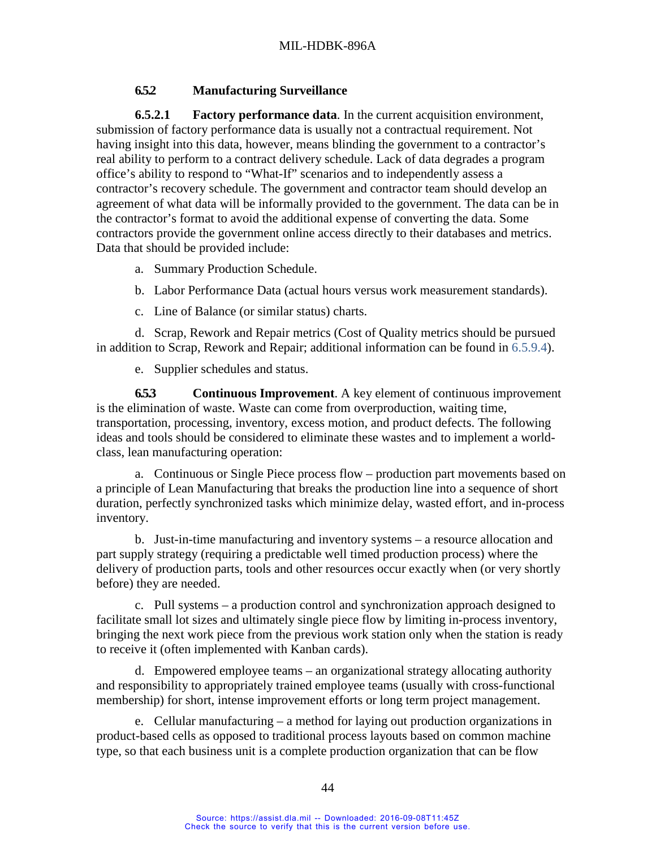### **6.5.2 Manufacturing Surveillance**

**6.5.2.1 Factory performance data**. In the current acquisition environment, submission of factory performance data is usually not a contractual requirement. Not having insight into this data, however, means blinding the government to a contractor's real ability to perform to a contract delivery schedule. Lack of data degrades a program office's ability to respond to "What-If" scenarios and to independently assess a contractor's recovery schedule. The government and contractor team should develop an agreement of what data will be informally provided to the government. The data can be in the contractor's format to avoid the additional expense of converting the data. Some contractors provide the government online access directly to their databases and metrics. Data that should be provided include:

- a. Summary Production Schedule.
- b. Labor Performance Data (actual hours versus work measurement standards).
- c. Line of Balance (or similar status) charts.

d. Scrap, Rework and Repair metrics (Cost of Quality metrics should be pursued in addition to Scrap, Rework and Repair; additional information can be found in [6.5.9.4\)](#page-67-0).

e. Supplier schedules and status.

<span id="page-52-0"></span>**6.5.3 Continuous Improvement**. A key element of continuous improvement is the elimination of waste. Waste can come from overproduction, waiting time, transportation, processing, inventory, excess motion, and product defects. The following ideas and tools should be considered to eliminate these wastes and to implement a worldclass, lean manufacturing operation:

a. Continuous or Single Piece process flow – production part movements based on a principle of Lean Manufacturing that breaks the production line into a sequence of short duration, perfectly synchronized tasks which minimize delay, wasted effort, and in-process inventory.

b. Just-in-time manufacturing and inventory systems – a resource allocation and part supply strategy (requiring a predictable well timed production process) where the delivery of production parts, tools and other resources occur exactly when (or very shortly before) they are needed.

c. Pull systems – a production control and synchronization approach designed to facilitate small lot sizes and ultimately single piece flow by limiting in-process inventory, bringing the next work piece from the previous work station only when the station is ready to receive it (often implemented with Kanban cards).

d. Empowered employee teams – an organizational strategy allocating authority and responsibility to appropriately trained employee teams (usually with cross-functional membership) for short, intense improvement efforts or long term project management.

e. Cellular manufacturing – a method for laying out production organizations in product-based cells as opposed to traditional process layouts based on common machine type, so that each business unit is a complete production organization that can be flow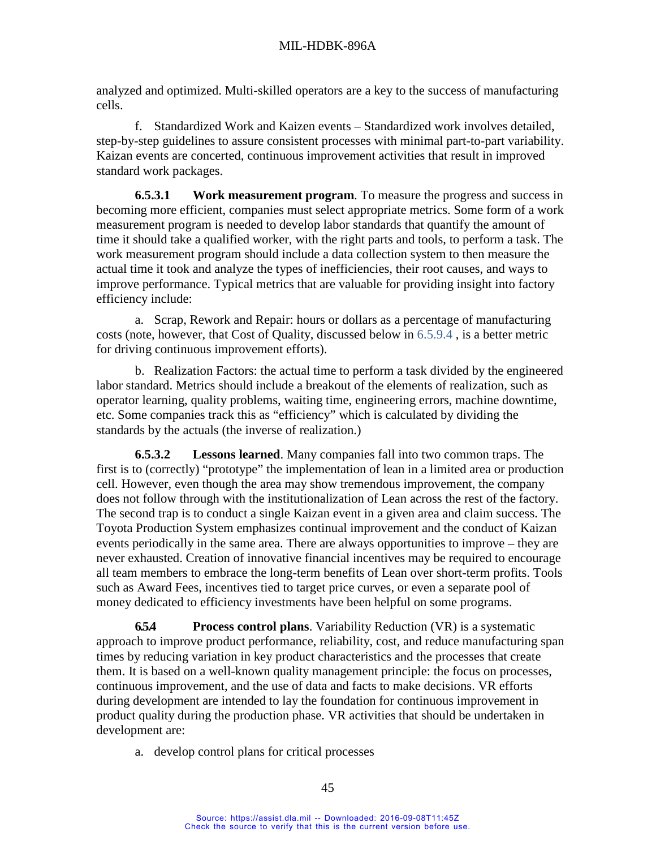analyzed and optimized. Multi-skilled operators are a key to the success of manufacturing cells.

f. Standardized Work and Kaizen events – Standardized work involves detailed, step-by-step guidelines to assure consistent processes with minimal part-to-part variability. Kaizan events are concerted, continuous improvement activities that result in improved standard work packages.

**6.5.3.1 Work measurement program**. To measure the progress and success in becoming more efficient, companies must select appropriate metrics. Some form of a work measurement program is needed to develop labor standards that quantify the amount of time it should take a qualified worker, with the right parts and tools, to perform a task. The work measurement program should include a data collection system to then measure the actual time it took and analyze the types of inefficiencies, their root causes, and ways to improve performance. Typical metrics that are valuable for providing insight into factory efficiency include:

a. Scrap, Rework and Repair: hours or dollars as a percentage of manufacturing costs (note, however, that Cost of Quality, discussed below in [6.5.9.4](#page-67-0) , is a better metric for driving continuous improvement efforts).

b. Realization Factors: the actual time to perform a task divided by the engineered labor standard. Metrics should include a breakout of the elements of realization, such as operator learning, quality problems, waiting time, engineering errors, machine downtime, etc. Some companies track this as "efficiency" which is calculated by dividing the standards by the actuals (the inverse of realization.)

**6.5.3.2 Lessons learned**. Many companies fall into two common traps. The first is to (correctly) "prototype" the implementation of lean in a limited area or production cell. However, even though the area may show tremendous improvement, the company does not follow through with the institutionalization of Lean across the rest of the factory. The second trap is to conduct a single Kaizan event in a given area and claim success. The Toyota Production System emphasizes continual improvement and the conduct of Kaizan events periodically in the same area. There are always opportunities to improve – they are never exhausted. Creation of innovative financial incentives may be required to encourage all team members to embrace the long-term benefits of Lean over short-term profits. Tools such as Award Fees, incentives tied to target price curves, or even a separate pool of money dedicated to efficiency investments have been helpful on some programs.

<span id="page-53-0"></span>**6.5.4 Process control plans**. Variability Reduction (VR) is a systematic approach to improve product performance, reliability, cost, and reduce manufacturing span times by reducing variation in key product characteristics and the processes that create them. It is based on a well-known quality management principle: the focus on processes, continuous improvement, and the use of data and facts to make decisions. VR efforts during development are intended to lay the foundation for continuous improvement in product quality during the production phase. VR activities that should be undertaken in development are:

a. develop control plans for critical processes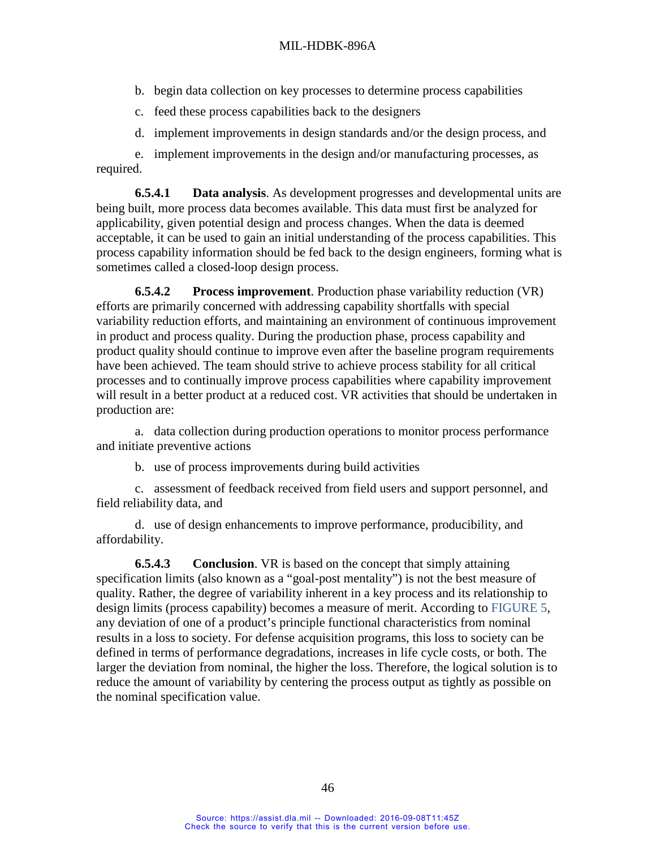- b. begin data collection on key processes to determine process capabilities
- c. feed these process capabilities back to the designers
- d. implement improvements in design standards and/or the design process, and

e. implement improvements in the design and/or manufacturing processes, as required.

**6.5.4.1 Data analysis**. As development progresses and developmental units are being built, more process data becomes available. This data must first be analyzed for applicability, given potential design and process changes. When the data is deemed acceptable, it can be used to gain an initial understanding of the process capabilities. This process capability information should be fed back to the design engineers, forming what is sometimes called a closed-loop design process.

**6.5.4.2 Process improvement**. Production phase variability reduction (VR) efforts are primarily concerned with addressing capability shortfalls with special variability reduction efforts, and maintaining an environment of continuous improvement in product and process quality. During the production phase, process capability and product quality should continue to improve even after the baseline program requirements have been achieved. The team should strive to achieve process stability for all critical processes and to continually improve process capabilities where capability improvement will result in a better product at a reduced cost. VR activities that should be undertaken in production are:

a. data collection during production operations to monitor process performance and initiate preventive actions

b. use of process improvements during build activities

c. assessment of feedback received from field users and support personnel, and field reliability data, and

d. use of design enhancements to improve performance, producibility, and affordability.

**6.5.4.3 Conclusion**. VR is based on the concept that simply attaining specification limits (also known as a "goal-post mentality") is not the best measure of quality. Rather, the degree of variability inherent in a key process and its relationship to design limits (process capability) becomes a measure of merit. According to [FIGURE](#page-55-0) 5, any deviation of one of a product's principle functional characteristics from nominal results in a loss to society. For defense acquisition programs, this loss to society can be defined in terms of performance degradations, increases in life cycle costs, or both. The larger the deviation from nominal, the higher the loss. Therefore, the logical solution is to reduce the amount of variability by centering the process output as tightly as possible on the nominal specification value.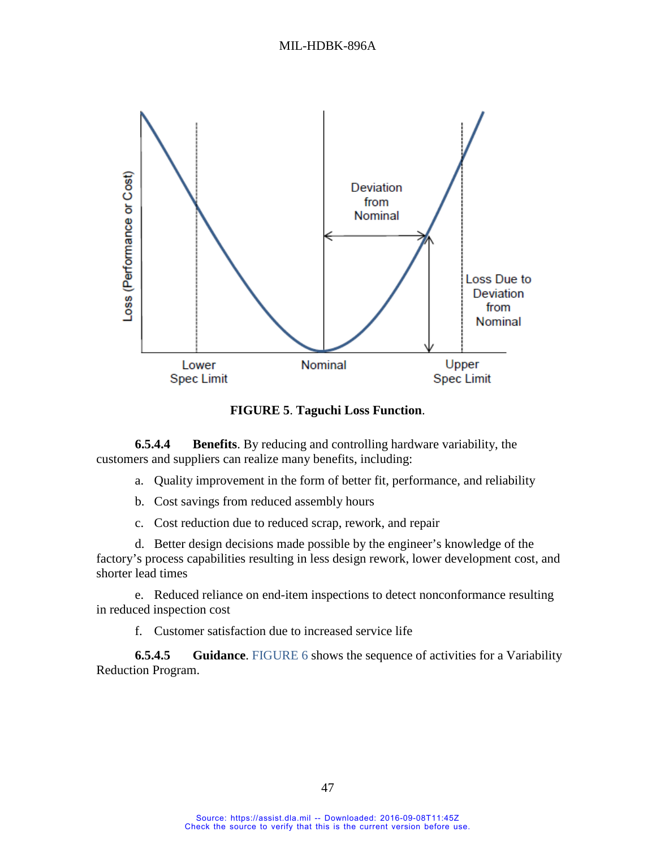

**FIGURE 5**. **Taguchi Loss Function**.

<span id="page-55-0"></span>**6.5.4.4 Benefits**. By reducing and controlling hardware variability, the customers and suppliers can realize many benefits, including:

- a. Quality improvement in the form of better fit, performance, and reliability
- b. Cost savings from reduced assembly hours
- c. Cost reduction due to reduced scrap, rework, and repair

d. Better design decisions made possible by the engineer's knowledge of the factory's process capabilities resulting in less design rework, lower development cost, and shorter lead times

e. Reduced reliance on end-item inspections to detect nonconformance resulting in reduced inspection cost

f. Customer satisfaction due to increased service life

**6.5.4.5 Guidance**. [FIGURE 6](#page-56-0) shows the sequence of activities for a Variability Reduction Program.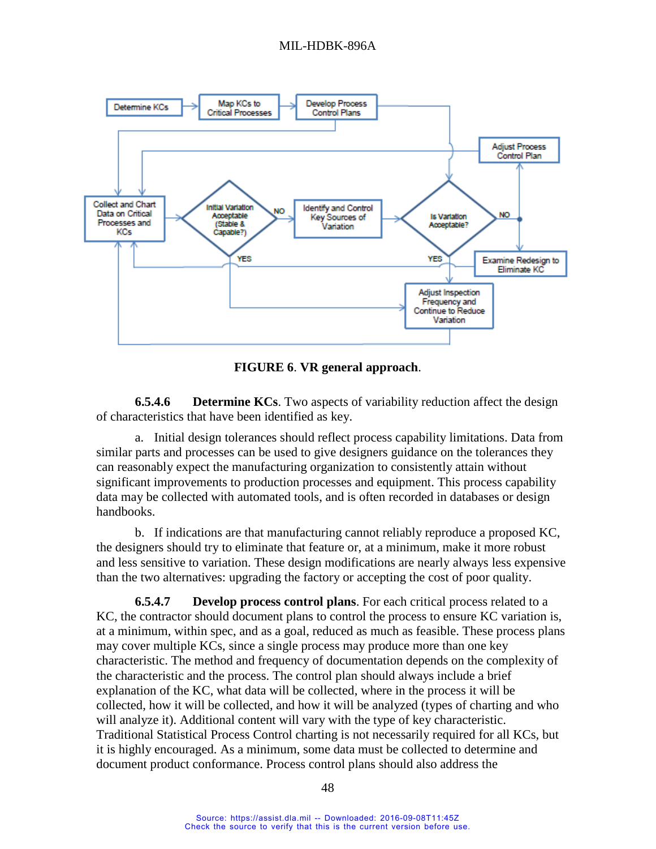

**FIGURE 6**. **VR general approach**.

<span id="page-56-0"></span>**6.5.4.6 Determine KCs**. Two aspects of variability reduction affect the design of characteristics that have been identified as key.

a. Initial design tolerances should reflect process capability limitations. Data from similar parts and processes can be used to give designers guidance on the tolerances they can reasonably expect the manufacturing organization to consistently attain without significant improvements to production processes and equipment. This process capability data may be collected with automated tools, and is often recorded in databases or design handbooks.

b. If indications are that manufacturing cannot reliably reproduce a proposed KC, the designers should try to eliminate that feature or, at a minimum, make it more robust and less sensitive to variation. These design modifications are nearly always less expensive than the two alternatives: upgrading the factory or accepting the cost of poor quality.

**6.5.4.7 Develop process control plans**. For each critical process related to a KC, the contractor should document plans to control the process to ensure KC variation is, at a minimum, within spec, and as a goal, reduced as much as feasible. These process plans may cover multiple KCs, since a single process may produce more than one key characteristic. The method and frequency of documentation depends on the complexity of the characteristic and the process. The control plan should always include a brief explanation of the KC, what data will be collected, where in the process it will be collected, how it will be collected, and how it will be analyzed (types of charting and who will analyze it). Additional content will vary with the type of key characteristic. Traditional Statistical Process Control charting is not necessarily required for all KCs, but it is highly encouraged. As a minimum, some data must be collected to determine and document product conformance. Process control plans should also address the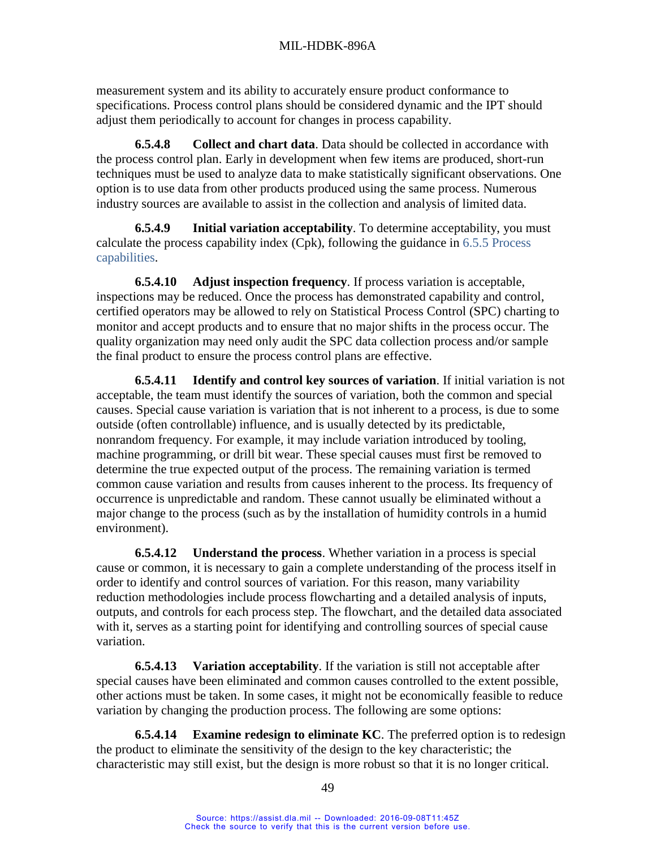measurement system and its ability to accurately ensure product conformance to specifications. Process control plans should be considered dynamic and the IPT should adjust them periodically to account for changes in process capability.

**6.5.4.8 Collect and chart data**. Data should be collected in accordance with the process control plan. Early in development when few items are produced, short-run techniques must be used to analyze data to make statistically significant observations. One option is to use data from other products produced using the same process. Numerous industry sources are available to assist in the collection and analysis of limited data.

**6.5.4.9 Initial variation acceptability**. To determine acceptability, you must calculate the process capability index (Cpk), following the guidance in [6.5.5](#page-59-0) [Process](#page-59-0)  [capabilities.](#page-59-0)

**6.5.4.10 Adjust inspection frequency**. If process variation is acceptable, inspections may be reduced. Once the process has demonstrated capability and control, certified operators may be allowed to rely on Statistical Process Control (SPC) charting to monitor and accept products and to ensure that no major shifts in the process occur. The quality organization may need only audit the SPC data collection process and/or sample the final product to ensure the process control plans are effective.

**6.5.4.11 Identify and control key sources of variation**. If initial variation is not acceptable, the team must identify the sources of variation, both the common and special causes. Special cause variation is variation that is not inherent to a process, is due to some outside (often controllable) influence, and is usually detected by its predictable, nonrandom frequency. For example, it may include variation introduced by tooling, machine programming, or drill bit wear. These special causes must first be removed to determine the true expected output of the process. The remaining variation is termed common cause variation and results from causes inherent to the process. Its frequency of occurrence is unpredictable and random. These cannot usually be eliminated without a major change to the process (such as by the installation of humidity controls in a humid environment).

**6.5.4.12 Understand the process**. Whether variation in a process is special cause or common, it is necessary to gain a complete understanding of the process itself in order to identify and control sources of variation. For this reason, many variability reduction methodologies include process flowcharting and a detailed analysis of inputs, outputs, and controls for each process step. The flowchart, and the detailed data associated with it, serves as a starting point for identifying and controlling sources of special cause variation.

**6.5.4.13 Variation acceptability**. If the variation is still not acceptable after special causes have been eliminated and common causes controlled to the extent possible, other actions must be taken. In some cases, it might not be economically feasible to reduce variation by changing the production process. The following are some options:

**6.5.4.14 Examine redesign to eliminate KC**. The preferred option is to redesign the product to eliminate the sensitivity of the design to the key characteristic; the characteristic may still exist, but the design is more robust so that it is no longer critical.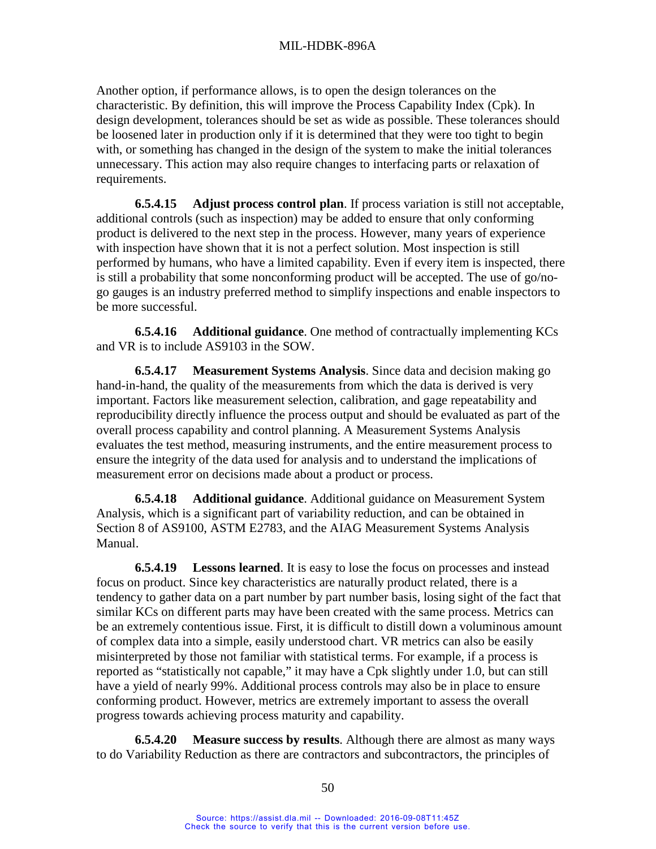Another option, if performance allows, is to open the design tolerances on the characteristic. By definition, this will improve the Process Capability Index (Cpk). In design development, tolerances should be set as wide as possible. These tolerances should be loosened later in production only if it is determined that they were too tight to begin with, or something has changed in the design of the system to make the initial tolerances unnecessary. This action may also require changes to interfacing parts or relaxation of requirements.

**6.5.4.15 Adjust process control plan**. If process variation is still not acceptable, additional controls (such as inspection) may be added to ensure that only conforming product is delivered to the next step in the process. However, many years of experience with inspection have shown that it is not a perfect solution. Most inspection is still performed by humans, who have a limited capability. Even if every item is inspected, there is still a probability that some nonconforming product will be accepted. The use of go/nogo gauges is an industry preferred method to simplify inspections and enable inspectors to be more successful.

**6.5.4.16 Additional guidance**. One method of contractually implementing KCs and VR is to include AS9103 in the SOW.

**6.5.4.17 Measurement Systems Analysis**. Since data and decision making go hand-in-hand, the quality of the measurements from which the data is derived is very important. Factors like measurement selection, calibration, and gage repeatability and reproducibility directly influence the process output and should be evaluated as part of the overall process capability and control planning. A Measurement Systems Analysis evaluates the test method, measuring instruments, and the entire measurement process to ensure the integrity of the data used for analysis and to understand the implications of measurement error on decisions made about a product or process.

**6.5.4.18 Additional guidance**. Additional guidance on Measurement System Analysis, which is a significant part of variability reduction, and can be obtained in Section 8 of AS9100, ASTM E2783, and the AIAG Measurement Systems Analysis Manual.

**6.5.4.19 Lessons learned**. It is easy to lose the focus on processes and instead focus on product. Since key characteristics are naturally product related, there is a tendency to gather data on a part number by part number basis, losing sight of the fact that similar KCs on different parts may have been created with the same process. Metrics can be an extremely contentious issue. First, it is difficult to distill down a voluminous amount of complex data into a simple, easily understood chart. VR metrics can also be easily misinterpreted by those not familiar with statistical terms. For example, if a process is reported as "statistically not capable," it may have a Cpk slightly under 1.0, but can still have a yield of nearly 99%. Additional process controls may also be in place to ensure conforming product. However, metrics are extremely important to assess the overall progress towards achieving process maturity and capability.

**6.5.4.20 Measure success by results**. Although there are almost as many ways to do Variability Reduction as there are contractors and subcontractors, the principles of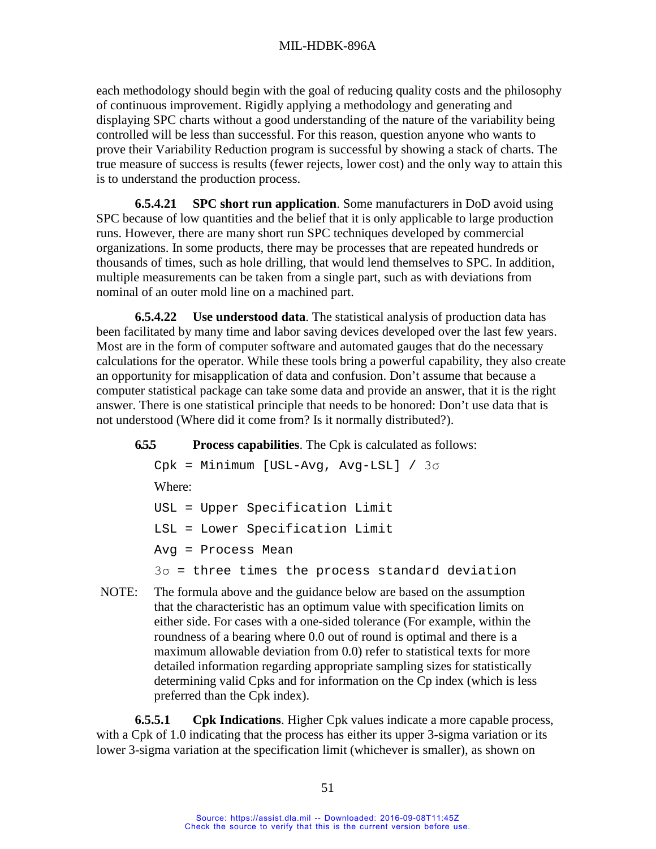each methodology should begin with the goal of reducing quality costs and the philosophy of continuous improvement. Rigidly applying a methodology and generating and displaying SPC charts without a good understanding of the nature of the variability being controlled will be less than successful. For this reason, question anyone who wants to prove their Variability Reduction program is successful by showing a stack of charts. The true measure of success is results (fewer rejects, lower cost) and the only way to attain this is to understand the production process.

**6.5.4.21 SPC short run application**. Some manufacturers in DoD avoid using SPC because of low quantities and the belief that it is only applicable to large production runs. However, there are many short run SPC techniques developed by commercial organizations. In some products, there may be processes that are repeated hundreds or thousands of times, such as hole drilling, that would lend themselves to SPC. In addition, multiple measurements can be taken from a single part, such as with deviations from nominal of an outer mold line on a machined part.

**6.5.4.22 Use understood data**. The statistical analysis of production data has been facilitated by many time and labor saving devices developed over the last few years. Most are in the form of computer software and automated gauges that do the necessary calculations for the operator. While these tools bring a powerful capability, they also create an opportunity for misapplication of data and confusion. Don't assume that because a computer statistical package can take some data and provide an answer, that it is the right answer. There is one statistical principle that needs to be honored: Don't use data that is not understood (Where did it come from? Is it normally distributed?).

<span id="page-59-0"></span>**6.5.5 Process capabilities**. The Cpk is calculated as follows:

```
Cpk = Minimum [USL-Avg, Avg-LSL] / 3σ
Where:
USL = Upper Specification Limit
LSL = Lower Specification Limit
Avg = Process Mean
3σ = three times the process standard deviation
```
NOTE: The formula above and the guidance below are based on the assumption that the characteristic has an optimum value with specification limits on either side. For cases with a one-sided tolerance (For example, within the roundness of a bearing where 0.0 out of round is optimal and there is a maximum allowable deviation from 0.0) refer to statistical texts for more detailed information regarding appropriate sampling sizes for statistically determining valid Cpks and for information on the Cp index (which is less preferred than the Cpk index).

**6.5.5.1 Cpk Indications**. Higher Cpk values indicate a more capable process, with a Cpk of 1.0 indicating that the process has either its upper 3-sigma variation or its lower 3-sigma variation at the specification limit (whichever is smaller), as shown on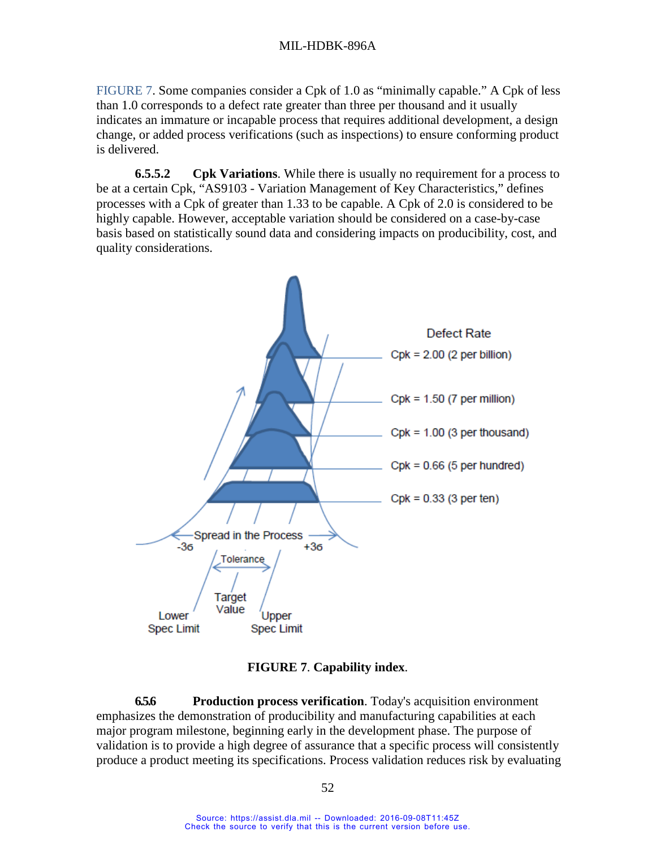[FIGURE](#page-60-1) 7. Some companies consider a Cpk of 1.0 as "minimally capable." A Cpk of less than 1.0 corresponds to a defect rate greater than three per thousand and it usually indicates an immature or incapable process that requires additional development, a design change, or added process verifications (such as inspections) to ensure conforming product is delivered.

**6.5.5.2 Cpk Variations**. While there is usually no requirement for a process to be at a certain Cpk, "AS9103 - Variation Management of Key Characteristics," defines processes with a Cpk of greater than 1.33 to be capable. A Cpk of 2.0 is considered to be highly capable. However, acceptable variation should be considered on a case-by-case basis based on statistically sound data and considering impacts on producibility, cost, and quality considerations.



**FIGURE 7**. **Capability index**.

<span id="page-60-1"></span><span id="page-60-0"></span>**6.5.6 Production process verification**. Today's acquisition environment emphasizes the demonstration of producibility and manufacturing capabilities at each major program milestone, beginning early in the development phase. The purpose of validation is to provide a high degree of assurance that a specific process will consistently produce a product meeting its specifications. Process validation reduces risk by evaluating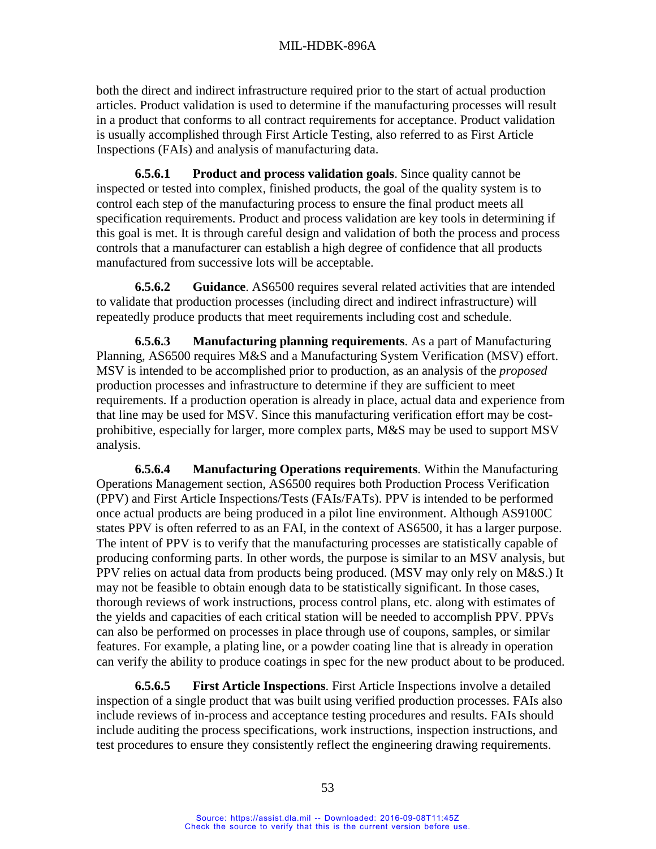both the direct and indirect infrastructure required prior to the start of actual production articles. Product validation is used to determine if the manufacturing processes will result in a product that conforms to all contract requirements for acceptance. Product validation is usually accomplished through First Article Testing, also referred to as First Article Inspections (FAIs) and analysis of manufacturing data.

**6.5.6.1 Product and process validation goals**. Since quality cannot be inspected or tested into complex, finished products, the goal of the quality system is to control each step of the manufacturing process to ensure the final product meets all specification requirements. Product and process validation are key tools in determining if this goal is met. It is through careful design and validation of both the process and process controls that a manufacturer can establish a high degree of confidence that all products manufactured from successive lots will be acceptable.

**6.5.6.2 Guidance**. AS6500 requires several related activities that are intended to validate that production processes (including direct and indirect infrastructure) will repeatedly produce products that meet requirements including cost and schedule.

**6.5.6.3 Manufacturing planning requirements**. As a part of Manufacturing Planning, AS6500 requires M&S and a Manufacturing System Verification (MSV) effort. MSV is intended to be accomplished prior to production, as an analysis of the *proposed*  production processes and infrastructure to determine if they are sufficient to meet requirements. If a production operation is already in place, actual data and experience from that line may be used for MSV. Since this manufacturing verification effort may be costprohibitive, especially for larger, more complex parts, M&S may be used to support MSV analysis.

**6.5.6.4 Manufacturing Operations requirements**. Within the Manufacturing Operations Management section, AS6500 requires both Production Process Verification (PPV) and First Article Inspections/Tests (FAIs/FATs). PPV is intended to be performed once actual products are being produced in a pilot line environment. Although AS9100C states PPV is often referred to as an FAI, in the context of AS6500, it has a larger purpose. The intent of PPV is to verify that the manufacturing processes are statistically capable of producing conforming parts. In other words, the purpose is similar to an MSV analysis, but PPV relies on actual data from products being produced. (MSV may only rely on M&S.) It may not be feasible to obtain enough data to be statistically significant. In those cases, thorough reviews of work instructions, process control plans, etc. along with estimates of the yields and capacities of each critical station will be needed to accomplish PPV. PPVs can also be performed on processes in place through use of coupons, samples, or similar features. For example, a plating line, or a powder coating line that is already in operation can verify the ability to produce coatings in spec for the new product about to be produced.

**6.5.6.5 First Article Inspections**. First Article Inspections involve a detailed inspection of a single product that was built using verified production processes. FAIs also include reviews of in-process and acceptance testing procedures and results. FAIs should include auditing the process specifications, work instructions, inspection instructions, and test procedures to ensure they consistently reflect the engineering drawing requirements.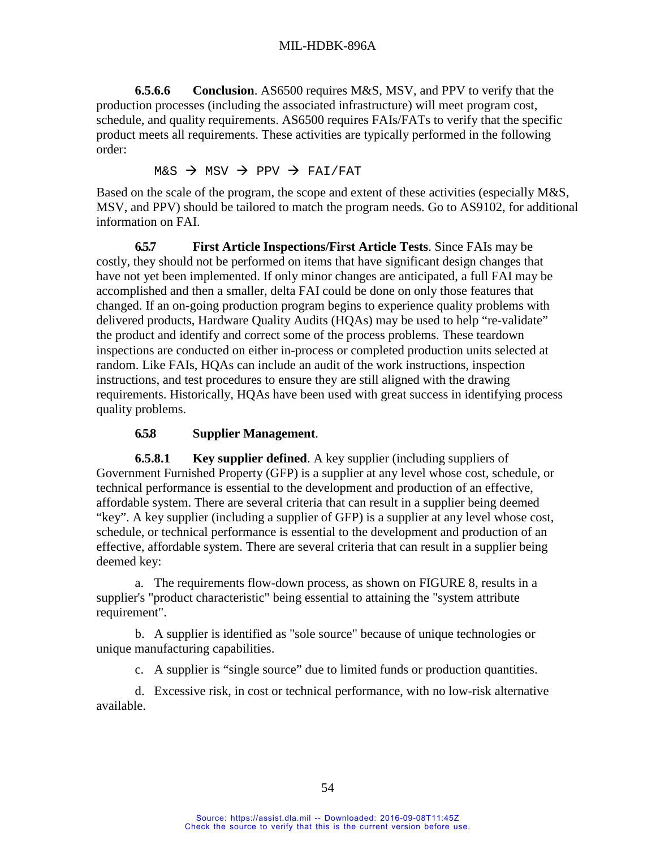**6.5.6.6 Conclusion**. AS6500 requires M&S, MSV, and PPV to verify that the production processes (including the associated infrastructure) will meet program cost, schedule, and quality requirements. AS6500 requires FAIs/FATs to verify that the specific product meets all requirements. These activities are typically performed in the following order:

 $M&S \rightarrow MSV \rightarrow PPV \rightarrow FAI/FAT$ 

Based on the scale of the program, the scope and extent of these activities (especially M&S, MSV, and PPV) should be tailored to match the program needs. Go to AS9102, for additional information on FAI.

**6.5.7 First Article Inspections/First Article Tests**. Since FAIs may be costly, they should not be performed on items that have significant design changes that have not yet been implemented. If only minor changes are anticipated, a full FAI may be accomplished and then a smaller, delta FAI could be done on only those features that changed. If an on-going production program begins to experience quality problems with delivered products, Hardware Quality Audits (HQAs) may be used to help "re-validate" the product and identify and correct some of the process problems. These teardown inspections are conducted on either in-process or completed production units selected at random. Like FAIs, HQAs can include an audit of the work instructions, inspection instructions, and test procedures to ensure they are still aligned with the drawing requirements. Historically, HQAs have been used with great success in identifying process quality problems.

## **6.5.8 Supplier Management**.

<span id="page-62-0"></span>**6.5.8.1 Key supplier defined**. A key supplier (including suppliers of Government Furnished Property (GFP) is a supplier at any level whose cost, schedule, or technical performance is essential to the development and production of an effective, affordable system. There are several criteria that can result in a supplier being deemed "key". A key supplier (including a supplier of GFP) is a supplier at any level whose cost, schedule, or technical performance is essential to the development and production of an effective, affordable system. There are several criteria that can result in a supplier being deemed key:

a. The requirements flow-down process, as shown on [FIGURE 8,](#page-63-1) results in a supplier's "product characteristic" being essential to attaining the "system attribute requirement".

b. A supplier is identified as "sole source" because of unique technologies or unique manufacturing capabilities.

c. A supplier is "single source" due to limited funds or production quantities.

d. Excessive risk, in cost or technical performance, with no low-risk alternative available.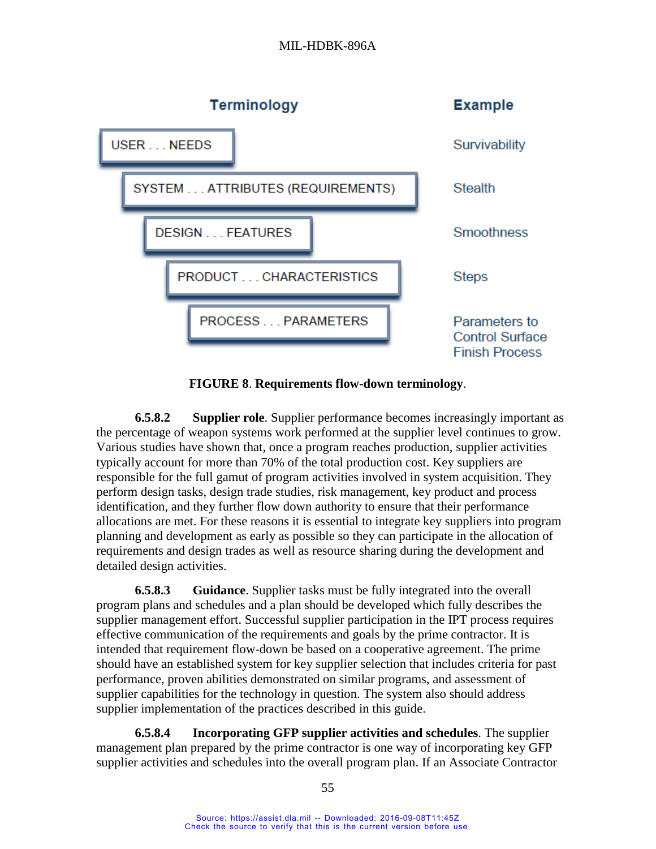## MIL-HDBK-896A



**FIGURE 8**. **Requirements flow-down terminology**.

<span id="page-63-1"></span><span id="page-63-0"></span>**6.5.8.2 Supplier role**. Supplier performance becomes increasingly important as the percentage of weapon systems work performed at the supplier level continues to grow. Various studies have shown that, once a program reaches production, supplier activities typically account for more than 70% of the total production cost. Key suppliers are responsible for the full gamut of program activities involved in system acquisition. They perform design tasks, design trade studies, risk management, key product and process identification, and they further flow down authority to ensure that their performance allocations are met. For these reasons it is essential to integrate key suppliers into program planning and development as early as possible so they can participate in the allocation of requirements and design trades as well as resource sharing during the development and detailed design activities.

**6.5.8.3 Guidance**. Supplier tasks must be fully integrated into the overall program plans and schedules and a plan should be developed which fully describes the supplier management effort. Successful supplier participation in the IPT process requires effective communication of the requirements and goals by the prime contractor. It is intended that requirement flow-down be based on a cooperative agreement. The prime should have an established system for key supplier selection that includes criteria for past performance, proven abilities demonstrated on similar programs, and assessment of supplier capabilities for the technology in question. The system also should address supplier implementation of the practices described in this guide.

**6.5.8.4 Incorporating GFP supplier activities and schedules**. The supplier management plan prepared by the prime contractor is one way of incorporating key GFP supplier activities and schedules into the overall program plan. If an Associate Contractor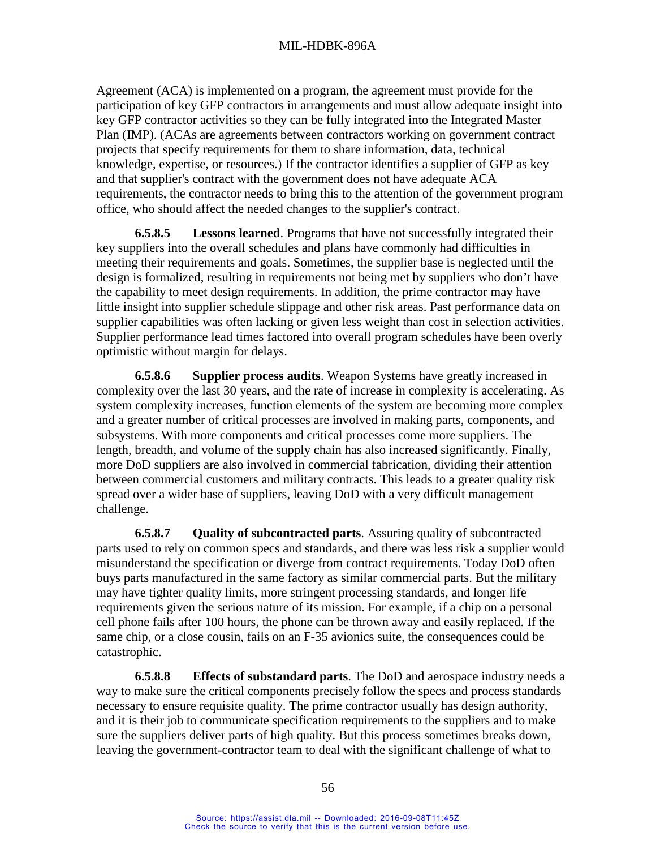Agreement (ACA) is implemented on a program, the agreement must provide for the participation of key GFP contractors in arrangements and must allow adequate insight into key GFP contractor activities so they can be fully integrated into the Integrated Master Plan (IMP). (ACAs are agreements between contractors working on government contract projects that specify requirements for them to share information, data, technical knowledge, expertise, or resources.) If the contractor identifies a supplier of GFP as key and that supplier's contract with the government does not have adequate ACA requirements, the contractor needs to bring this to the attention of the government program office, who should affect the needed changes to the supplier's contract.

**6.5.8.5 Lessons learned**. Programs that have not successfully integrated their key suppliers into the overall schedules and plans have commonly had difficulties in meeting their requirements and goals. Sometimes, the supplier base is neglected until the design is formalized, resulting in requirements not being met by suppliers who don't have the capability to meet design requirements. In addition, the prime contractor may have little insight into supplier schedule slippage and other risk areas. Past performance data on supplier capabilities was often lacking or given less weight than cost in selection activities. Supplier performance lead times factored into overall program schedules have been overly optimistic without margin for delays.

**6.5.8.6 Supplier process audits**. Weapon Systems have greatly increased in complexity over the last 30 years, and the rate of increase in complexity is accelerating. As system complexity increases, function elements of the system are becoming more complex and a greater number of critical processes are involved in making parts, components, and subsystems. With more components and critical processes come more suppliers. The length, breadth, and volume of the supply chain has also increased significantly. Finally, more DoD suppliers are also involved in commercial fabrication, dividing their attention between commercial customers and military contracts. This leads to a greater quality risk spread over a wider base of suppliers, leaving DoD with a very difficult management challenge.

**6.5.8.7 Quality of subcontracted parts**. Assuring quality of subcontracted parts used to rely on common specs and standards, and there was less risk a supplier would misunderstand the specification or diverge from contract requirements. Today DoD often buys parts manufactured in the same factory as similar commercial parts. But the military may have tighter quality limits, more stringent processing standards, and longer life requirements given the serious nature of its mission. For example, if a chip on a personal cell phone fails after 100 hours, the phone can be thrown away and easily replaced. If the same chip, or a close cousin, fails on an F-35 avionics suite, the consequences could be catastrophic.

**6.5.8.8 Effects of substandard parts**. The DoD and aerospace industry needs a way to make sure the critical components precisely follow the specs and process standards necessary to ensure requisite quality. The prime contractor usually has design authority, and it is their job to communicate specification requirements to the suppliers and to make sure the suppliers deliver parts of high quality. But this process sometimes breaks down, leaving the government-contractor team to deal with the significant challenge of what to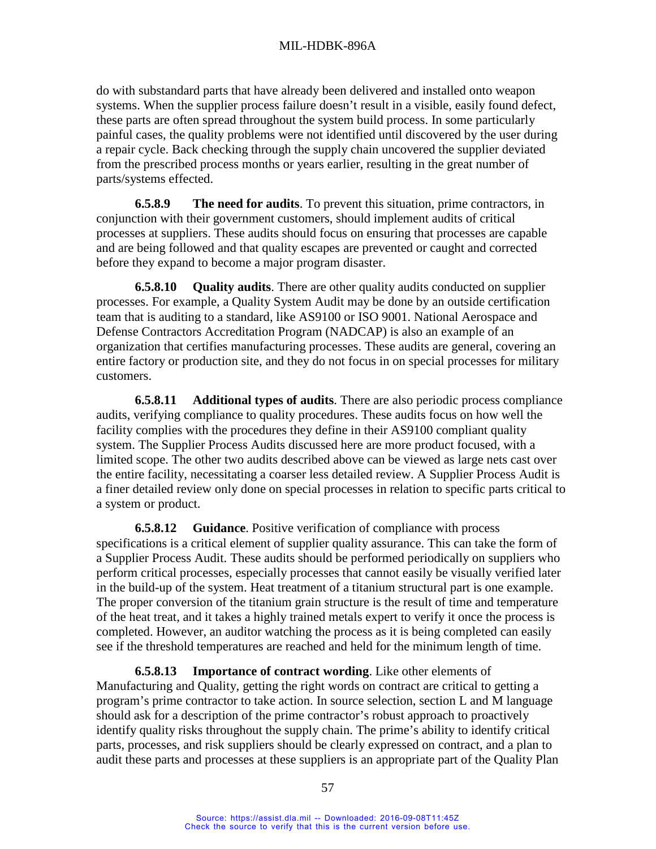do with substandard parts that have already been delivered and installed onto weapon systems. When the supplier process failure doesn't result in a visible, easily found defect, these parts are often spread throughout the system build process. In some particularly painful cases, the quality problems were not identified until discovered by the user during a repair cycle. Back checking through the supply chain uncovered the supplier deviated from the prescribed process months or years earlier, resulting in the great number of parts/systems effected.

**6.5.8.9 The need for audits**. To prevent this situation, prime contractors, in conjunction with their government customers, should implement audits of critical processes at suppliers. These audits should focus on ensuring that processes are capable and are being followed and that quality escapes are prevented or caught and corrected before they expand to become a major program disaster.

**6.5.8.10 Quality audits**. There are other quality audits conducted on supplier processes. For example, a Quality System Audit may be done by an outside certification team that is auditing to a standard, like AS9100 or ISO 9001. National Aerospace and Defense Contractors Accreditation Program (NADCAP) is also an example of an organization that certifies manufacturing processes. These audits are general, covering an entire factory or production site, and they do not focus in on special processes for military customers.

**6.5.8.11 Additional types of audits**. There are also periodic process compliance audits, verifying compliance to quality procedures. These audits focus on how well the facility complies with the procedures they define in their AS9100 compliant quality system. The Supplier Process Audits discussed here are more product focused, with a limited scope. The other two audits described above can be viewed as large nets cast over the entire facility, necessitating a coarser less detailed review. A Supplier Process Audit is a finer detailed review only done on special processes in relation to specific parts critical to a system or product.

**6.5.8.12 Guidance**. Positive verification of compliance with process specifications is a critical element of supplier quality assurance. This can take the form of a Supplier Process Audit. These audits should be performed periodically on suppliers who perform critical processes, especially processes that cannot easily be visually verified later in the build-up of the system. Heat treatment of a titanium structural part is one example. The proper conversion of the titanium grain structure is the result of time and temperature of the heat treat, and it takes a highly trained metals expert to verify it once the process is completed. However, an auditor watching the process as it is being completed can easily see if the threshold temperatures are reached and held for the minimum length of time.

**6.5.8.13 Importance of contract wording**. Like other elements of Manufacturing and Quality, getting the right words on contract are critical to getting a program's prime contractor to take action. In source selection, section L and M language should ask for a description of the prime contractor's robust approach to proactively identify quality risks throughout the supply chain. The prime's ability to identify critical parts, processes, and risk suppliers should be clearly expressed on contract, and a plan to audit these parts and processes at these suppliers is an appropriate part of the Quality Plan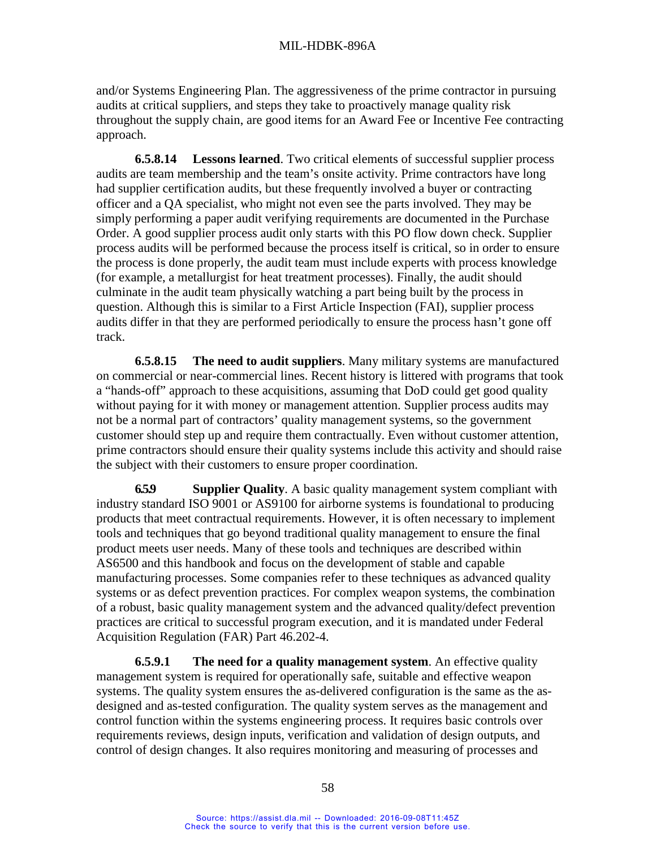and/or Systems Engineering Plan. The aggressiveness of the prime contractor in pursuing audits at critical suppliers, and steps they take to proactively manage quality risk throughout the supply chain, are good items for an Award Fee or Incentive Fee contracting approach.

**6.5.8.14 Lessons learned**. Two critical elements of successful supplier process audits are team membership and the team's onsite activity. Prime contractors have long had supplier certification audits, but these frequently involved a buyer or contracting officer and a QA specialist, who might not even see the parts involved. They may be simply performing a paper audit verifying requirements are documented in the Purchase Order. A good supplier process audit only starts with this PO flow down check. Supplier process audits will be performed because the process itself is critical, so in order to ensure the process is done properly, the audit team must include experts with process knowledge (for example, a metallurgist for heat treatment processes). Finally, the audit should culminate in the audit team physically watching a part being built by the process in question. Although this is similar to a First Article Inspection (FAI), supplier process audits differ in that they are performed periodically to ensure the process hasn't gone off track.

**6.5.8.15 The need to audit suppliers**. Many military systems are manufactured on commercial or near-commercial lines. Recent history is littered with programs that took a "hands-off" approach to these acquisitions, assuming that DoD could get good quality without paying for it with money or management attention. Supplier process audits may not be a normal part of contractors' quality management systems, so the government customer should step up and require them contractually. Even without customer attention, prime contractors should ensure their quality systems include this activity and should raise the subject with their customers to ensure proper coordination.

<span id="page-66-0"></span>**6.5.9 Supplier Quality**. A basic quality management system compliant with industry standard ISO 9001 or AS9100 for airborne systems is foundational to producing products that meet contractual requirements. However, it is often necessary to implement tools and techniques that go beyond traditional quality management to ensure the final product meets user needs. Many of these tools and techniques are described within AS6500 and this handbook and focus on the development of stable and capable manufacturing processes. Some companies refer to these techniques as advanced quality systems or as defect prevention practices. For complex weapon systems, the combination of a robust, basic quality management system and the advanced quality/defect prevention practices are critical to successful program execution, and it is mandated under Federal Acquisition Regulation (FAR) Part 46.202-4.

**6.5.9.1 The need for a quality management system**. An effective quality management system is required for operationally safe, suitable and effective weapon systems. The quality system ensures the as-delivered configuration is the same as the asdesigned and as-tested configuration. The quality system serves as the management and control function within the systems engineering process. It requires basic controls over requirements reviews, design inputs, verification and validation of design outputs, and control of design changes. It also requires monitoring and measuring of processes and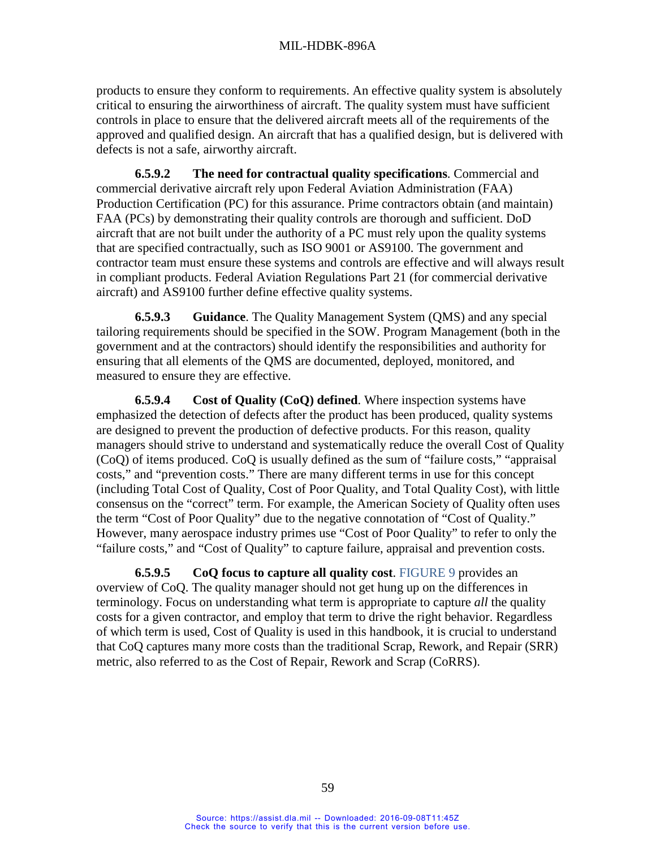products to ensure they conform to requirements. An effective quality system is absolutely critical to ensuring the airworthiness of aircraft. The quality system must have sufficient controls in place to ensure that the delivered aircraft meets all of the requirements of the approved and qualified design. An aircraft that has a qualified design, but is delivered with defects is not a safe, airworthy aircraft.

**6.5.9.2 The need for contractual quality specifications**. Commercial and commercial derivative aircraft rely upon Federal Aviation Administration (FAA) Production Certification (PC) for this assurance. Prime contractors obtain (and maintain) FAA (PCs) by demonstrating their quality controls are thorough and sufficient. DoD aircraft that are not built under the authority of a PC must rely upon the quality systems that are specified contractually, such as ISO 9001 or AS9100. The government and contractor team must ensure these systems and controls are effective and will always result in compliant products. Federal Aviation Regulations Part 21 (for commercial derivative aircraft) and AS9100 further define effective quality systems.

**6.5.9.3 Guidance**. The Quality Management System (QMS) and any special tailoring requirements should be specified in the SOW. Program Management (both in the government and at the contractors) should identify the responsibilities and authority for ensuring that all elements of the QMS are documented, deployed, monitored, and measured to ensure they are effective.

<span id="page-67-0"></span>**6.5.9.4 Cost of Quality (CoQ) defined**. Where inspection systems have emphasized the detection of defects after the product has been produced, quality systems are designed to prevent the production of defective products. For this reason, quality managers should strive to understand and systematically reduce the overall Cost of Quality (CoQ) of items produced. CoQ is usually defined as the sum of "failure costs," "appraisal costs," and "prevention costs." There are many different terms in use for this concept (including Total Cost of Quality, Cost of Poor Quality, and Total Quality Cost), with little consensus on the "correct" term. For example, the American Society of Quality often uses the term "Cost of Poor Quality" due to the negative connotation of "Cost of Quality." However, many aerospace industry primes use "Cost of Poor Quality" to refer to only the "failure costs," and "Cost of Quality" to capture failure, appraisal and prevention costs.

**6.5.9.5 CoQ focus to capture all quality cost**. [FIGURE](#page-68-0) 9 provides an overview of CoQ. The quality manager should not get hung up on the differences in terminology. Focus on understanding what term is appropriate to capture *all* the quality costs for a given contractor, and employ that term to drive the right behavior. Regardless of which term is used, Cost of Quality is used in this handbook, it is crucial to understand that CoQ captures many more costs than the traditional Scrap, Rework, and Repair (SRR) metric, also referred to as the Cost of Repair, Rework and Scrap (CoRRS).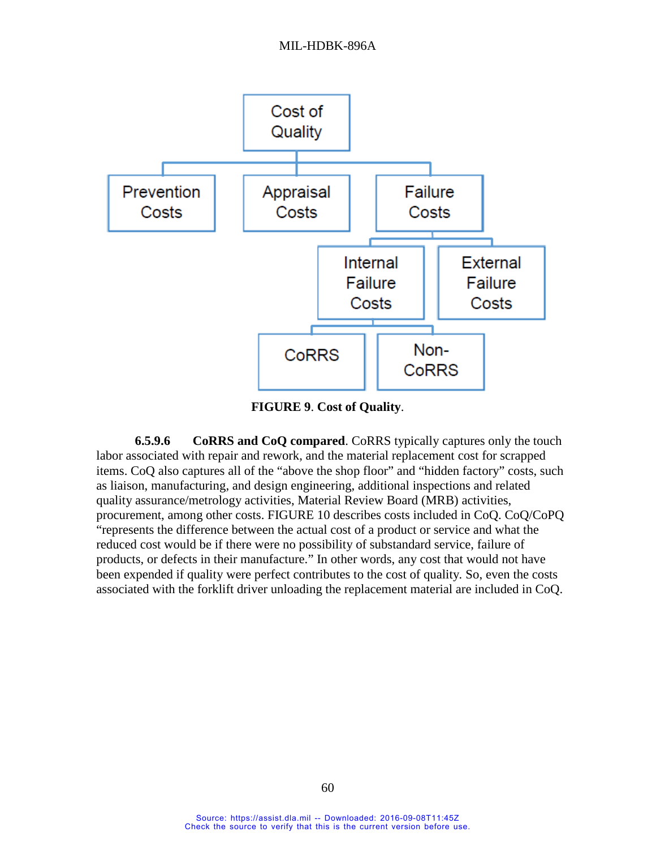

**FIGURE 9**. **Cost of Quality**.

<span id="page-68-0"></span>**6.5.9.6 CoRRS and CoQ compared**. CoRRS typically captures only the touch labor associated with repair and rework, and the material replacement cost for scrapped items. CoQ also captures all of the "above the shop floor" and "hidden factory" costs, such as liaison, manufacturing, and design engineering, additional inspections and related quality assurance/metrology activities, Material Review Board (MRB) activities, procurement, among other costs. [FIGURE](#page-69-0) 10 describes costs included in CoQ. CoQ/CoPQ "represents the difference between the actual cost of a product or service and what the reduced cost would be if there were no possibility of substandard service, failure of products, or defects in their manufacture." In other words, any cost that would not have been expended if quality were perfect contributes to the cost of quality*.* So, even the costs associated with the forklift driver unloading the replacement material are included in CoQ.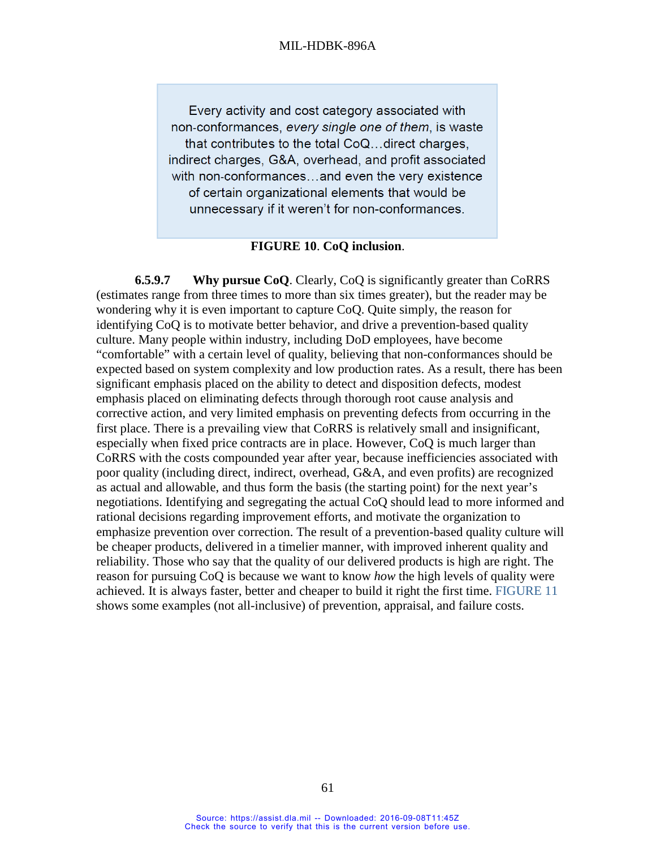#### MIL-HDBK-896A

Every activity and cost category associated with non-conformances, every single one of them, is waste that contributes to the total CoQ...direct charges, indirect charges, G&A, overhead, and profit associated with non-conformances...and even the very existence of certain organizational elements that would be unnecessary if it weren't for non-conformances.

#### **FIGURE 10**. **CoQ inclusion**.

<span id="page-69-0"></span>**6.5.9.7 Why pursue CoQ**. Clearly, CoQ is significantly greater than CoRRS (estimates range from three times to more than six times greater), but the reader may be wondering why it is even important to capture CoQ. Quite simply, the reason for identifying CoQ is to motivate better behavior, and drive a prevention-based quality culture. Many people within industry, including DoD employees, have become "comfortable" with a certain level of quality, believing that non-conformances should be expected based on system complexity and low production rates. As a result, there has been significant emphasis placed on the ability to detect and disposition defects, modest emphasis placed on eliminating defects through thorough root cause analysis and corrective action, and very limited emphasis on preventing defects from occurring in the first place. There is a prevailing view that CoRRS is relatively small and insignificant, especially when fixed price contracts are in place. However, CoQ is much larger than CoRRS with the costs compounded year after year, because inefficiencies associated with poor quality (including direct, indirect, overhead, G&A, and even profits) are recognized as actual and allowable, and thus form the basis (the starting point) for the next year's negotiations. Identifying and segregating the actual CoQ should lead to more informed and rational decisions regarding improvement efforts, and motivate the organization to emphasize prevention over correction. The result of a prevention-based quality culture will be cheaper products, delivered in a timelier manner, with improved inherent quality and reliability. Those who say that the quality of our delivered products is high are right. The reason for pursuing CoQ is because we want to know *how* the high levels of quality were achieved. It is always faster, better and cheaper to build it right the first time. [FIGURE](#page-70-0) 11 shows some examples (not all-inclusive) of prevention, appraisal, and failure costs.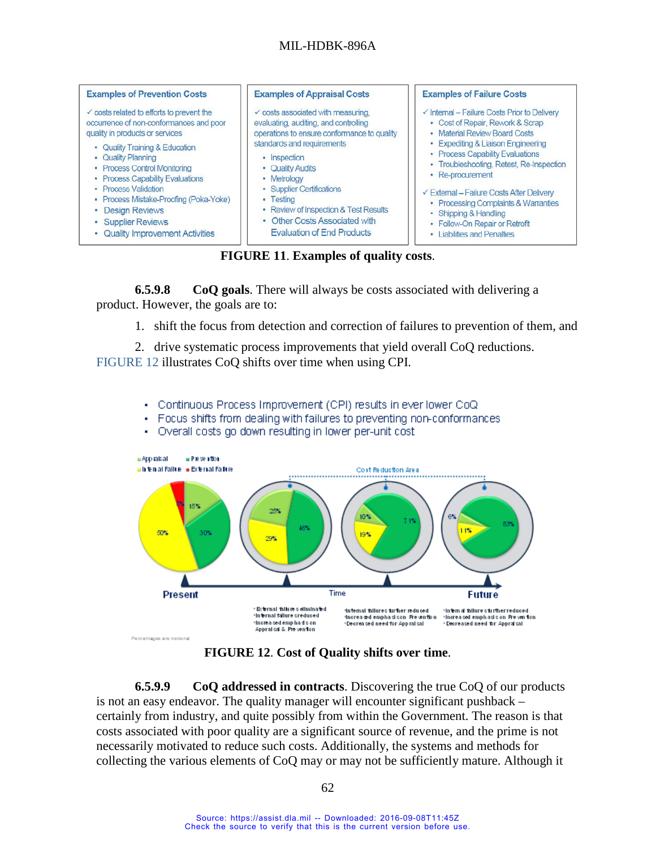### MIL-HDBK-896A



**FIGURE 11**. **Examples of quality costs**.

<span id="page-70-0"></span>**6.5.9.8 CoQ goals**. There will always be costs associated with delivering a product. However, the goals are to:

1. shift the focus from detection and correction of failures to prevention of them, and

2. drive systematic process improvements that yield overall CoQ reductions. [FIGURE](#page-70-1) 12 illustrates CoQ shifts over time when using CPI.

- Continuous Process Improvement (CPI) results in ever lower CoQ à.
- Focus shifts from dealing with failures to preventing non-conformances
- Overall costs go down resulting in lower per-unit cost



**FIGURE 12**. **Cost of Quality shifts over time**.

<span id="page-70-1"></span>**6.5.9.9 CoQ addressed in contracts**. Discovering the true CoQ of our products is not an easy endeavor. The quality manager will encounter significant pushback – certainly from industry, and quite possibly from within the Government. The reason is that costs associated with poor quality are a significant source of revenue, and the prime is not necessarily motivated to reduce such costs. Additionally, the systems and methods for collecting the various elements of CoQ may or may not be sufficiently mature. Although it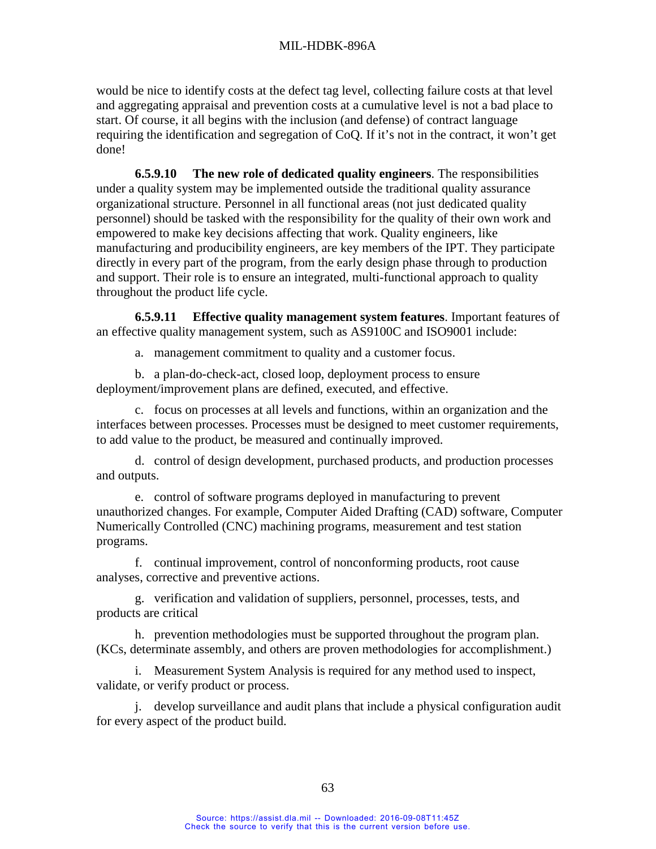would be nice to identify costs at the defect tag level, collecting failure costs at that level and aggregating appraisal and prevention costs at a cumulative level is not a bad place to start. Of course, it all begins with the inclusion (and defense) of contract language requiring the identification and segregation of CoQ. If it's not in the contract, it won't get done!

**6.5.9.10 The new role of dedicated quality engineers**. The responsibilities under a quality system may be implemented outside the traditional quality assurance organizational structure. Personnel in all functional areas (not just dedicated quality personnel) should be tasked with the responsibility for the quality of their own work and empowered to make key decisions affecting that work. Quality engineers, like manufacturing and producibility engineers, are key members of the IPT. They participate directly in every part of the program, from the early design phase through to production and support. Their role is to ensure an integrated, multi-functional approach to quality throughout the product life cycle.

**6.5.9.11 Effective quality management system features**. Important features of an effective quality management system, such as AS9100C and ISO9001 include:

a. management commitment to quality and a customer focus.

b. a plan-do-check-act, closed loop, deployment process to ensure deployment/improvement plans are defined, executed, and effective.

c. focus on processes at all levels and functions, within an organization and the interfaces between processes. Processes must be designed to meet customer requirements, to add value to the product, be measured and continually improved.

d. control of design development, purchased products, and production processes and outputs.

e. control of software programs deployed in manufacturing to prevent unauthorized changes. For example, Computer Aided Drafting (CAD) software, Computer Numerically Controlled (CNC) machining programs, measurement and test station programs.

f. continual improvement, control of nonconforming products, root cause analyses, corrective and preventive actions.

g. verification and validation of suppliers, personnel, processes, tests, and products are critical

h. prevention methodologies must be supported throughout the program plan. (KCs, determinate assembly, and others are proven methodologies for accomplishment.)

i. Measurement System Analysis is required for any method used to inspect, validate, or verify product or process.

j. develop surveillance and audit plans that include a physical configuration audit for every aspect of the product build.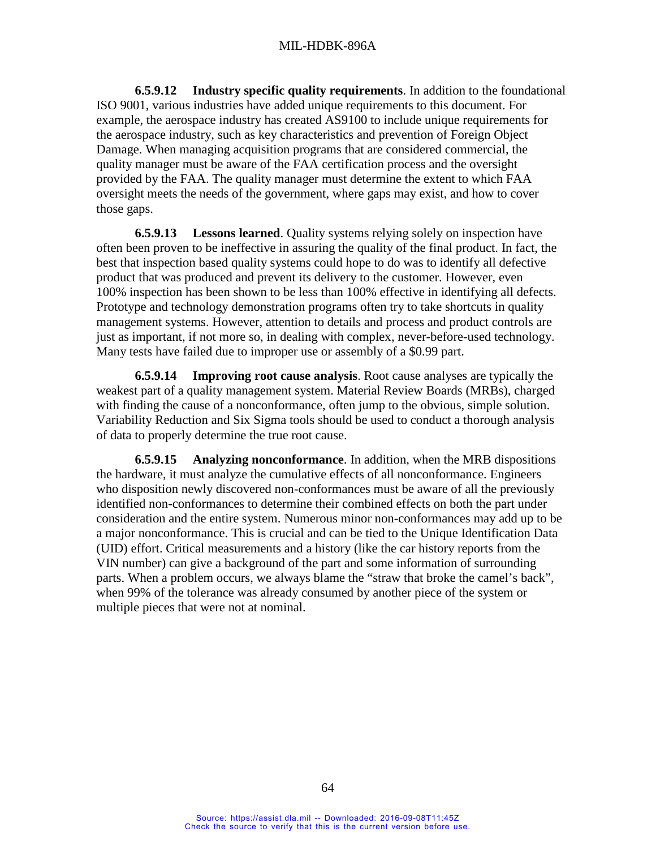**6.5.9.12 Industry specific quality requirements**. In addition to the foundational ISO 9001, various industries have added unique requirements to this document. For example, the aerospace industry has created AS9100 to include unique requirements for the aerospace industry, such as key characteristics and prevention of Foreign Object Damage. When managing acquisition programs that are considered commercial, the quality manager must be aware of the FAA certification process and the oversight provided by the FAA. The quality manager must determine the extent to which FAA oversight meets the needs of the government, where gaps may exist, and how to cover those gaps.

**6.5.9.13 Lessons learned**. Quality systems relying solely on inspection have often been proven to be ineffective in assuring the quality of the final product. In fact, the best that inspection based quality systems could hope to do was to identify all defective product that was produced and prevent its delivery to the customer. However, even 100% inspection has been shown to be less than 100% effective in identifying all defects. Prototype and technology demonstration programs often try to take shortcuts in quality management systems. However, attention to details and process and product controls are just as important, if not more so, in dealing with complex, never-before-used technology. Many tests have failed due to improper use or assembly of a \$0.99 part.

**6.5.9.14 Improving root cause analysis**. Root cause analyses are typically the weakest part of a quality management system. Material Review Boards (MRBs), charged with finding the cause of a nonconformance, often jump to the obvious, simple solution. Variability Reduction and Six Sigma tools should be used to conduct a thorough analysis of data to properly determine the true root cause.

**6.5.9.15 Analyzing nonconformance**. In addition, when the MRB dispositions the hardware, it must analyze the cumulative effects of all nonconformance. Engineers who disposition newly discovered non-conformances must be aware of all the previously identified non-conformances to determine their combined effects on both the part under consideration and the entire system. Numerous minor non-conformances may add up to be a major nonconformance. This is crucial and can be tied to the Unique Identification Data (UID) effort. Critical measurements and a history (like the car history reports from the VIN number) can give a background of the part and some information of surrounding parts. When a problem occurs, we always blame the "straw that broke the camel's back", when 99% of the tolerance was already consumed by another piece of the system or multiple pieces that were not at nominal.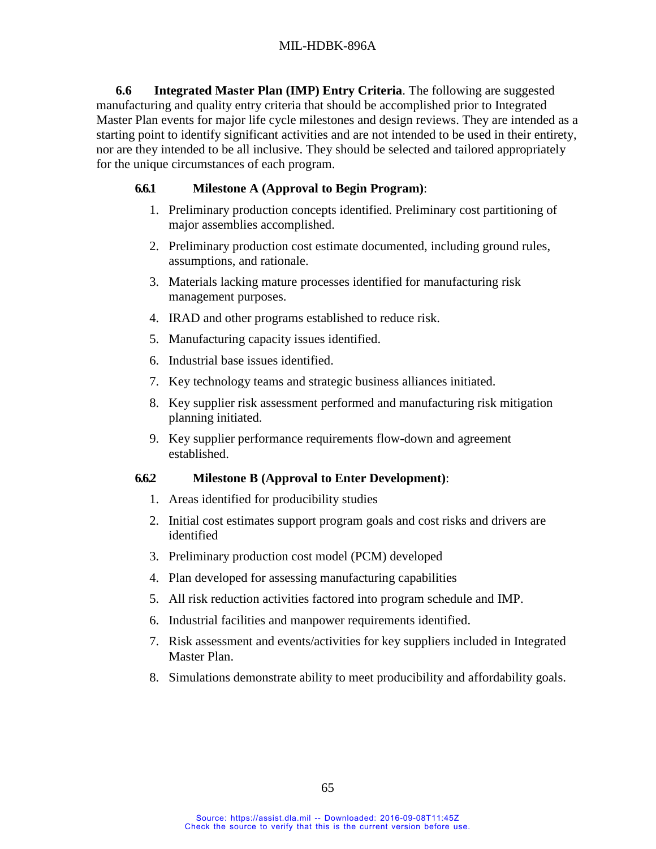**6.6 Integrated Master Plan (IMP) Entry Criteria**. The following are suggested manufacturing and quality entry criteria that should be accomplished prior to Integrated Master Plan events for major life cycle milestones and design reviews. They are intended as a starting point to identify significant activities and are not intended to be used in their entirety, nor are they intended to be all inclusive. They should be selected and tailored appropriately for the unique circumstances of each program.

#### **6.6.1 Milestone A (Approval to Begin Program)**:

- 1. Preliminary production concepts identified. Preliminary cost partitioning of major assemblies accomplished.
- 2. Preliminary production cost estimate documented, including ground rules, assumptions, and rationale.
- 3. Materials lacking mature processes identified for manufacturing risk management purposes.
- 4. IRAD and other programs established to reduce risk.
- 5. Manufacturing capacity issues identified.
- 6. Industrial base issues identified.
- 7. Key technology teams and strategic business alliances initiated.
- 8. Key supplier risk assessment performed and manufacturing risk mitigation planning initiated.
- 9. Key supplier performance requirements flow-down and agreement established.

#### **6.6.2 Milestone B (Approval to Enter Development)**:

- 1. Areas identified for producibility studies
- 2. Initial cost estimates support program goals and cost risks and drivers are identified
- 3. Preliminary production cost model (PCM) developed
- 4. Plan developed for assessing manufacturing capabilities
- 5. All risk reduction activities factored into program schedule and IMP.
- 6. Industrial facilities and manpower requirements identified.
- 7. Risk assessment and events/activities for key suppliers included in Integrated Master Plan.
- 8. Simulations demonstrate ability to meet producibility and affordability goals.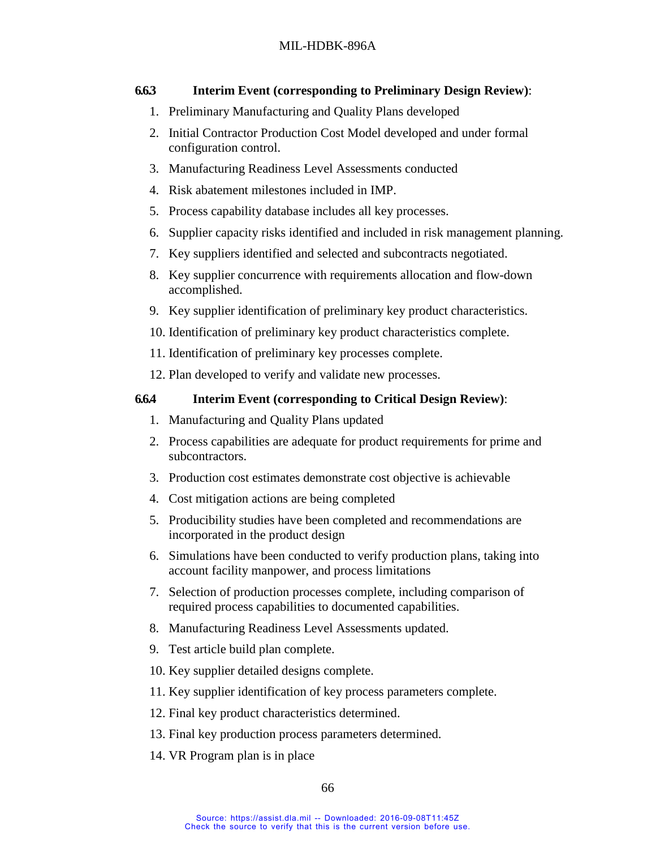# **6.6.3 Interim Event (corresponding to Preliminary Design Review)**:

- 1. Preliminary Manufacturing and Quality Plans developed
- 2. Initial Contractor Production Cost Model developed and under formal configuration control.
- 3. Manufacturing Readiness Level Assessments conducted
- 4. Risk abatement milestones included in IMP.
- 5. Process capability database includes all key processes.
- 6. Supplier capacity risks identified and included in risk management planning.
- 7. Key suppliers identified and selected and subcontracts negotiated.
- 8. Key supplier concurrence with requirements allocation and flow-down accomplished.
- 9. Key supplier identification of preliminary key product characteristics.
- 10. Identification of preliminary key product characteristics complete.
- 11. Identification of preliminary key processes complete.
- 12. Plan developed to verify and validate new processes.

## **6.6.4 Interim Event (corresponding to Critical Design Review)**:

- 1. Manufacturing and Quality Plans updated
- 2. Process capabilities are adequate for product requirements for prime and subcontractors.
- 3. Production cost estimates demonstrate cost objective is achievable
- 4. Cost mitigation actions are being completed
- 5. Producibility studies have been completed and recommendations are incorporated in the product design
- 6. Simulations have been conducted to verify production plans, taking into account facility manpower, and process limitations
- 7. Selection of production processes complete, including comparison of required process capabilities to documented capabilities.
- 8. Manufacturing Readiness Level Assessments updated.
- 9. Test article build plan complete.
- 10. Key supplier detailed designs complete.
- 11. Key supplier identification of key process parameters complete.
- 12. Final key product characteristics determined.
- 13. Final key production process parameters determined.
- 14. VR Program plan is in place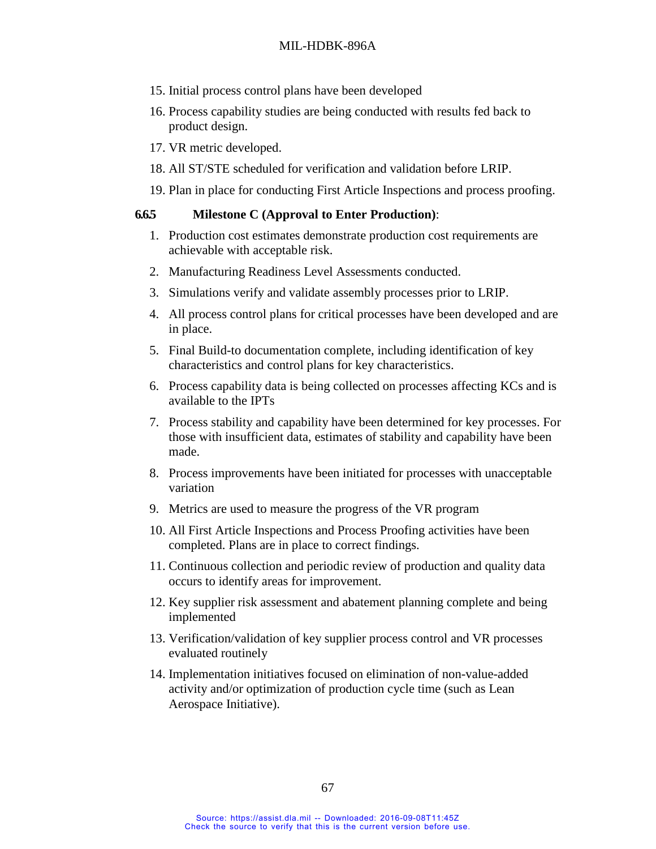#### MIL-HDBK-896A

- 15. Initial process control plans have been developed
- 16. Process capability studies are being conducted with results fed back to product design.
- 17. VR metric developed.
- 18. All ST/STE scheduled for verification and validation before LRIP.
- 19. Plan in place for conducting First Article Inspections and process proofing.

#### **6.6.5 Milestone C (Approval to Enter Production)**:

- 1. Production cost estimates demonstrate production cost requirements are achievable with acceptable risk.
- 2. Manufacturing Readiness Level Assessments conducted.
- 3. Simulations verify and validate assembly processes prior to LRIP.
- 4. All process control plans for critical processes have been developed and are in place.
- 5. Final Build-to documentation complete, including identification of key characteristics and control plans for key characteristics.
- 6. Process capability data is being collected on processes affecting KCs and is available to the IPTs
- 7. Process stability and capability have been determined for key processes. For those with insufficient data, estimates of stability and capability have been made.
- 8. Process improvements have been initiated for processes with unacceptable variation
- 9. Metrics are used to measure the progress of the VR program
- 10. All First Article Inspections and Process Proofing activities have been completed. Plans are in place to correct findings.
- 11. Continuous collection and periodic review of production and quality data occurs to identify areas for improvement.
- 12. Key supplier risk assessment and abatement planning complete and being implemented
- 13. Verification/validation of key supplier process control and VR processes evaluated routinely
- 14. Implementation initiatives focused on elimination of non-value-added activity and/or optimization of production cycle time (such as Lean Aerospace Initiative).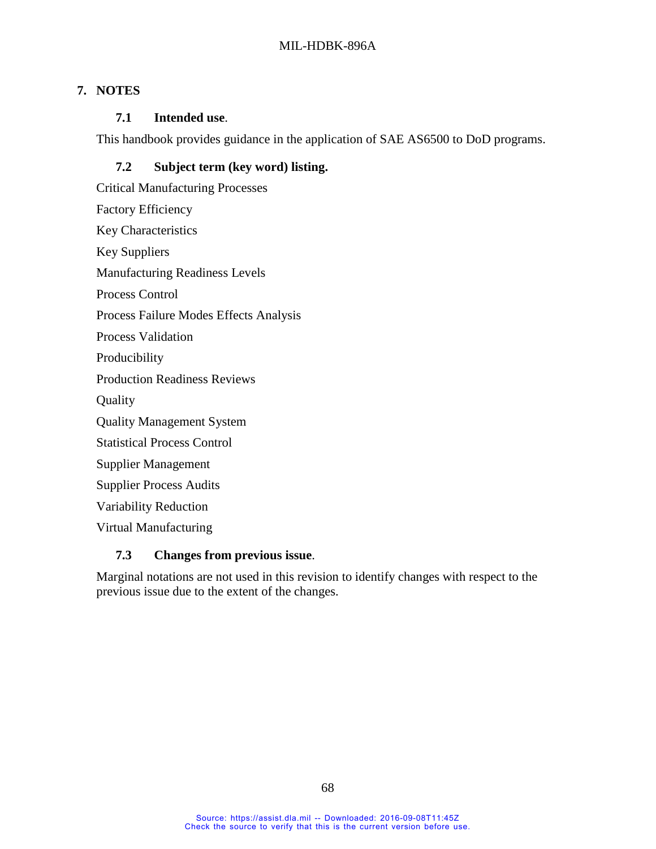# **7. NOTES**

### **7.1 Intended use**.

This handbook provides guidance in the application of SAE AS6500 to DoD programs.

# **7.2 Subject term (key word) listing.**

Critical Manufacturing Processes Factory Efficiency Key Characteristics Key Suppliers Manufacturing Readiness Levels Process Control Process Failure Modes Effects Analysis Process Validation Producibility Production Readiness Reviews **Quality** Quality Management System Statistical Process Control Supplier Management Supplier Process Audits Variability Reduction Virtual Manufacturing

## **7.3 Changes from previous issue**.

Marginal notations are not used in this revision to identify changes with respect to the previous issue due to the extent of the changes.